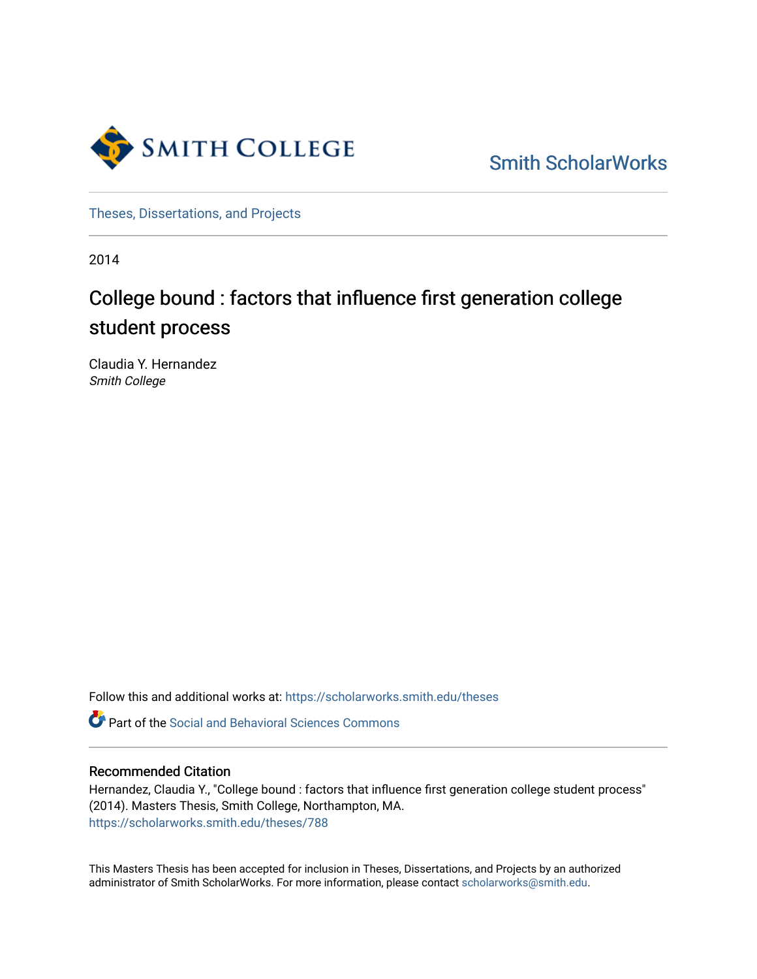

[Smith ScholarWorks](https://scholarworks.smith.edu/) 

[Theses, Dissertations, and Projects](https://scholarworks.smith.edu/theses) 

2014

# College bound : factors that influence first generation college student process

Claudia Y. Hernandez Smith College

Follow this and additional works at: [https://scholarworks.smith.edu/theses](https://scholarworks.smith.edu/theses?utm_source=scholarworks.smith.edu%2Ftheses%2F788&utm_medium=PDF&utm_campaign=PDFCoverPages) 

Part of the [Social and Behavioral Sciences Commons](http://network.bepress.com/hgg/discipline/316?utm_source=scholarworks.smith.edu%2Ftheses%2F788&utm_medium=PDF&utm_campaign=PDFCoverPages) 

## Recommended Citation

Hernandez, Claudia Y., "College bound : factors that influence first generation college student process" (2014). Masters Thesis, Smith College, Northampton, MA. [https://scholarworks.smith.edu/theses/788](https://scholarworks.smith.edu/theses/788?utm_source=scholarworks.smith.edu%2Ftheses%2F788&utm_medium=PDF&utm_campaign=PDFCoverPages) 

This Masters Thesis has been accepted for inclusion in Theses, Dissertations, and Projects by an authorized administrator of Smith ScholarWorks. For more information, please contact [scholarworks@smith.edu](mailto:scholarworks@smith.edu).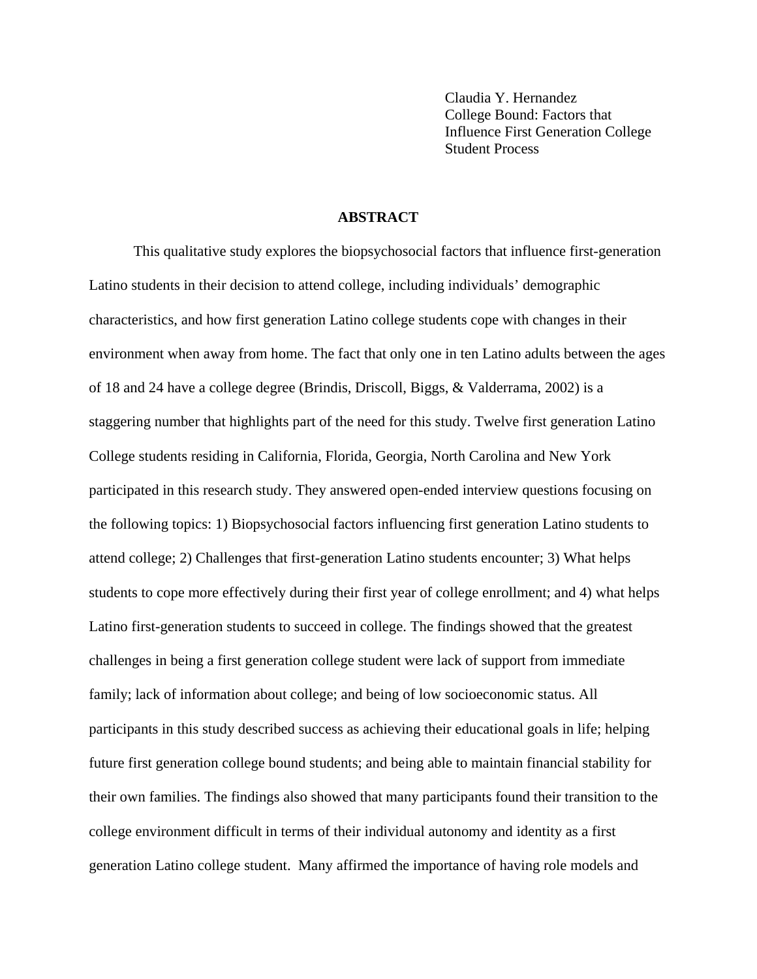Claudia Y. Hernandez College Bound: Factors that Influence First Generation College Student Process

## **ABSTRACT**

This qualitative study explores the biopsychosocial factors that influence first-generation Latino students in their decision to attend college, including individuals' demographic characteristics, and how first generation Latino college students cope with changes in their environment when away from home. The fact that only one in ten Latino adults between the ages of 18 and 24 have a college degree (Brindis, Driscoll, Biggs, & Valderrama, 2002) is a staggering number that highlights part of the need for this study. Twelve first generation Latino College students residing in California, Florida, Georgia, North Carolina and New York participated in this research study. They answered open-ended interview questions focusing on the following topics: 1) Biopsychosocial factors influencing first generation Latino students to attend college; 2) Challenges that first-generation Latino students encounter; 3) What helps students to cope more effectively during their first year of college enrollment; and 4) what helps Latino first-generation students to succeed in college. The findings showed that the greatest challenges in being a first generation college student were lack of support from immediate family; lack of information about college; and being of low socioeconomic status. All participants in this study described success as achieving their educational goals in life; helping future first generation college bound students; and being able to maintain financial stability for their own families. The findings also showed that many participants found their transition to the college environment difficult in terms of their individual autonomy and identity as a first generation Latino college student. Many affirmed the importance of having role models and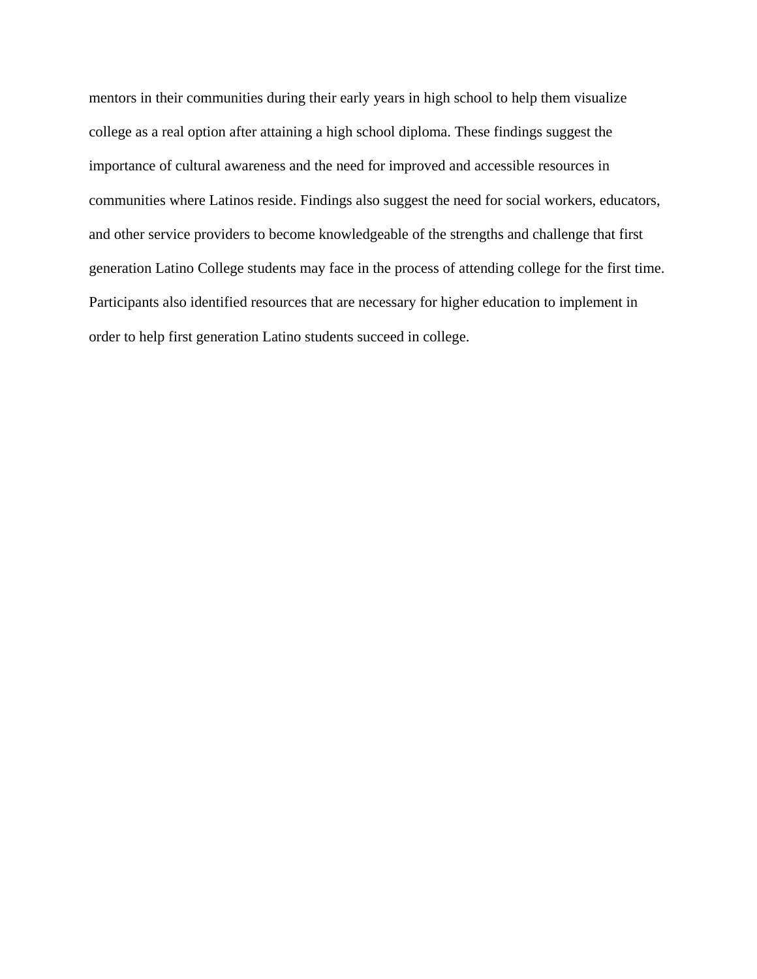mentors in their communities during their early years in high school to help them visualize college as a real option after attaining a high school diploma. These findings suggest the importance of cultural awareness and the need for improved and accessible resources in communities where Latinos reside. Findings also suggest the need for social workers, educators, and other service providers to become knowledgeable of the strengths and challenge that first generation Latino College students may face in the process of attending college for the first time. Participants also identified resources that are necessary for higher education to implement in order to help first generation Latino students succeed in college.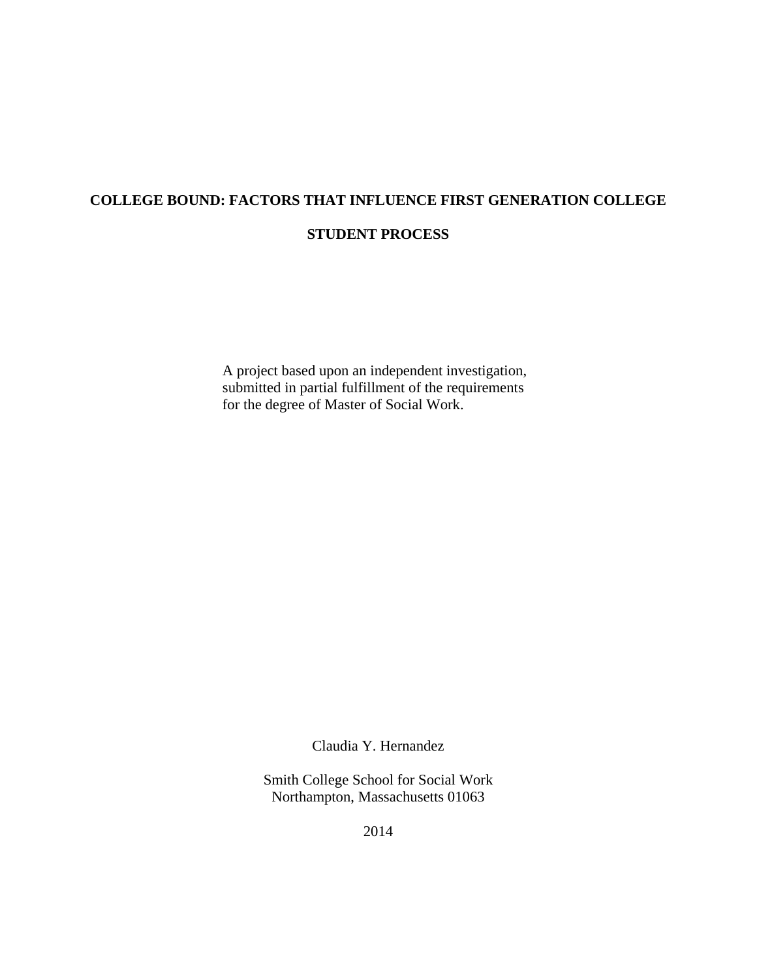## **COLLEGE BOUND: FACTORS THAT INFLUENCE FIRST GENERATION COLLEGE STUDENT PROCESS**

A project based upon an independent investigation, submitted in partial fulfillment of the requirements for the degree of Master of Social Work.

Claudia Y. Hernandez

Smith College School for Social Work Northampton, Massachusetts 01063

2014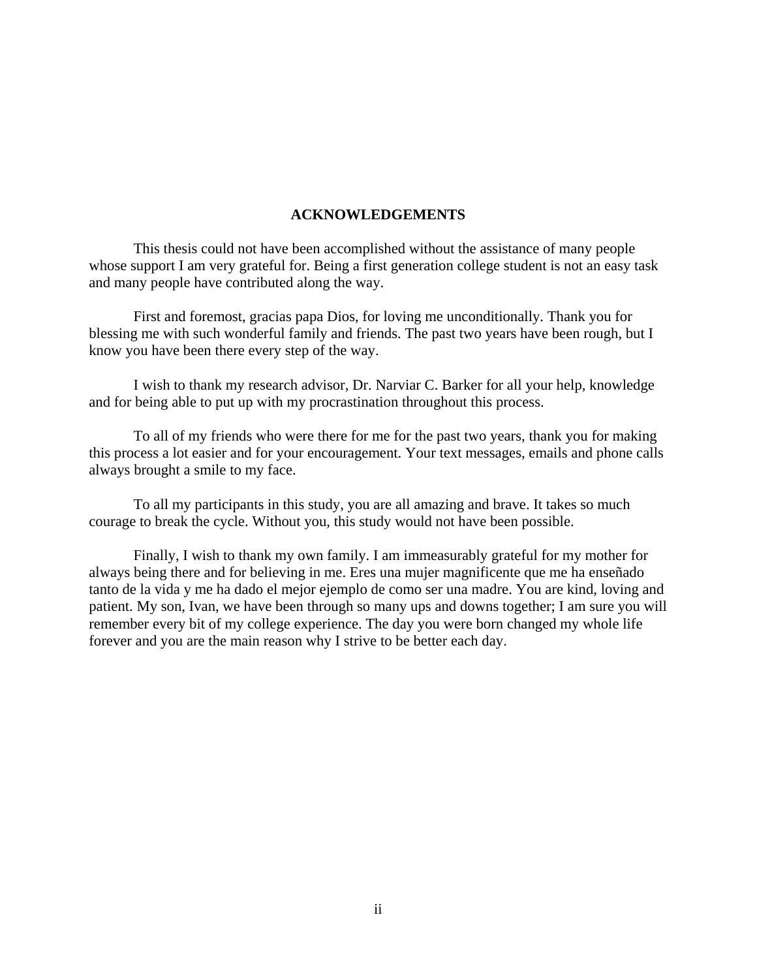## **ACKNOWLEDGEMENTS**

This thesis could not have been accomplished without the assistance of many people whose support I am very grateful for. Being a first generation college student is not an easy task and many people have contributed along the way.

First and foremost, gracias papa Dios, for loving me unconditionally. Thank you for blessing me with such wonderful family and friends. The past two years have been rough, but I know you have been there every step of the way.

I wish to thank my research advisor, Dr. Narviar C. Barker for all your help, knowledge and for being able to put up with my procrastination throughout this process.

To all of my friends who were there for me for the past two years, thank you for making this process a lot easier and for your encouragement. Your text messages, emails and phone calls always brought a smile to my face.

To all my participants in this study, you are all amazing and brave. It takes so much courage to break the cycle. Without you, this study would not have been possible.

Finally, I wish to thank my own family. I am immeasurably grateful for my mother for always being there and for believing in me. Eres una mujer magnificente que me ha enseñado tanto de la vida y me ha dado el mejor ejemplo de como ser una madre. You are kind, loving and patient. My son, Ivan, we have been through so many ups and downs together; I am sure you will remember every bit of my college experience. The day you were born changed my whole life forever and you are the main reason why I strive to be better each day.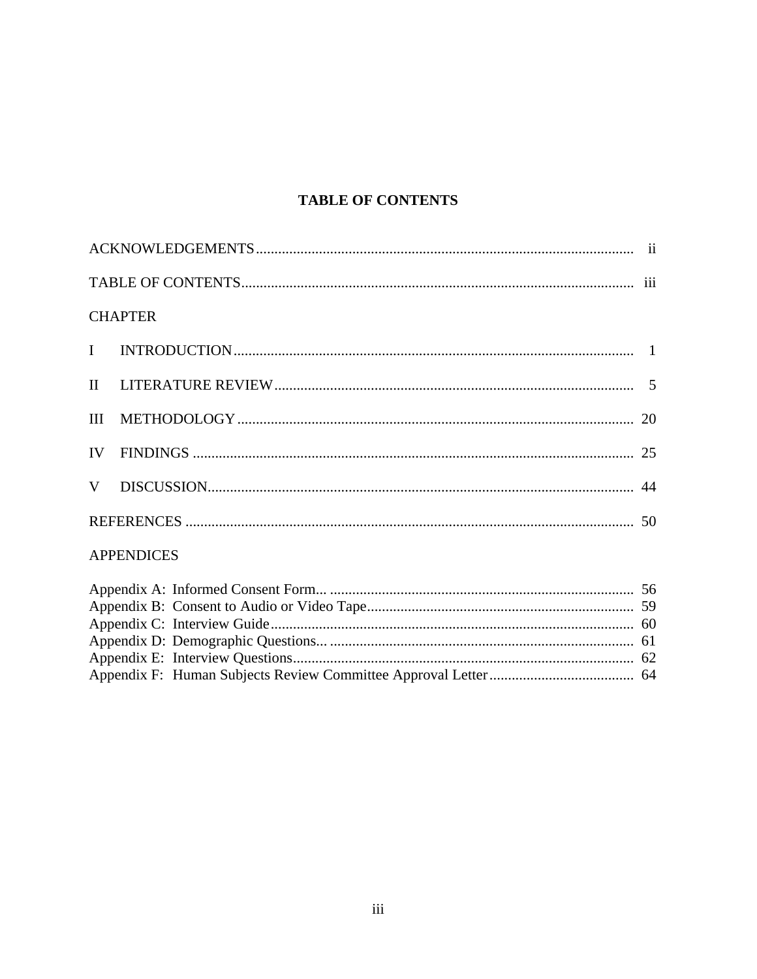## **TABLE OF CONTENTS**

|                   | <b>CHAPTER</b> |  |  |  |  |
|-------------------|----------------|--|--|--|--|
|                   |                |  |  |  |  |
|                   |                |  |  |  |  |
|                   |                |  |  |  |  |
|                   |                |  |  |  |  |
|                   |                |  |  |  |  |
|                   |                |  |  |  |  |
| <b>APPENDICES</b> |                |  |  |  |  |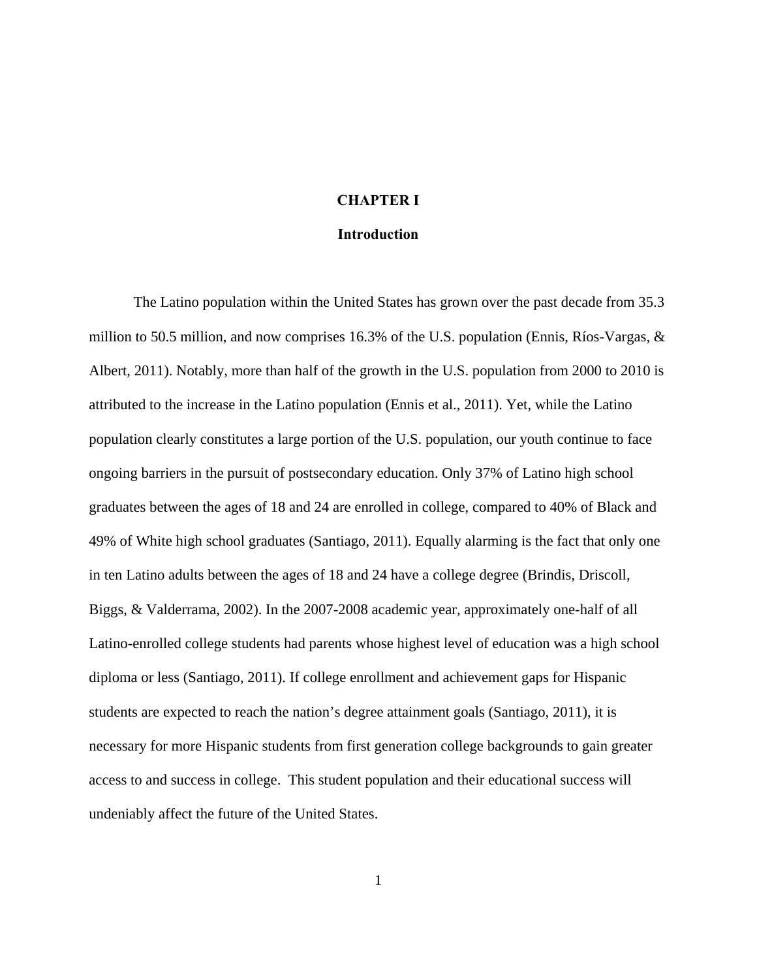## **CHAPTER I**

#### **Introduction**

The Latino population within the United States has grown over the past decade from 35.3 million to 50.5 million, and now comprises 16.3% of the U.S. population (Ennis, Ríos-Vargas, & Albert, 2011). Notably, more than half of the growth in the U.S. population from 2000 to 2010 is attributed to the increase in the Latino population (Ennis et al., 2011). Yet, while the Latino population clearly constitutes a large portion of the U.S. population, our youth continue to face ongoing barriers in the pursuit of postsecondary education. Only 37% of Latino high school graduates between the ages of 18 and 24 are enrolled in college, compared to 40% of Black and 49% of White high school graduates (Santiago, 2011). Equally alarming is the fact that only one in ten Latino adults between the ages of 18 and 24 have a college degree (Brindis, Driscoll, Biggs, & Valderrama, 2002). In the 2007-2008 academic year, approximately one-half of all Latino-enrolled college students had parents whose highest level of education was a high school diploma or less (Santiago, 2011). If college enrollment and achievement gaps for Hispanic students are expected to reach the nation's degree attainment goals (Santiago, 2011), it is necessary for more Hispanic students from first generation college backgrounds to gain greater access to and success in college. This student population and their educational success will undeniably affect the future of the United States.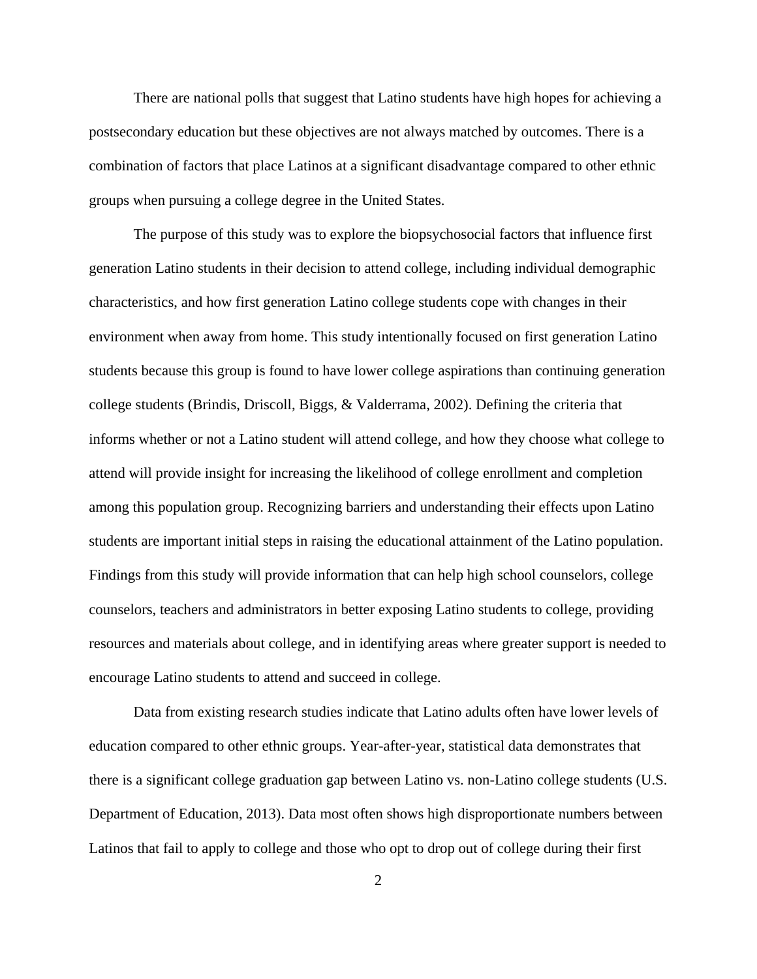There are national polls that suggest that Latino students have high hopes for achieving a postsecondary education but these objectives are not always matched by outcomes. There is a combination of factors that place Latinos at a significant disadvantage compared to other ethnic groups when pursuing a college degree in the United States.

The purpose of this study was to explore the biopsychosocial factors that influence first generation Latino students in their decision to attend college, including individual demographic characteristics, and how first generation Latino college students cope with changes in their environment when away from home. This study intentionally focused on first generation Latino students because this group is found to have lower college aspirations than continuing generation college students (Brindis, Driscoll, Biggs, & Valderrama, 2002). Defining the criteria that informs whether or not a Latino student will attend college, and how they choose what college to attend will provide insight for increasing the likelihood of college enrollment and completion among this population group. Recognizing barriers and understanding their effects upon Latino students are important initial steps in raising the educational attainment of the Latino population. Findings from this study will provide information that can help high school counselors, college counselors, teachers and administrators in better exposing Latino students to college, providing resources and materials about college, and in identifying areas where greater support is needed to encourage Latino students to attend and succeed in college.

Data from existing research studies indicate that Latino adults often have lower levels of education compared to other ethnic groups. Year-after-year, statistical data demonstrates that there is a significant college graduation gap between Latino vs. non-Latino college students (U.S. Department of Education, 2013). Data most often shows high disproportionate numbers between Latinos that fail to apply to college and those who opt to drop out of college during their first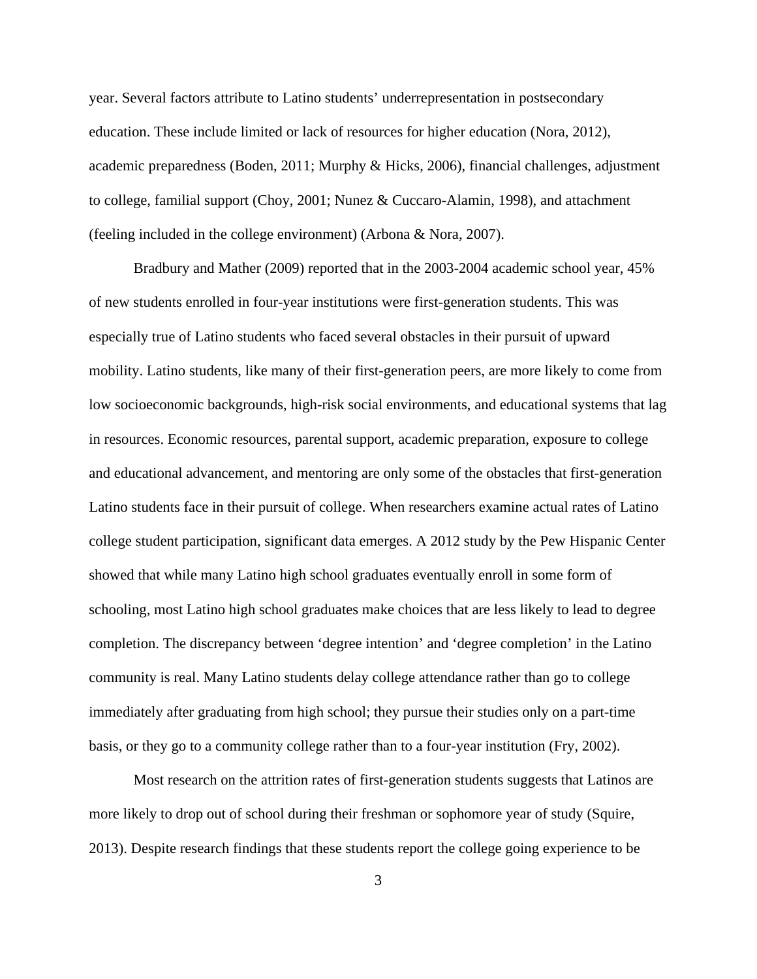year. Several factors attribute to Latino students' underrepresentation in postsecondary education. These include limited or lack of resources for higher education (Nora, 2012), academic preparedness (Boden, 2011; Murphy & Hicks, 2006), financial challenges, adjustment to college, familial support (Choy, 2001; Nunez & Cuccaro-Alamin, 1998), and attachment (feeling included in the college environment) (Arbona & Nora, 2007).

Bradbury and Mather (2009) reported that in the 2003-2004 academic school year, 45% of new students enrolled in four-year institutions were first-generation students. This was especially true of Latino students who faced several obstacles in their pursuit of upward mobility. Latino students, like many of their first-generation peers, are more likely to come from low socioeconomic backgrounds, high-risk social environments, and educational systems that lag in resources. Economic resources, parental support, academic preparation, exposure to college and educational advancement, and mentoring are only some of the obstacles that first-generation Latino students face in their pursuit of college. When researchers examine actual rates of Latino college student participation, significant data emerges. A 2012 study by the Pew Hispanic Center showed that while many Latino high school graduates eventually enroll in some form of schooling, most Latino high school graduates make choices that are less likely to lead to degree completion. The discrepancy between 'degree intention' and 'degree completion' in the Latino community is real. Many Latino students delay college attendance rather than go to college immediately after graduating from high school; they pursue their studies only on a part-time basis, or they go to a community college rather than to a four-year institution (Fry, 2002).

Most research on the attrition rates of first-generation students suggests that Latinos are more likely to drop out of school during their freshman or sophomore year of study (Squire, 2013). Despite research findings that these students report the college going experience to be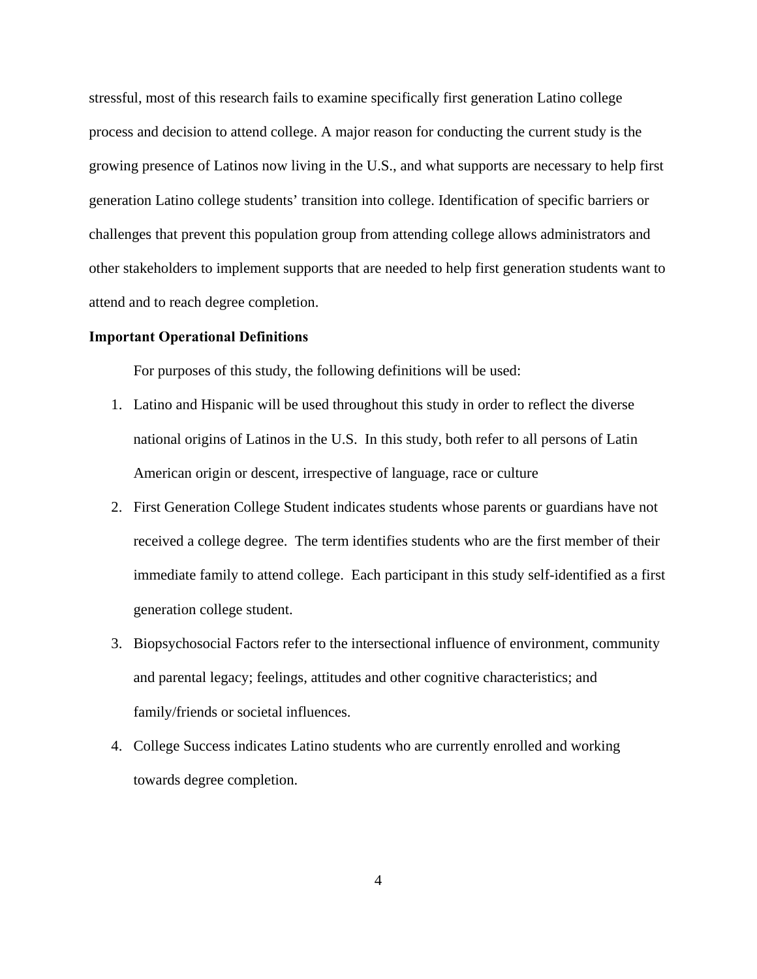stressful, most of this research fails to examine specifically first generation Latino college process and decision to attend college. A major reason for conducting the current study is the growing presence of Latinos now living in the U.S., and what supports are necessary to help first generation Latino college students' transition into college. Identification of specific barriers or challenges that prevent this population group from attending college allows administrators and other stakeholders to implement supports that are needed to help first generation students want to attend and to reach degree completion.

#### **Important Operational Definitions**

For purposes of this study, the following definitions will be used:

- 1. Latino and Hispanic will be used throughout this study in order to reflect the diverse national origins of Latinos in the U.S. In this study, both refer to all persons of Latin American origin or descent, irrespective of language, race or culture
- 2. First Generation College Student indicates students whose parents or guardians have not received a college degree. The term identifies students who are the first member of their immediate family to attend college. Each participant in this study self-identified as a first generation college student.
- 3. Biopsychosocial Factors refer to the intersectional influence of environment, community and parental legacy; feelings, attitudes and other cognitive characteristics; and family/friends or societal influences.
- 4. College Success indicates Latino students who are currently enrolled and working towards degree completion.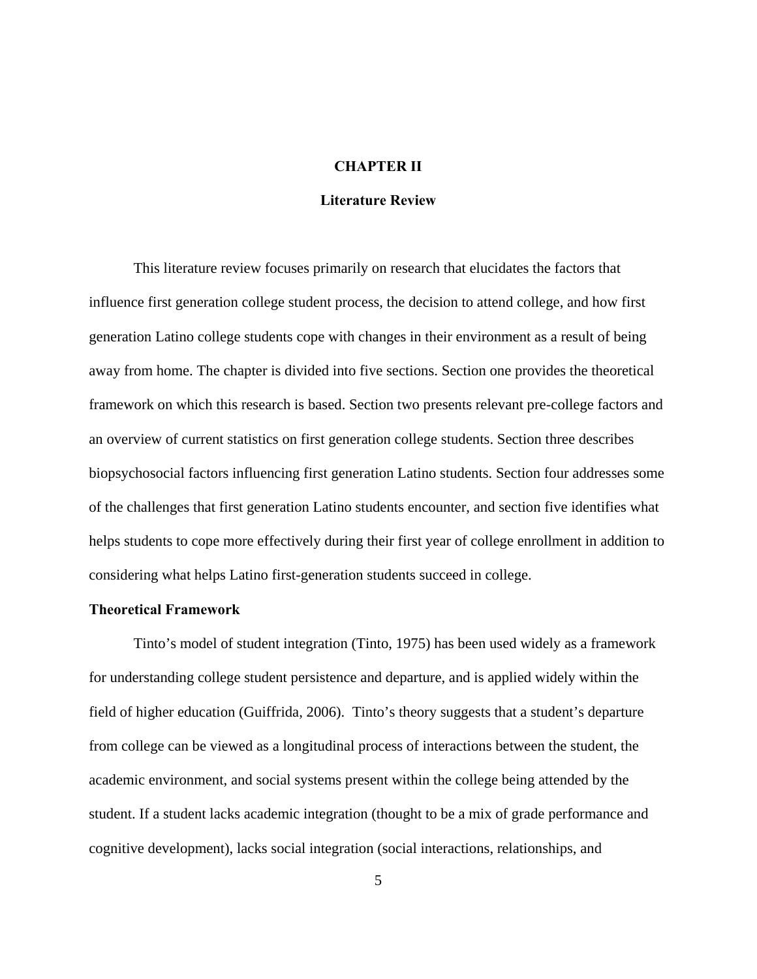## **CHAPTER II**

## **Literature Review**

This literature review focuses primarily on research that elucidates the factors that influence first generation college student process, the decision to attend college, and how first generation Latino college students cope with changes in their environment as a result of being away from home. The chapter is divided into five sections. Section one provides the theoretical framework on which this research is based. Section two presents relevant pre-college factors and an overview of current statistics on first generation college students. Section three describes biopsychosocial factors influencing first generation Latino students. Section four addresses some of the challenges that first generation Latino students encounter, and section five identifies what helps students to cope more effectively during their first year of college enrollment in addition to considering what helps Latino first-generation students succeed in college.

## **Theoretical Framework**

Tinto's model of student integration (Tinto, 1975) has been used widely as a framework for understanding college student persistence and departure, and is applied widely within the field of higher education (Guiffrida, 2006). Tinto's theory suggests that a student's departure from college can be viewed as a longitudinal process of interactions between the student, the academic environment, and social systems present within the college being attended by the student. If a student lacks academic integration (thought to be a mix of grade performance and cognitive development), lacks social integration (social interactions, relationships, and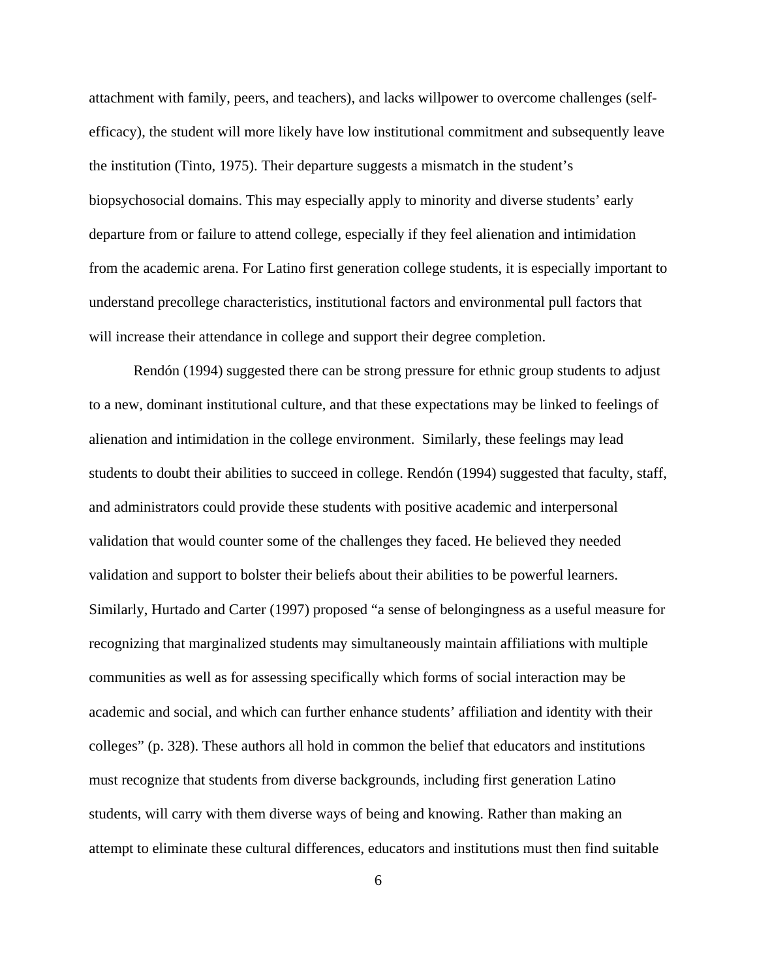attachment with family, peers, and teachers), and lacks willpower to overcome challenges (selfefficacy), the student will more likely have low institutional commitment and subsequently leave the institution (Tinto, 1975). Their departure suggests a mismatch in the student's biopsychosocial domains. This may especially apply to minority and diverse students' early departure from or failure to attend college, especially if they feel alienation and intimidation from the academic arena. For Latino first generation college students, it is especially important to understand precollege characteristics, institutional factors and environmental pull factors that will increase their attendance in college and support their degree completion.

Rendón (1994) suggested there can be strong pressure for ethnic group students to adjust to a new, dominant institutional culture, and that these expectations may be linked to feelings of alienation and intimidation in the college environment. Similarly, these feelings may lead students to doubt their abilities to succeed in college. Rendón (1994) suggested that faculty, staff, and administrators could provide these students with positive academic and interpersonal validation that would counter some of the challenges they faced. He believed they needed validation and support to bolster their beliefs about their abilities to be powerful learners. Similarly, Hurtado and Carter (1997) proposed "a sense of belongingness as a useful measure for recognizing that marginalized students may simultaneously maintain affiliations with multiple communities as well as for assessing specifically which forms of social interaction may be academic and social, and which can further enhance students' affiliation and identity with their colleges" (p. 328). These authors all hold in common the belief that educators and institutions must recognize that students from diverse backgrounds, including first generation Latino students, will carry with them diverse ways of being and knowing. Rather than making an attempt to eliminate these cultural differences, educators and institutions must then find suitable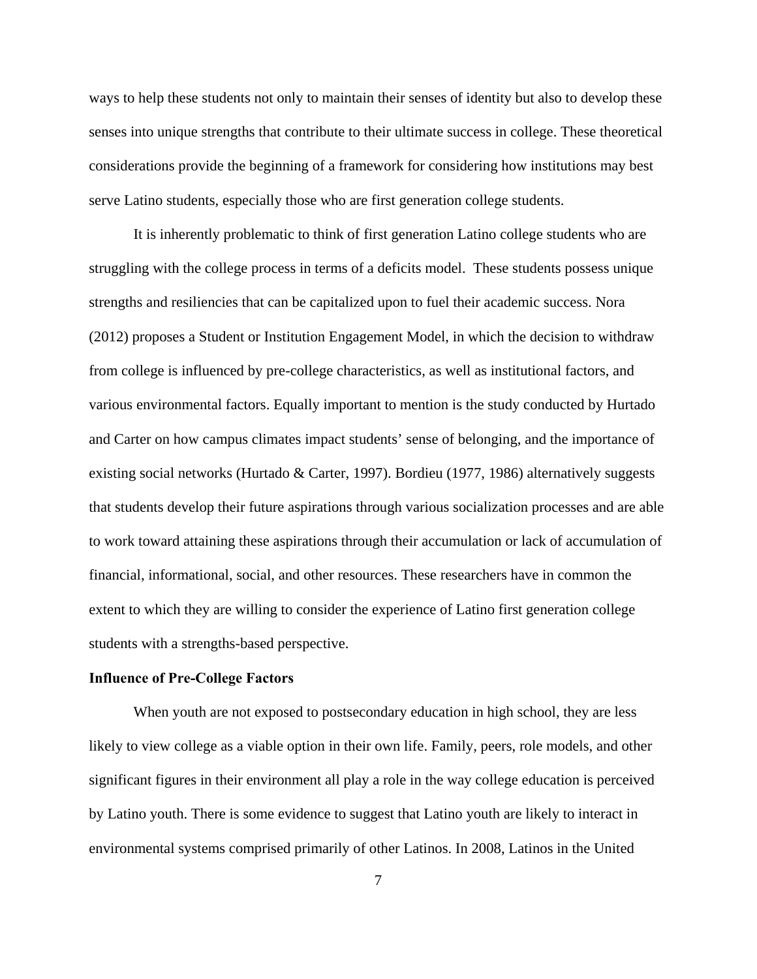ways to help these students not only to maintain their senses of identity but also to develop these senses into unique strengths that contribute to their ultimate success in college. These theoretical considerations provide the beginning of a framework for considering how institutions may best serve Latino students, especially those who are first generation college students.

It is inherently problematic to think of first generation Latino college students who are struggling with the college process in terms of a deficits model. These students possess unique strengths and resiliencies that can be capitalized upon to fuel their academic success. Nora (2012) proposes a Student or Institution Engagement Model, in which the decision to withdraw from college is influenced by pre-college characteristics, as well as institutional factors, and various environmental factors. Equally important to mention is the study conducted by Hurtado and Carter on how campus climates impact students' sense of belonging, and the importance of existing social networks (Hurtado & Carter, 1997). Bordieu (1977, 1986) alternatively suggests that students develop their future aspirations through various socialization processes and are able to work toward attaining these aspirations through their accumulation or lack of accumulation of financial, informational, social, and other resources. These researchers have in common the extent to which they are willing to consider the experience of Latino first generation college students with a strengths-based perspective.

#### **Influence of Pre-College Factors**

When youth are not exposed to postsecondary education in high school, they are less likely to view college as a viable option in their own life. Family, peers, role models, and other significant figures in their environment all play a role in the way college education is perceived by Latino youth. There is some evidence to suggest that Latino youth are likely to interact in environmental systems comprised primarily of other Latinos. In 2008, Latinos in the United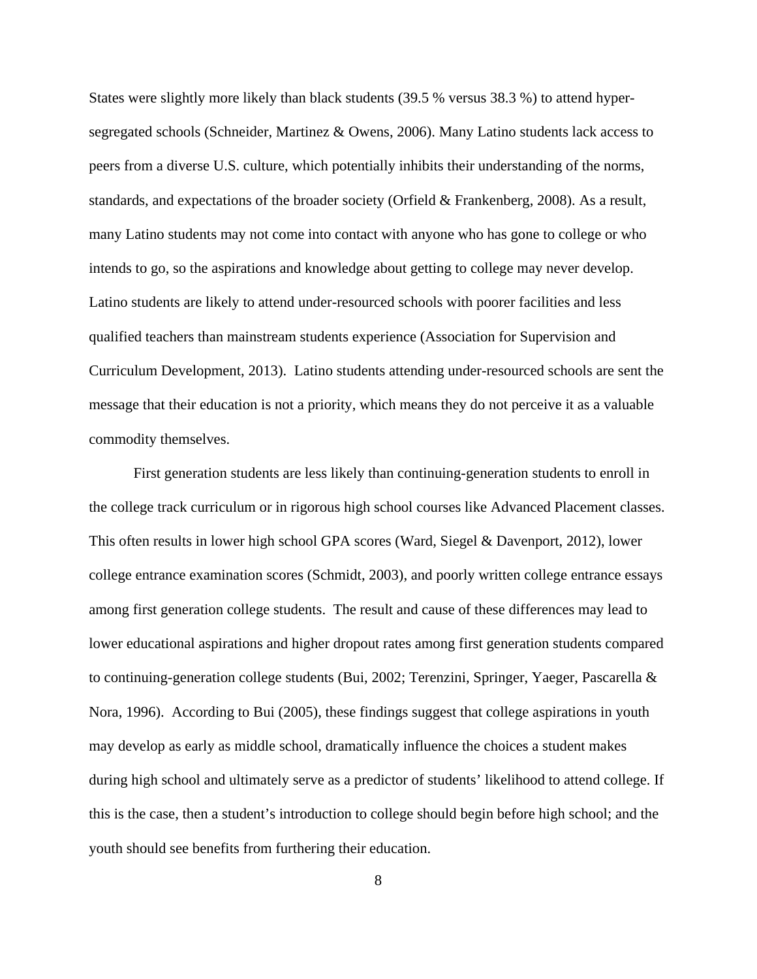States were slightly more likely than black students (39.5 % versus 38.3 %) to attend hypersegregated schools (Schneider, Martinez & Owens, 2006). Many Latino students lack access to peers from a diverse U.S. culture, which potentially inhibits their understanding of the norms, standards, and expectations of the broader society (Orfield & Frankenberg, 2008). As a result, many Latino students may not come into contact with anyone who has gone to college or who intends to go, so the aspirations and knowledge about getting to college may never develop. Latino students are likely to attend under-resourced schools with poorer facilities and less qualified teachers than mainstream students experience (Association for Supervision and Curriculum Development, 2013). Latino students attending under-resourced schools are sent the message that their education is not a priority, which means they do not perceive it as a valuable commodity themselves.

First generation students are less likely than continuing-generation students to enroll in the college track curriculum or in rigorous high school courses like Advanced Placement classes. This often results in lower high school GPA scores (Ward, Siegel & Davenport, 2012), lower college entrance examination scores (Schmidt, 2003), and poorly written college entrance essays among first generation college students. The result and cause of these differences may lead to lower educational aspirations and higher dropout rates among first generation students compared to continuing-generation college students (Bui, 2002; Terenzini, Springer, Yaeger, Pascarella & Nora, 1996). According to Bui (2005), these findings suggest that college aspirations in youth may develop as early as middle school, dramatically influence the choices a student makes during high school and ultimately serve as a predictor of students' likelihood to attend college. If this is the case, then a student's introduction to college should begin before high school; and the youth should see benefits from furthering their education.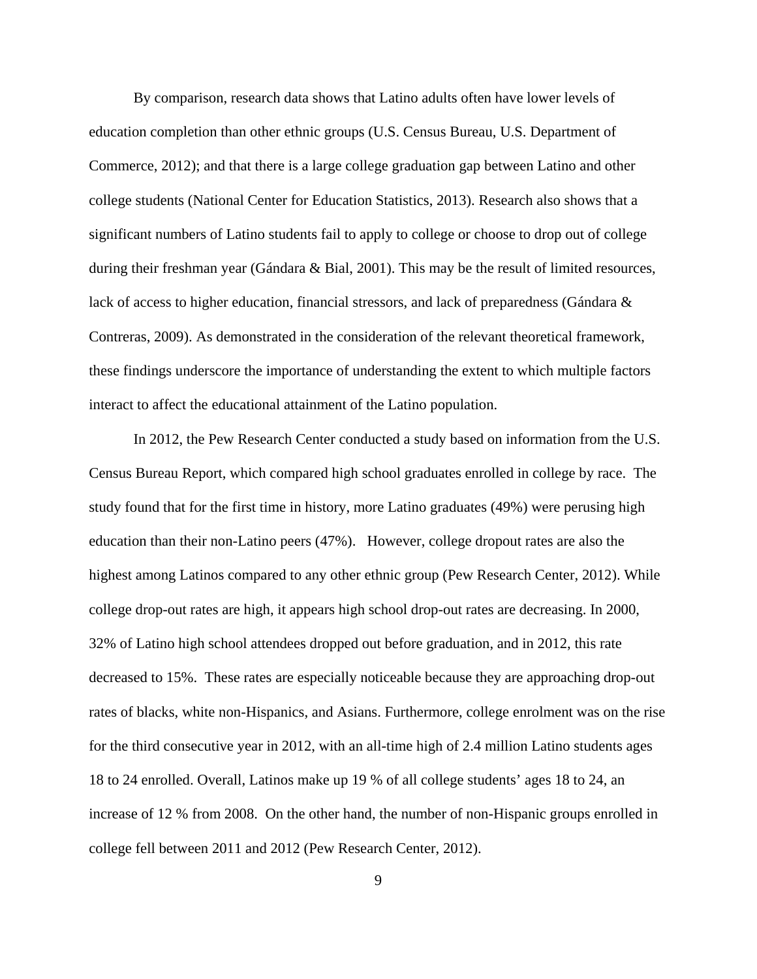By comparison, research data shows that Latino adults often have lower levels of education completion than other ethnic groups (U.S. Census Bureau, U.S. Department of Commerce, 2012); and that there is a large college graduation gap between Latino and other college students (National Center for Education Statistics, 2013). Research also shows that a significant numbers of Latino students fail to apply to college or choose to drop out of college during their freshman year (Gándara & Bial, 2001). This may be the result of limited resources, lack of access to higher education, financial stressors, and lack of preparedness (Gándara & Contreras, 2009). As demonstrated in the consideration of the relevant theoretical framework, these findings underscore the importance of understanding the extent to which multiple factors interact to affect the educational attainment of the Latino population.

In 2012, the Pew Research Center conducted a study based on information from the U.S. Census Bureau Report, which compared high school graduates enrolled in college by race. The study found that for the first time in history, more Latino graduates (49%) were perusing high education than their non-Latino peers (47%). However, college dropout rates are also the highest among Latinos compared to any other ethnic group (Pew Research Center, 2012). While college drop-out rates are high, it appears high school drop-out rates are decreasing. In 2000, 32% of Latino high school attendees dropped out before graduation, and in 2012, this rate decreased to 15%. These rates are especially noticeable because they are approaching drop-out rates of blacks, white non-Hispanics, and Asians. Furthermore, college enrolment was on the rise for the third consecutive year in 2012, with an all-time high of 2.4 million Latino students ages 18 to 24 enrolled. Overall, Latinos make up 19 % of all college students' ages 18 to 24, an increase of 12 % from 2008. On the other hand, the number of non-Hispanic groups enrolled in college fell between 2011 and 2012 (Pew Research Center, 2012).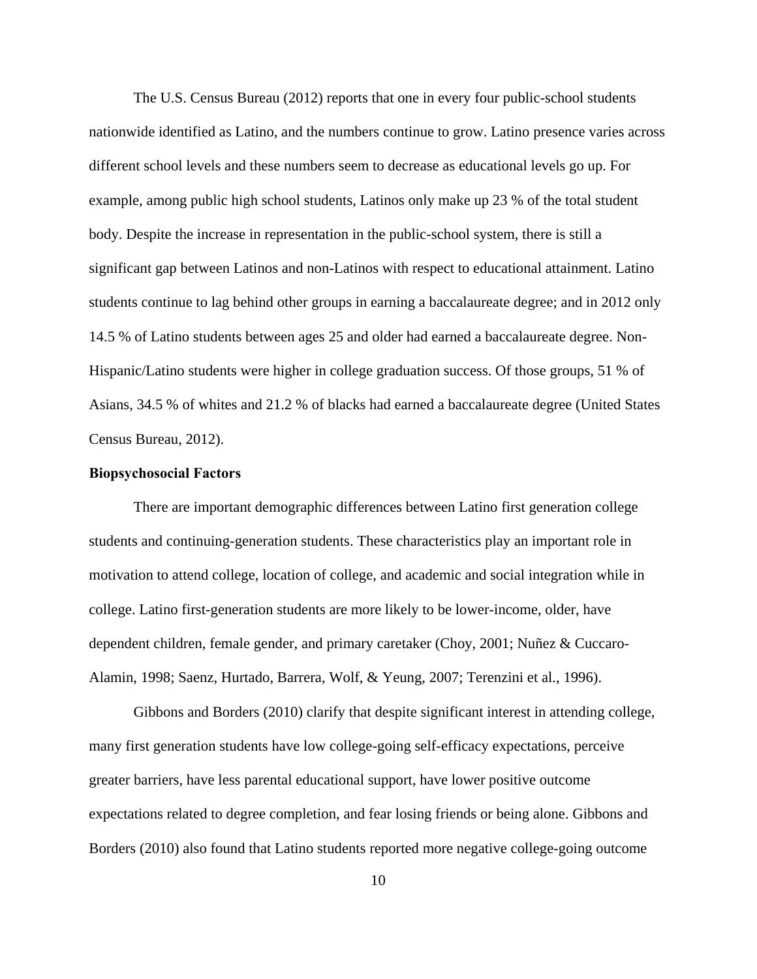The U.S. Census Bureau (2012) reports that one in every four public-school students nationwide identified as Latino, and the numbers continue to grow. Latino presence varies across different school levels and these numbers seem to decrease as educational levels go up. For example, among public high school students, Latinos only make up 23 % of the total student body. Despite the increase in representation in the public-school system, there is still a significant gap between Latinos and non-Latinos with respect to educational attainment. Latino students continue to lag behind other groups in earning a baccalaureate degree; and in 2012 only 14.5 % of Latino students between ages 25 and older had earned a baccalaureate degree. Non-Hispanic/Latino students were higher in college graduation success. Of those groups, 51 % of Asians, 34.5 % of whites and 21.2 % of blacks had earned a baccalaureate degree (United States Census Bureau, 2012).

#### **Biopsychosocial Factors**

There are important demographic differences between Latino first generation college students and continuing-generation students. These characteristics play an important role in motivation to attend college, location of college, and academic and social integration while in college. Latino first-generation students are more likely to be lower-income, older, have dependent children, female gender, and primary caretaker (Choy, 2001; Nuñez & Cuccaro-Alamin, 1998; Saenz, Hurtado, Barrera, Wolf, & Yeung, 2007; Terenzini et al., 1996).

 Gibbons and Borders (2010) clarify that despite significant interest in attending college, many first generation students have low college-going self-efficacy expectations, perceive greater barriers, have less parental educational support, have lower positive outcome expectations related to degree completion, and fear losing friends or being alone. Gibbons and Borders (2010) also found that Latino students reported more negative college-going outcome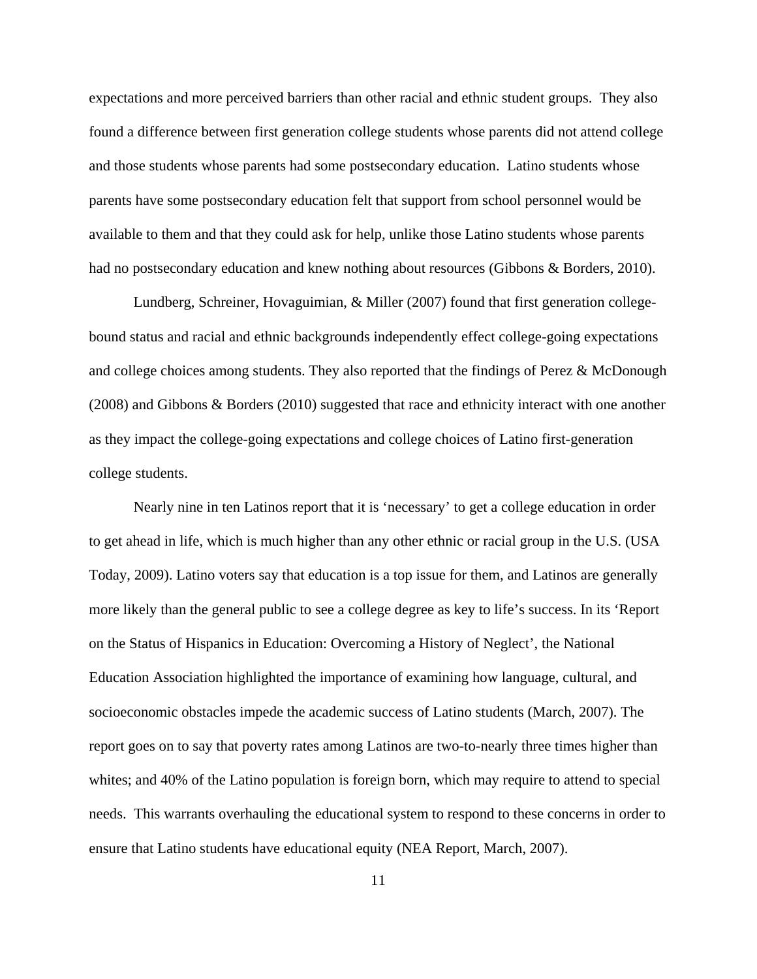expectations and more perceived barriers than other racial and ethnic student groups. They also found a difference between first generation college students whose parents did not attend college and those students whose parents had some postsecondary education. Latino students whose parents have some postsecondary education felt that support from school personnel would be available to them and that they could ask for help, unlike those Latino students whose parents had no postsecondary education and knew nothing about resources (Gibbons & Borders, 2010).

Lundberg, Schreiner, Hovaguimian, & Miller (2007) found that first generation collegebound status and racial and ethnic backgrounds independently effect college-going expectations and college choices among students. They also reported that the findings of Perez & McDonough (2008) and Gibbons & Borders (2010) suggested that race and ethnicity interact with one another as they impact the college-going expectations and college choices of Latino first-generation college students.

 Nearly nine in ten Latinos report that it is 'necessary' to get a college education in order to get ahead in life, which is much higher than any other ethnic or racial group in the U.S. (USA Today, 2009). Latino voters say that education is a top issue for them, and Latinos are generally more likely than the general public to see a college degree as key to life's success. In its 'Report on the Status of Hispanics in Education: Overcoming a History of Neglect', the National Education Association highlighted the importance of examining how language, cultural, and socioeconomic obstacles impede the academic success of Latino students (March, 2007). The report goes on to say that poverty rates among Latinos are two-to-nearly three times higher than whites; and 40% of the Latino population is foreign born, which may require to attend to special needs. This warrants overhauling the educational system to respond to these concerns in order to ensure that Latino students have educational equity (NEA Report, March, 2007).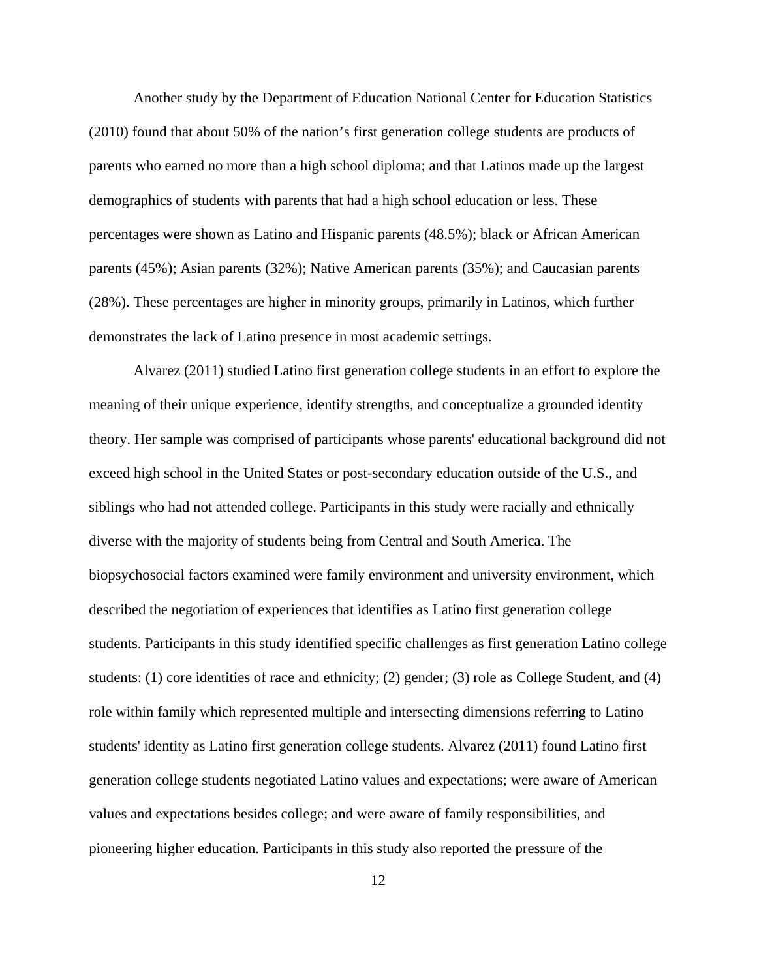Another study by the Department of Education National Center for Education Statistics (2010) found that about 50% of the nation's first generation college students are products of parents who earned no more than a high school diploma; and that Latinos made up the largest demographics of students with parents that had a high school education or less. These percentages were shown as Latino and Hispanic parents (48.5%); black or African American parents (45%); Asian parents (32%); Native American parents (35%); and Caucasian parents (28%). These percentages are higher in minority groups, primarily in Latinos, which further demonstrates the lack of Latino presence in most academic settings.

Alvarez (2011) studied Latino first generation college students in an effort to explore the meaning of their unique experience, identify strengths, and conceptualize a grounded identity theory. Her sample was comprised of participants whose parents' educational background did not exceed high school in the United States or post-secondary education outside of the U.S., and siblings who had not attended college. Participants in this study were racially and ethnically diverse with the majority of students being from Central and South America. The biopsychosocial factors examined were family environment and university environment, which described the negotiation of experiences that identifies as Latino first generation college students. Participants in this study identified specific challenges as first generation Latino college students: (1) core identities of race and ethnicity; (2) gender; (3) role as College Student, and (4) role within family which represented multiple and intersecting dimensions referring to Latino students' identity as Latino first generation college students. Alvarez (2011) found Latino first generation college students negotiated Latino values and expectations; were aware of American values and expectations besides college; and were aware of family responsibilities, and pioneering higher education. Participants in this study also reported the pressure of the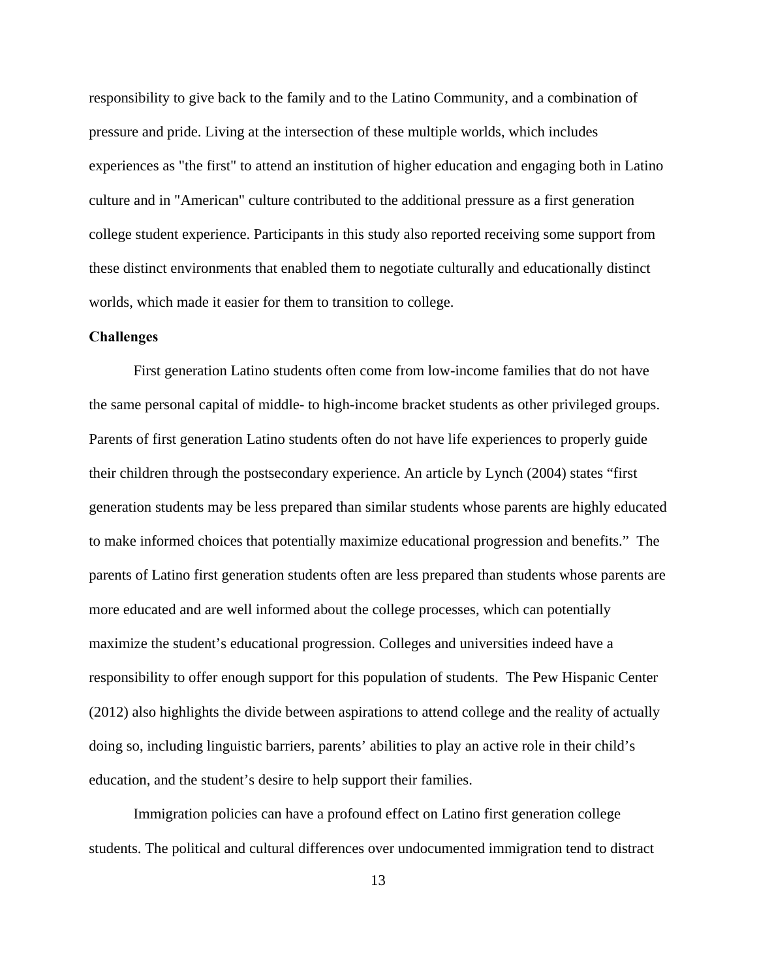responsibility to give back to the family and to the Latino Community, and a combination of pressure and pride. Living at the intersection of these multiple worlds, which includes experiences as "the first" to attend an institution of higher education and engaging both in Latino culture and in "American" culture contributed to the additional pressure as a first generation college student experience. Participants in this study also reported receiving some support from these distinct environments that enabled them to negotiate culturally and educationally distinct worlds, which made it easier for them to transition to college.

#### **Challenges**

 First generation Latino students often come from low-income families that do not have the same personal capital of middle- to high-income bracket students as other privileged groups. Parents of first generation Latino students often do not have life experiences to properly guide their children through the postsecondary experience. An article by Lynch (2004) states "first generation students may be less prepared than similar students whose parents are highly educated to make informed choices that potentially maximize educational progression and benefits." The parents of Latino first generation students often are less prepared than students whose parents are more educated and are well informed about the college processes, which can potentially maximize the student's educational progression. Colleges and universities indeed have a responsibility to offer enough support for this population of students. The Pew Hispanic Center (2012) also highlights the divide between aspirations to attend college and the reality of actually doing so, including linguistic barriers, parents' abilities to play an active role in their child's education, and the student's desire to help support their families.

Immigration policies can have a profound effect on Latino first generation college students. The political and cultural differences over undocumented immigration tend to distract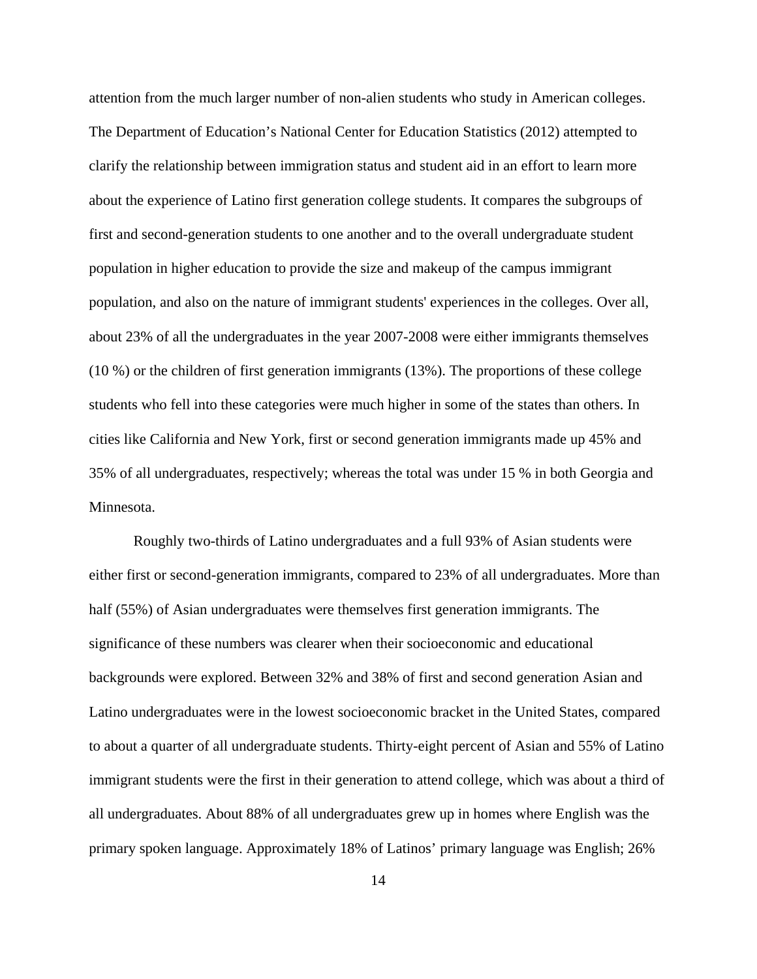attention from the much larger number of non-alien students who study in American colleges. The Department of Education's National Center for Education Statistics (2012) attempted to clarify the relationship between immigration status and student aid in an effort to learn more about the experience of Latino first generation college students. It compares the subgroups of first and second-generation students to one another and to the overall undergraduate student population in higher education to provide the size and makeup of the campus immigrant population, and also on the nature of immigrant students' experiences in the colleges. Over all, about 23% of all the undergraduates in the year 2007-2008 were either immigrants themselves (10 %) or the children of first generation immigrants (13%). The proportions of these college students who fell into these categories were much higher in some of the states than others. In cities like California and New York, first or second generation immigrants made up 45% and 35% of all undergraduates, respectively; whereas the total was under 15 % in both Georgia and Minnesota.

Roughly two-thirds of Latino undergraduates and a full 93% of Asian students were either first or second-generation immigrants, compared to 23% of all undergraduates. More than half (55%) of Asian undergraduates were themselves first generation immigrants. The significance of these numbers was clearer when their socioeconomic and educational backgrounds were explored. Between 32% and 38% of first and second generation Asian and Latino undergraduates were in the lowest socioeconomic bracket in the United States, compared to about a quarter of all undergraduate students. Thirty-eight percent of Asian and 55% of Latino immigrant students were the first in their generation to attend college, which was about a third of all undergraduates. About 88% of all undergraduates grew up in homes where English was the primary spoken language. Approximately 18% of Latinos' primary language was English; 26%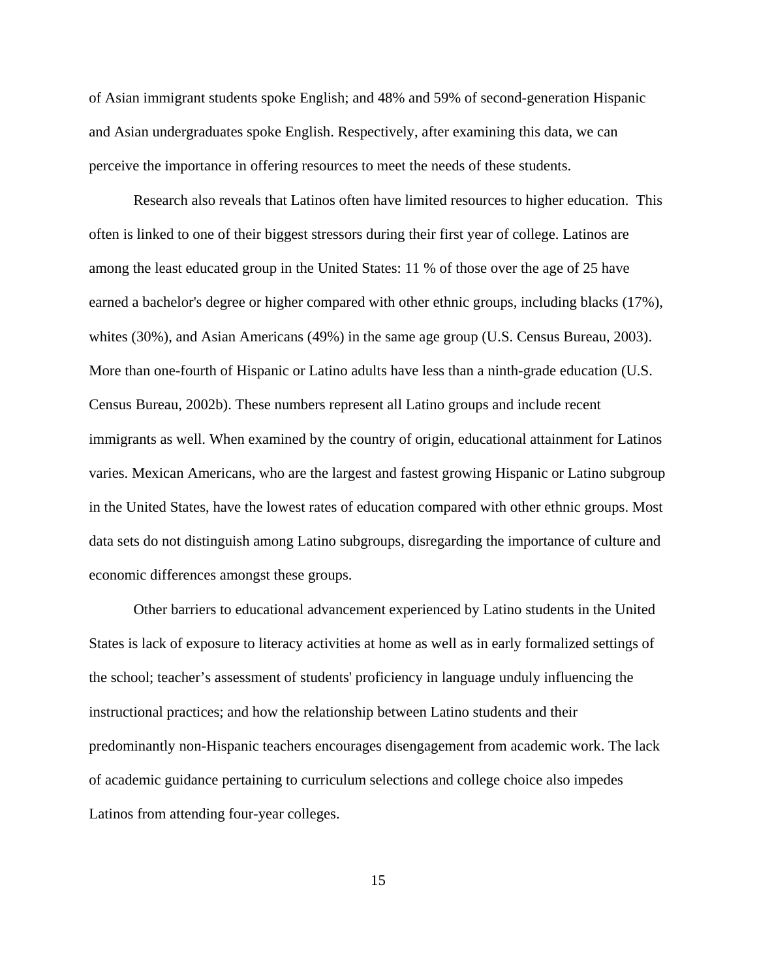of Asian immigrant students spoke English; and 48% and 59% of second-generation Hispanic and Asian undergraduates spoke English. Respectively, after examining this data, we can perceive the importance in offering resources to meet the needs of these students.

Research also reveals that Latinos often have limited resources to higher education. This often is linked to one of their biggest stressors during their first year of college. Latinos are among the least educated group in the United States: 11 % of those over the age of 25 have earned a bachelor's degree or higher compared with other ethnic groups, including blacks (17%), whites (30%), and Asian Americans (49%) in the same age group (U.S. Census Bureau, 2003). More than one-fourth of Hispanic or Latino adults have less than a ninth-grade education (U.S. Census Bureau, 2002b). These numbers represent all Latino groups and include recent immigrants as well. When examined by the country of origin, educational attainment for Latinos varies. Mexican Americans, who are the largest and fastest growing Hispanic or Latino subgroup in the United States, have the lowest rates of education compared with other ethnic groups. Most data sets do not distinguish among Latino subgroups, disregarding the importance of culture and economic differences amongst these groups.

Other barriers to educational advancement experienced by Latino students in the United States is lack of exposure to literacy activities at home as well as in early formalized settings of the school; teacher's assessment of students' proficiency in language unduly influencing the instructional practices; and how the relationship between Latino students and their predominantly non-Hispanic teachers encourages disengagement from academic work. The lack of academic guidance pertaining to curriculum selections and college choice also impedes Latinos from attending four-year colleges.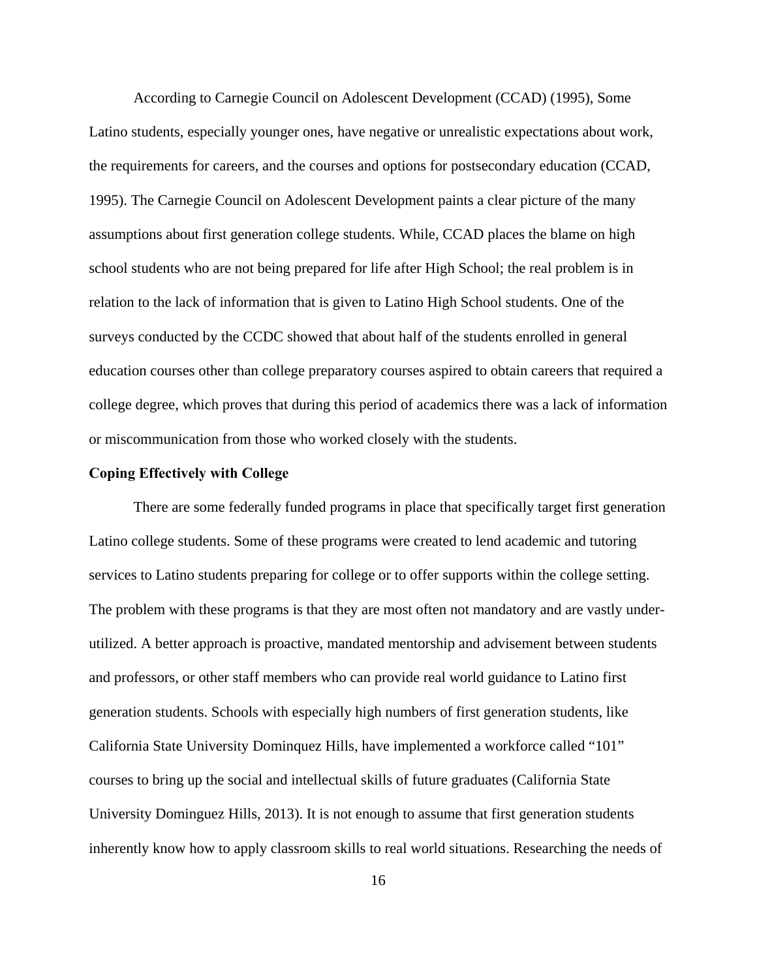According to Carnegie Council on Adolescent Development (CCAD) (1995), Some Latino students, especially younger ones, have negative or unrealistic expectations about work, the requirements for careers, and the courses and options for postsecondary education (CCAD, 1995). The Carnegie Council on Adolescent Development paints a clear picture of the many assumptions about first generation college students. While, CCAD places the blame on high school students who are not being prepared for life after High School; the real problem is in relation to the lack of information that is given to Latino High School students. One of the surveys conducted by the CCDC showed that about half of the students enrolled in general education courses other than college preparatory courses aspired to obtain careers that required a college degree, which proves that during this period of academics there was a lack of information or miscommunication from those who worked closely with the students.

#### **Coping Effectively with College**

There are some federally funded programs in place that specifically target first generation Latino college students. Some of these programs were created to lend academic and tutoring services to Latino students preparing for college or to offer supports within the college setting. The problem with these programs is that they are most often not mandatory and are vastly underutilized. A better approach is proactive, mandated mentorship and advisement between students and professors, or other staff members who can provide real world guidance to Latino first generation students. Schools with especially high numbers of first generation students, like California State University Dominquez Hills, have implemented a workforce called "101" courses to bring up the social and intellectual skills of future graduates (California State University Dominguez Hills, 2013). It is not enough to assume that first generation students inherently know how to apply classroom skills to real world situations. Researching the needs of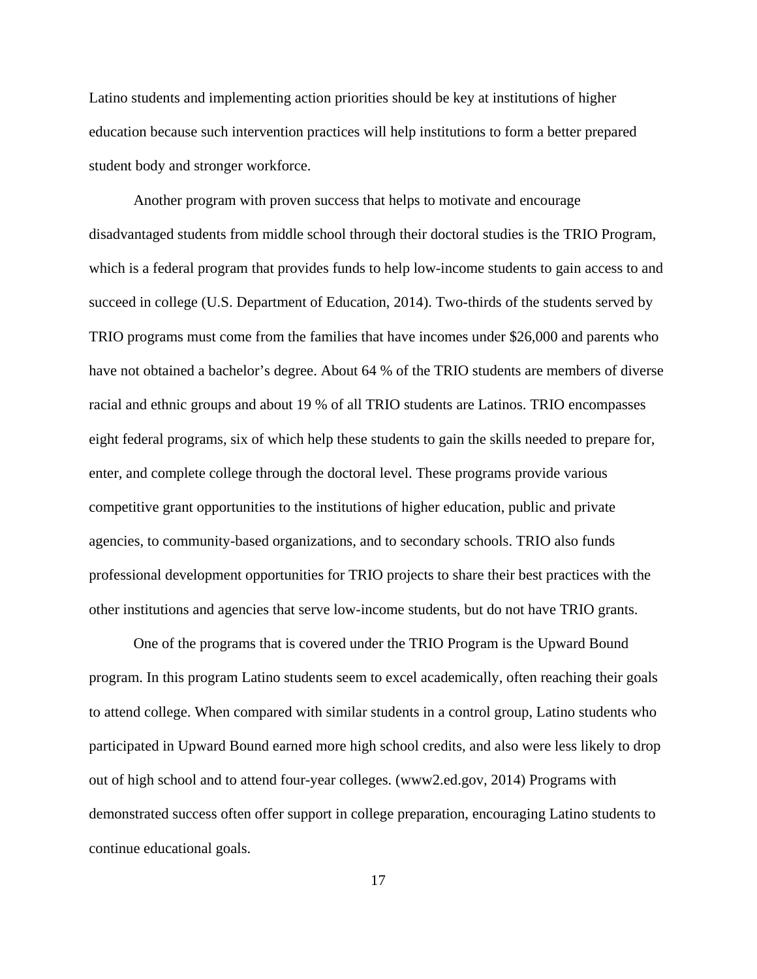Latino students and implementing action priorities should be key at institutions of higher education because such intervention practices will help institutions to form a better prepared student body and stronger workforce.

Another program with proven success that helps to motivate and encourage disadvantaged students from middle school through their doctoral studies is the TRIO Program, which is a federal program that provides funds to help low-income students to gain access to and succeed in college (U.S. Department of Education, 2014). Two-thirds of the students served by TRIO programs must come from the families that have incomes under \$26,000 and parents who have not obtained a bachelor's degree. About 64 % of the TRIO students are members of diverse racial and ethnic groups and about 19 % of all TRIO students are Latinos. TRIO encompasses eight federal programs, six of which help these students to gain the skills needed to prepare for, enter, and complete college through the doctoral level. These programs provide various competitive grant opportunities to the institutions of higher education, public and private agencies, to community-based organizations, and to secondary schools. TRIO also funds professional development opportunities for TRIO projects to share their best practices with the other institutions and agencies that serve low-income students, but do not have TRIO grants.

One of the programs that is covered under the TRIO Program is the Upward Bound program. In this program Latino students seem to excel academically, often reaching their goals to attend college. When compared with similar students in a control group, Latino students who participated in Upward Bound earned more high school credits, and also were less likely to drop out of high school and to attend four-year colleges. (www2.ed.gov, 2014) Programs with demonstrated success often offer support in college preparation, encouraging Latino students to continue educational goals.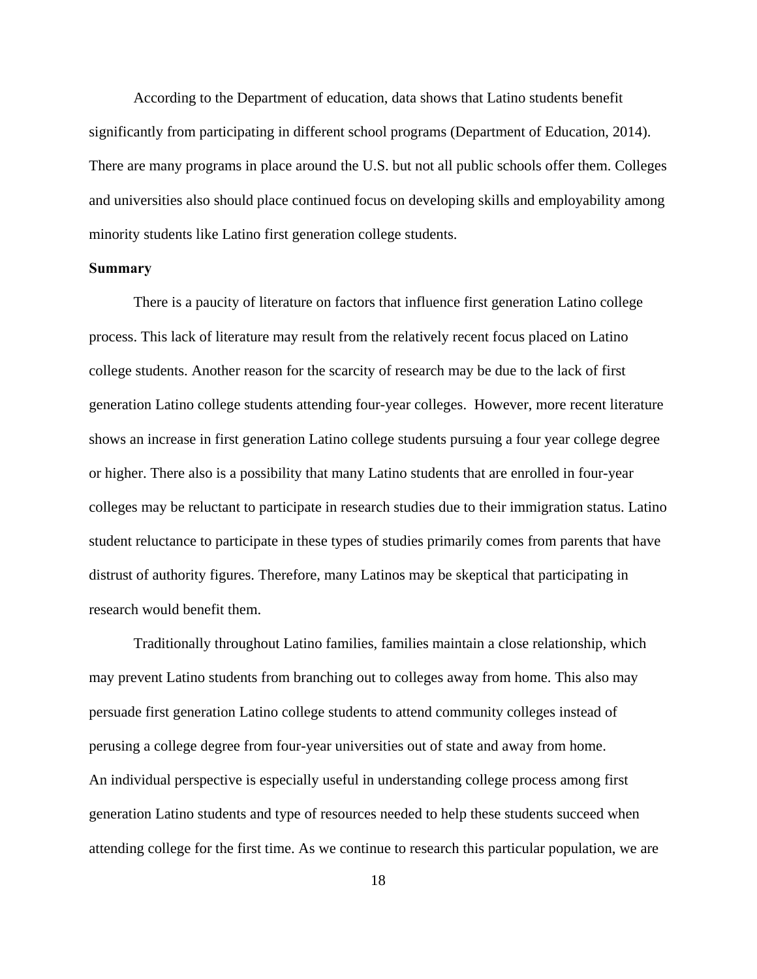According to the Department of education, data shows that Latino students benefit significantly from participating in different school programs (Department of Education, 2014). There are many programs in place around the U.S. but not all public schools offer them. Colleges and universities also should place continued focus on developing skills and employability among minority students like Latino first generation college students.

## **Summary**

 There is a paucity of literature on factors that influence first generation Latino college process. This lack of literature may result from the relatively recent focus placed on Latino college students. Another reason for the scarcity of research may be due to the lack of first generation Latino college students attending four-year colleges. However, more recent literature shows an increase in first generation Latino college students pursuing a four year college degree or higher. There also is a possibility that many Latino students that are enrolled in four-year colleges may be reluctant to participate in research studies due to their immigration status. Latino student reluctance to participate in these types of studies primarily comes from parents that have distrust of authority figures. Therefore, many Latinos may be skeptical that participating in research would benefit them.

Traditionally throughout Latino families, families maintain a close relationship, which may prevent Latino students from branching out to colleges away from home. This also may persuade first generation Latino college students to attend community colleges instead of perusing a college degree from four-year universities out of state and away from home. An individual perspective is especially useful in understanding college process among first generation Latino students and type of resources needed to help these students succeed when attending college for the first time. As we continue to research this particular population, we are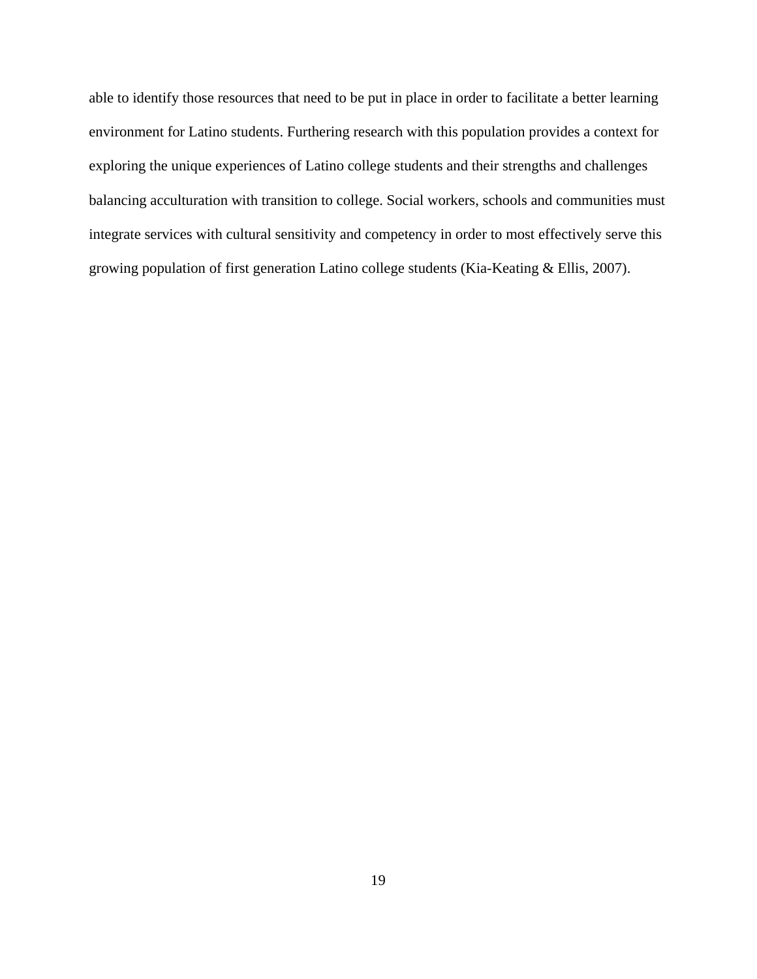able to identify those resources that need to be put in place in order to facilitate a better learning environment for Latino students. Furthering research with this population provides a context for exploring the unique experiences of Latino college students and their strengths and challenges balancing acculturation with transition to college. Social workers, schools and communities must integrate services with cultural sensitivity and competency in order to most effectively serve this growing population of first generation Latino college students (Kia-Keating & Ellis, 2007).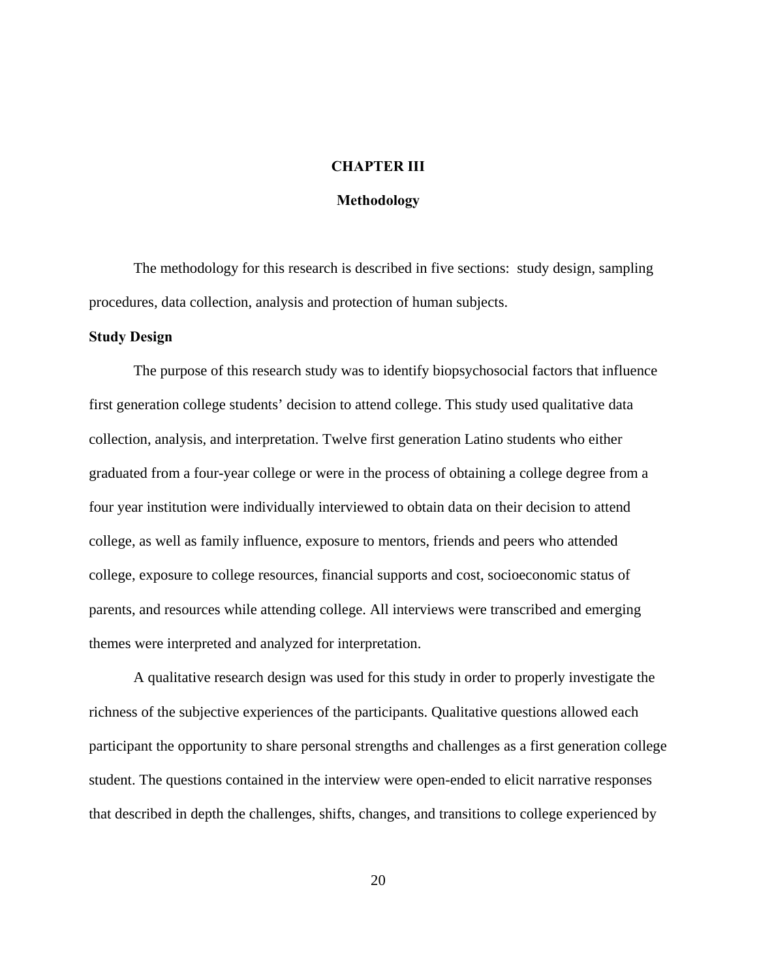## **CHAPTER III**

## **Methodology**

The methodology for this research is described in five sections: study design, sampling procedures, data collection, analysis and protection of human subjects.

#### **Study Design**

The purpose of this research study was to identify biopsychosocial factors that influence first generation college students' decision to attend college. This study used qualitative data collection, analysis, and interpretation. Twelve first generation Latino students who either graduated from a four-year college or were in the process of obtaining a college degree from a four year institution were individually interviewed to obtain data on their decision to attend college, as well as family influence, exposure to mentors, friends and peers who attended college, exposure to college resources, financial supports and cost, socioeconomic status of parents, and resources while attending college. All interviews were transcribed and emerging themes were interpreted and analyzed for interpretation.

A qualitative research design was used for this study in order to properly investigate the richness of the subjective experiences of the participants. Qualitative questions allowed each participant the opportunity to share personal strengths and challenges as a first generation college student. The questions contained in the interview were open-ended to elicit narrative responses that described in depth the challenges, shifts, changes, and transitions to college experienced by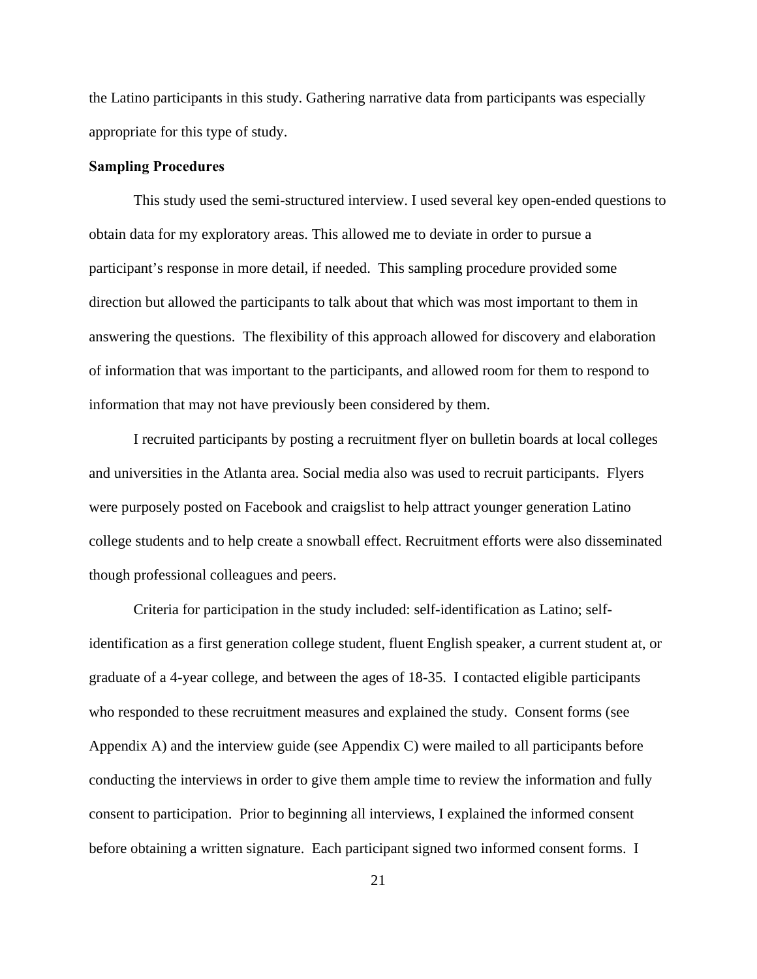the Latino participants in this study. Gathering narrative data from participants was especially appropriate for this type of study.

## **Sampling Procedures**

This study used the semi-structured interview. I used several key open-ended questions to obtain data for my exploratory areas. This allowed me to deviate in order to pursue a participant's response in more detail, if needed. This sampling procedure provided some direction but allowed the participants to talk about that which was most important to them in answering the questions. The flexibility of this approach allowed for discovery and elaboration of information that was important to the participants, and allowed room for them to respond to information that may not have previously been considered by them.

I recruited participants by posting a recruitment flyer on bulletin boards at local colleges and universities in the Atlanta area. Social media also was used to recruit participants. Flyers were purposely posted on Facebook and craigslist to help attract younger generation Latino college students and to help create a snowball effect. Recruitment efforts were also disseminated though professional colleagues and peers.

Criteria for participation in the study included: self-identification as Latino; selfidentification as a first generation college student, fluent English speaker, a current student at, or graduate of a 4-year college, and between the ages of 18-35. I contacted eligible participants who responded to these recruitment measures and explained the study. Consent forms (see Appendix A) and the interview guide (see Appendix C) were mailed to all participants before conducting the interviews in order to give them ample time to review the information and fully consent to participation. Prior to beginning all interviews, I explained the informed consent before obtaining a written signature. Each participant signed two informed consent forms. I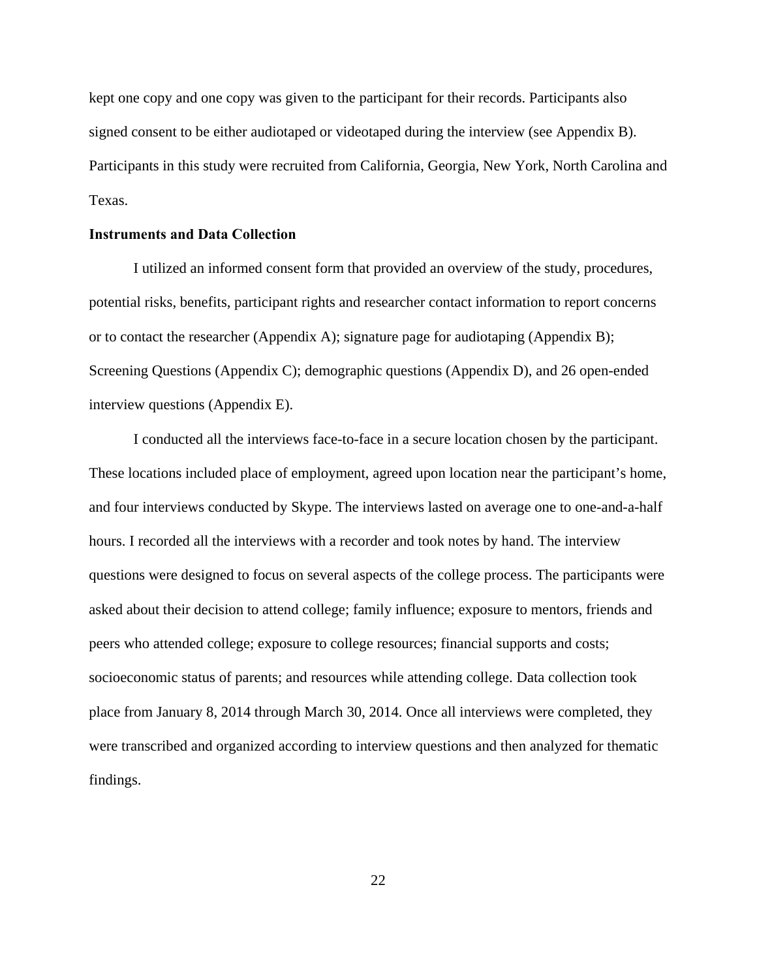kept one copy and one copy was given to the participant for their records. Participants also signed consent to be either audiotaped or videotaped during the interview (see Appendix B). Participants in this study were recruited from California, Georgia, New York, North Carolina and Texas.

## **Instruments and Data Collection**

I utilized an informed consent form that provided an overview of the study, procedures, potential risks, benefits, participant rights and researcher contact information to report concerns or to contact the researcher (Appendix A); signature page for audiotaping (Appendix B); Screening Questions (Appendix C); demographic questions (Appendix D), and 26 open-ended interview questions (Appendix E).

I conducted all the interviews face-to-face in a secure location chosen by the participant. These locations included place of employment, agreed upon location near the participant's home, and four interviews conducted by Skype. The interviews lasted on average one to one-and-a-half hours. I recorded all the interviews with a recorder and took notes by hand. The interview questions were designed to focus on several aspects of the college process. The participants were asked about their decision to attend college; family influence; exposure to mentors, friends and peers who attended college; exposure to college resources; financial supports and costs; socioeconomic status of parents; and resources while attending college. Data collection took place from January 8, 2014 through March 30, 2014. Once all interviews were completed, they were transcribed and organized according to interview questions and then analyzed for thematic findings.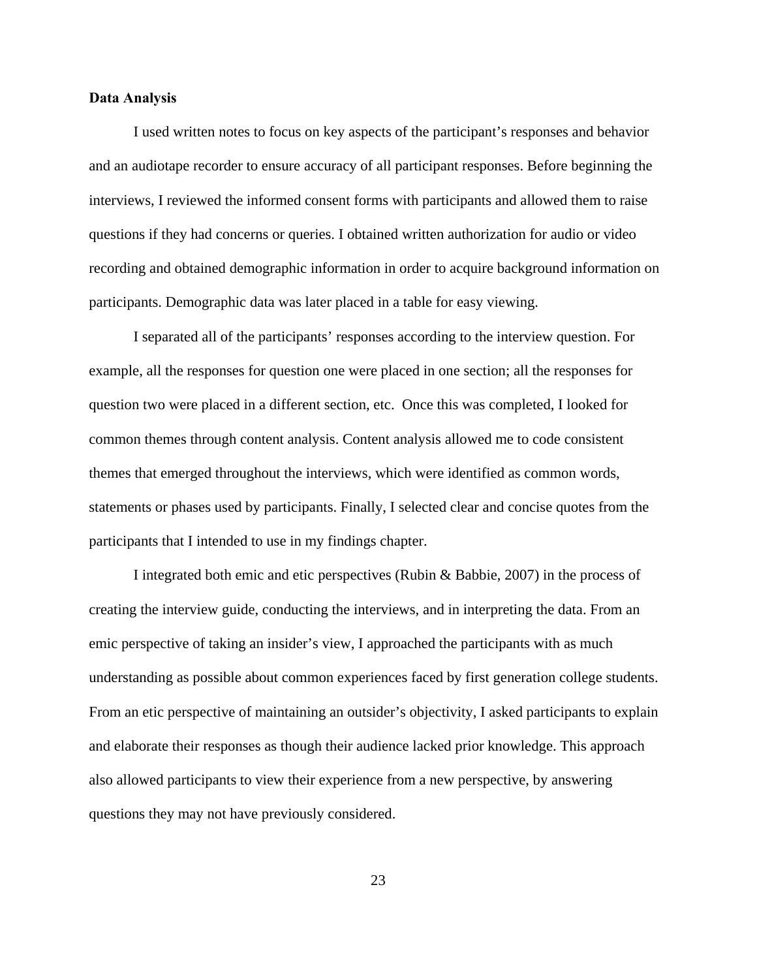## **Data Analysis**

I used written notes to focus on key aspects of the participant's responses and behavior and an audiotape recorder to ensure accuracy of all participant responses. Before beginning the interviews, I reviewed the informed consent forms with participants and allowed them to raise questions if they had concerns or queries. I obtained written authorization for audio or video recording and obtained demographic information in order to acquire background information on participants. Demographic data was later placed in a table for easy viewing.

I separated all of the participants' responses according to the interview question. For example, all the responses for question one were placed in one section; all the responses for question two were placed in a different section, etc. Once this was completed, I looked for common themes through content analysis. Content analysis allowed me to code consistent themes that emerged throughout the interviews, which were identified as common words, statements or phases used by participants. Finally, I selected clear and concise quotes from the participants that I intended to use in my findings chapter.

I integrated both emic and etic perspectives (Rubin & Babbie, 2007) in the process of creating the interview guide, conducting the interviews, and in interpreting the data. From an emic perspective of taking an insider's view, I approached the participants with as much understanding as possible about common experiences faced by first generation college students. From an etic perspective of maintaining an outsider's objectivity, I asked participants to explain and elaborate their responses as though their audience lacked prior knowledge. This approach also allowed participants to view their experience from a new perspective, by answering questions they may not have previously considered.

23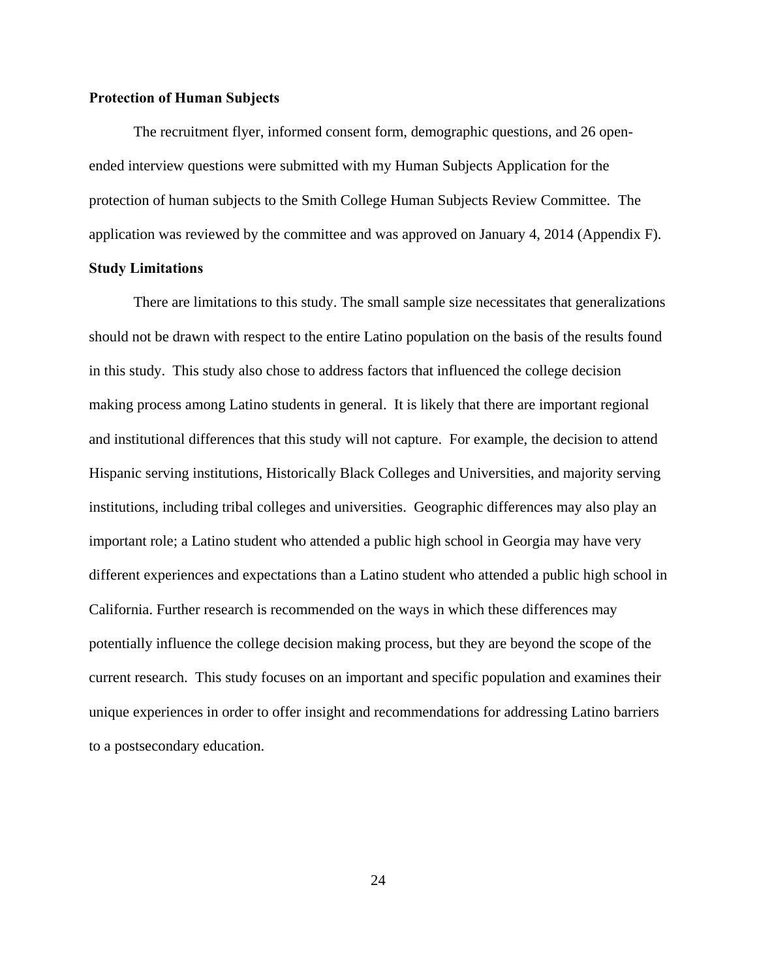## **Protection of Human Subjects**

The recruitment flyer, informed consent form, demographic questions, and 26 openended interview questions were submitted with my Human Subjects Application for the protection of human subjects to the Smith College Human Subjects Review Committee. The application was reviewed by the committee and was approved on January 4, 2014 (Appendix F).

## **Study Limitations**

There are limitations to this study. The small sample size necessitates that generalizations should not be drawn with respect to the entire Latino population on the basis of the results found in this study. This study also chose to address factors that influenced the college decision making process among Latino students in general. It is likely that there are important regional and institutional differences that this study will not capture. For example, the decision to attend Hispanic serving institutions, Historically Black Colleges and Universities, and majority serving institutions, including tribal colleges and universities. Geographic differences may also play an important role; a Latino student who attended a public high school in Georgia may have very different experiences and expectations than a Latino student who attended a public high school in California. Further research is recommended on the ways in which these differences may potentially influence the college decision making process, but they are beyond the scope of the current research. This study focuses on an important and specific population and examines their unique experiences in order to offer insight and recommendations for addressing Latino barriers to a postsecondary education.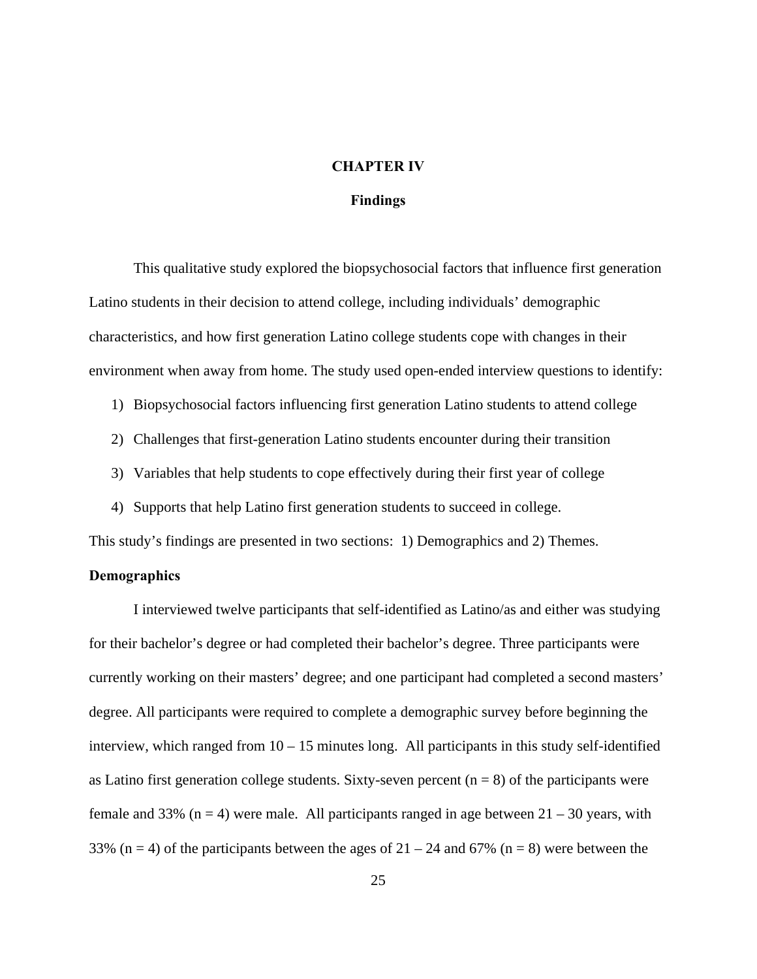## **CHAPTER IV**

## **Findings**

This qualitative study explored the biopsychosocial factors that influence first generation Latino students in their decision to attend college, including individuals' demographic characteristics, and how first generation Latino college students cope with changes in their environment when away from home. The study used open-ended interview questions to identify:

- 1) Biopsychosocial factors influencing first generation Latino students to attend college
- 2) Challenges that first-generation Latino students encounter during their transition
- 3) Variables that help students to cope effectively during their first year of college
- 4) Supports that help Latino first generation students to succeed in college.

This study's findings are presented in two sections: 1) Demographics and 2) Themes.

## **Demographics**

 I interviewed twelve participants that self-identified as Latino/as and either was studying for their bachelor's degree or had completed their bachelor's degree. Three participants were currently working on their masters' degree; and one participant had completed a second masters' degree. All participants were required to complete a demographic survey before beginning the interview, which ranged from 10 – 15 minutes long. All participants in this study self-identified as Latino first generation college students. Sixty-seven percent  $(n = 8)$  of the participants were female and 33% ( $n = 4$ ) were male. All participants ranged in age between  $21 - 30$  years, with 33% (n = 4) of the participants between the ages of  $21 - 24$  and 67% (n = 8) were between the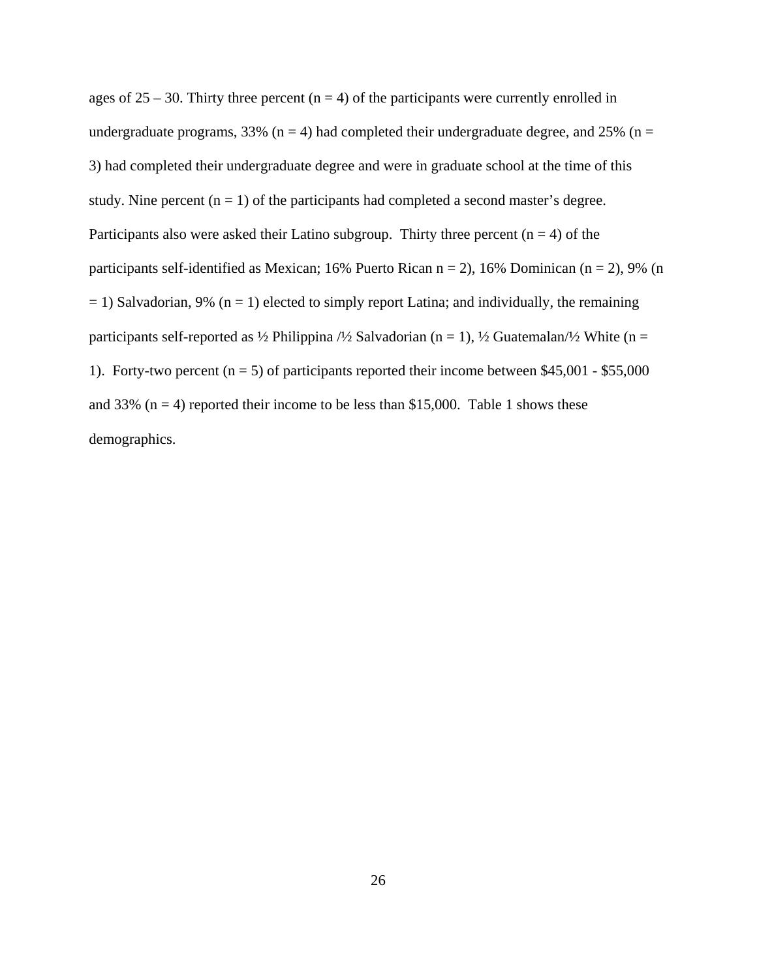ages of  $25 - 30$ . Thirty three percent (n = 4) of the participants were currently enrolled in undergraduate programs, 33% ( $n = 4$ ) had completed their undergraduate degree, and 25% ( $n =$ 3) had completed their undergraduate degree and were in graduate school at the time of this study. Nine percent  $(n = 1)$  of the participants had completed a second master's degree. Participants also were asked their Latino subgroup. Thirty three percent  $(n = 4)$  of the participants self-identified as Mexican; 16% Puerto Rican  $n = 2$ ), 16% Dominican ( $n = 2$ ), 9% (n  $= 1$ ) Salvadorian, 9% (n = 1) elected to simply report Latina; and individually, the remaining participants self-reported as  $\frac{1}{2}$  Philippina  $\frac{1}{2}$  Salvadorian (n = 1),  $\frac{1}{2}$  Guatemalan $\frac{1}{2}$  White (n = 1). Forty-two percent ( $n = 5$ ) of participants reported their income between \$45,001 - \$55,000 and 33% ( $n = 4$ ) reported their income to be less than \$15,000. Table 1 shows these demographics.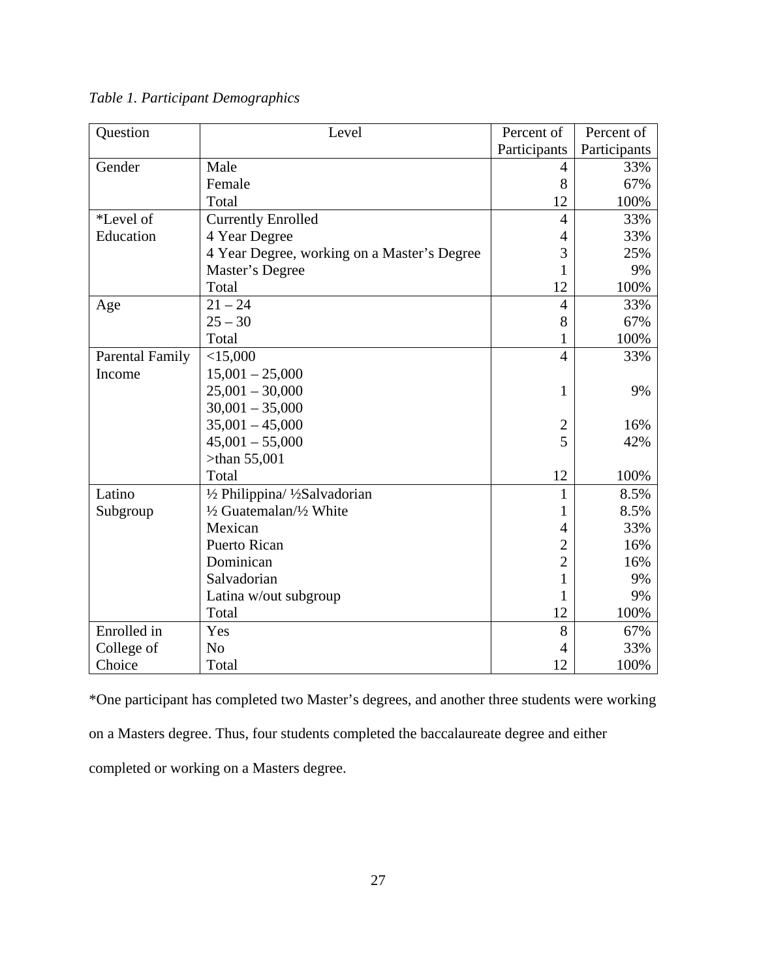| Question               | Level                                       | Percent of     | Percent of   |
|------------------------|---------------------------------------------|----------------|--------------|
|                        |                                             | Participants   | Participants |
| Gender                 | Male                                        | 4              | 33%          |
|                        | Female                                      | 8              | 67%          |
|                        | Total                                       | 12             | 100%         |
| *Level of              | <b>Currently Enrolled</b>                   | $\overline{4}$ | 33%          |
| Education              | 4 Year Degree                               | 4              | 33%          |
|                        | 4 Year Degree, working on a Master's Degree | 3              | 25%          |
|                        | Master's Degree                             | $\mathbf{1}$   | 9%           |
|                        | Total                                       | 12             | 100%         |
| Age                    | $21 - 24$                                   | $\overline{4}$ | 33%          |
|                        | $25 - 30$                                   | 8              | 67%          |
|                        | Total                                       | 1              | 100%         |
| <b>Parental Family</b> | $<$ 15,000                                  | $\overline{4}$ | 33%          |
| Income                 | $15,001 - 25,000$                           |                |              |
|                        | $25,001 - 30,000$                           | 1              | 9%           |
|                        | $30,001 - 35,000$                           |                |              |
|                        | $35,001 - 45,000$                           | $\overline{2}$ | 16%          |
|                        | $45,001 - 55,000$                           | 5              | 42%          |
|                        | $>$ than 55,001                             |                |              |
|                        | Total                                       | 12             | 100%         |
| Latino                 | 1/2 Philippina/ 1/2Salvadorian              | $\mathbf{1}$   | 8.5%         |
| Subgroup               | 1/2 Guatemalan/1/2 White                    | 1              | 8.5%         |
|                        | Mexican                                     | 4              | 33%          |
|                        | <b>Puerto Rican</b>                         | $\overline{2}$ | 16%          |
|                        | Dominican                                   | $\overline{2}$ | 16%          |
|                        | Salvadorian                                 | $\mathbf{1}$   | 9%           |
|                        | Latina w/out subgroup                       | 1              | 9%           |
|                        | Total                                       | 12             | 100%         |
| Enrolled in            | Yes                                         | 8              | 67%          |
| College of             | N <sub>o</sub>                              | 4              | 33%          |
| Choice                 | Total                                       | 12             | 100%         |

*Table 1. Participant Demographics* 

\*One participant has completed two Master's degrees, and another three students were working on a Masters degree. Thus, four students completed the baccalaureate degree and either completed or working on a Masters degree.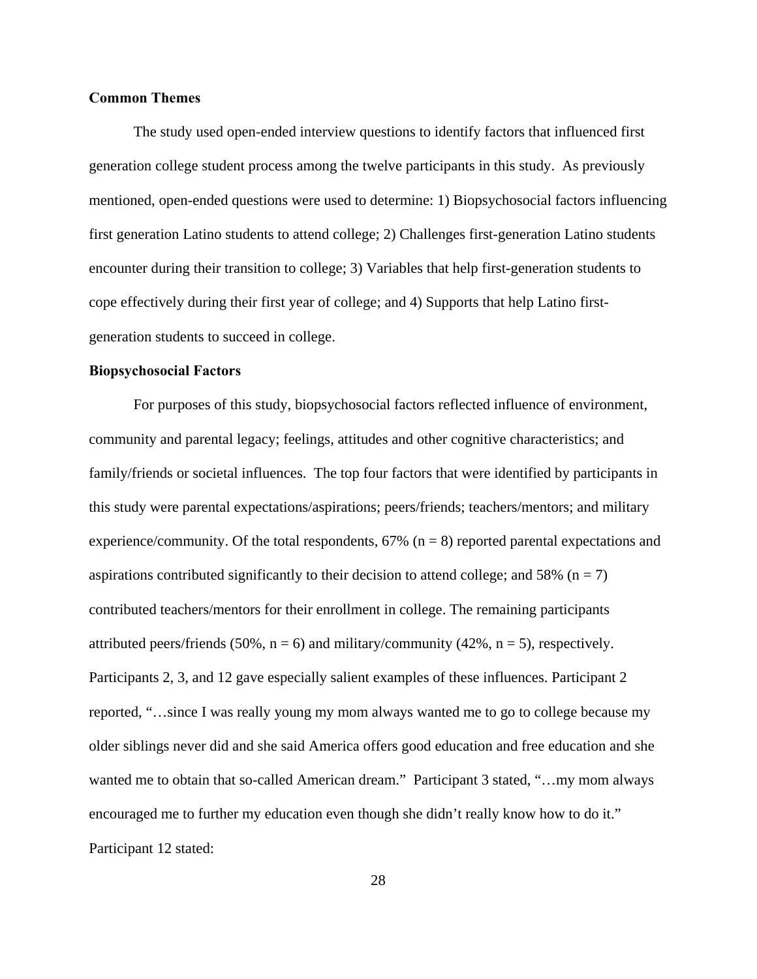## **Common Themes**

 The study used open-ended interview questions to identify factors that influenced first generation college student process among the twelve participants in this study. As previously mentioned, open-ended questions were used to determine: 1) Biopsychosocial factors influencing first generation Latino students to attend college; 2) Challenges first-generation Latino students encounter during their transition to college; 3) Variables that help first-generation students to cope effectively during their first year of college; and 4) Supports that help Latino firstgeneration students to succeed in college.

#### **Biopsychosocial Factors**

For purposes of this study, biopsychosocial factors reflected influence of environment, community and parental legacy; feelings, attitudes and other cognitive characteristics; and family/friends or societal influences. The top four factors that were identified by participants in this study were parental expectations/aspirations; peers/friends; teachers/mentors; and military experience/community. Of the total respondents,  $67\%$  ( $n = 8$ ) reported parental expectations and aspirations contributed significantly to their decision to attend college; and 58% ( $n = 7$ ) contributed teachers/mentors for their enrollment in college. The remaining participants attributed peers/friends (50%,  $n = 6$ ) and military/community (42%,  $n = 5$ ), respectively. Participants 2, 3, and 12 gave especially salient examples of these influences. Participant 2 reported, "…since I was really young my mom always wanted me to go to college because my older siblings never did and she said America offers good education and free education and she wanted me to obtain that so-called American dream." Participant 3 stated, "…my mom always encouraged me to further my education even though she didn't really know how to do it." Participant 12 stated: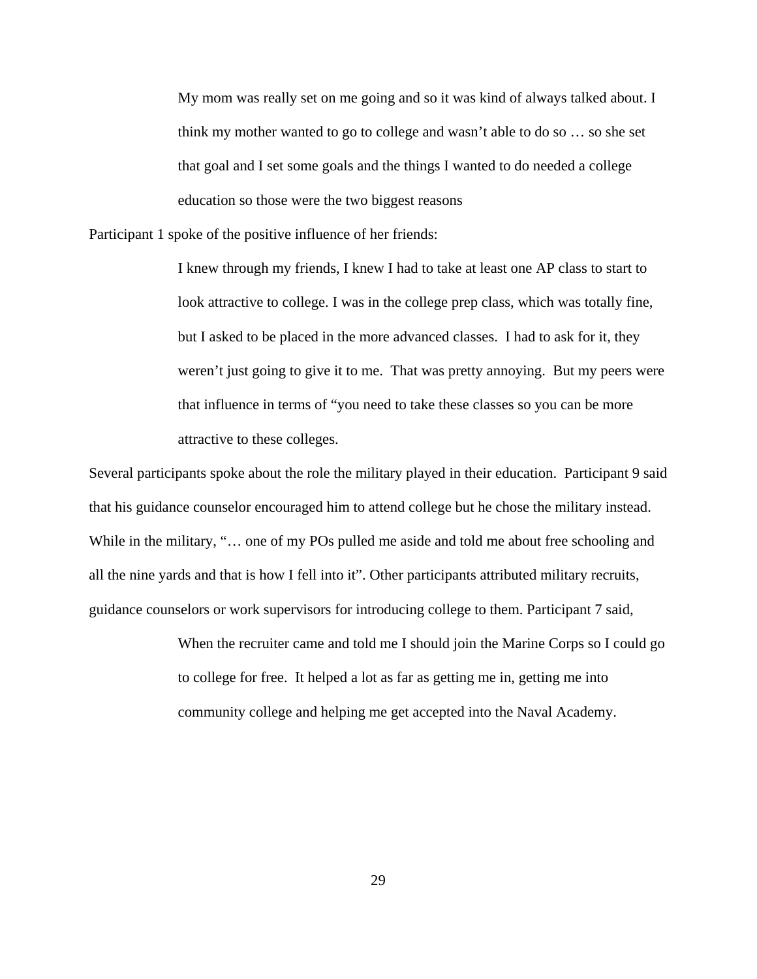My mom was really set on me going and so it was kind of always talked about. I think my mother wanted to go to college and wasn't able to do so … so she set that goal and I set some goals and the things I wanted to do needed a college education so those were the two biggest reasons

Participant 1 spoke of the positive influence of her friends:

I knew through my friends, I knew I had to take at least one AP class to start to look attractive to college. I was in the college prep class, which was totally fine, but I asked to be placed in the more advanced classes. I had to ask for it, they weren't just going to give it to me. That was pretty annoying. But my peers were that influence in terms of "you need to take these classes so you can be more attractive to these colleges.

Several participants spoke about the role the military played in their education. Participant 9 said that his guidance counselor encouraged him to attend college but he chose the military instead. While in the military, "... one of my POs pulled me aside and told me about free schooling and all the nine yards and that is how I fell into it". Other participants attributed military recruits, guidance counselors or work supervisors for introducing college to them. Participant 7 said,

> When the recruiter came and told me I should join the Marine Corps so I could go to college for free. It helped a lot as far as getting me in, getting me into community college and helping me get accepted into the Naval Academy.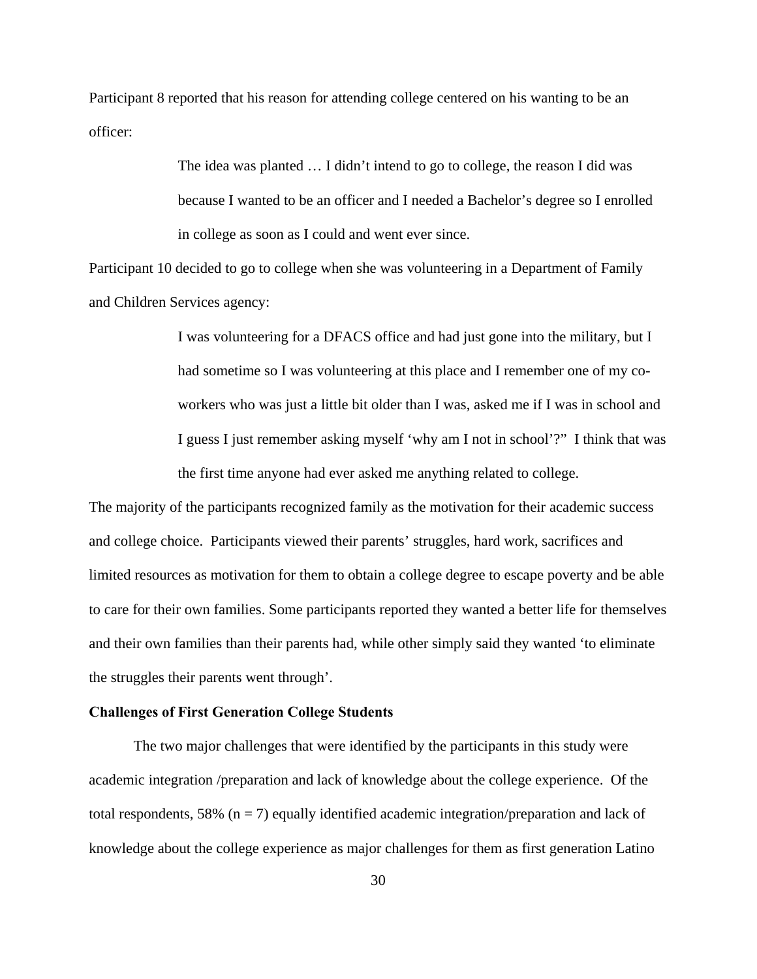Participant 8 reported that his reason for attending college centered on his wanting to be an officer:

> The idea was planted … I didn't intend to go to college, the reason I did was because I wanted to be an officer and I needed a Bachelor's degree so I enrolled in college as soon as I could and went ever since.

Participant 10 decided to go to college when she was volunteering in a Department of Family and Children Services agency:

> I was volunteering for a DFACS office and had just gone into the military, but I had sometime so I was volunteering at this place and I remember one of my coworkers who was just a little bit older than I was, asked me if I was in school and I guess I just remember asking myself 'why am I not in school'?" I think that was the first time anyone had ever asked me anything related to college.

The majority of the participants recognized family as the motivation for their academic success and college choice. Participants viewed their parents' struggles, hard work, sacrifices and limited resources as motivation for them to obtain a college degree to escape poverty and be able to care for their own families. Some participants reported they wanted a better life for themselves and their own families than their parents had, while other simply said they wanted 'to eliminate the struggles their parents went through'.

#### **Challenges of First Generation College Students**

 The two major challenges that were identified by the participants in this study were academic integration /preparation and lack of knowledge about the college experience. Of the total respondents, 58% ( $n = 7$ ) equally identified academic integration/preparation and lack of knowledge about the college experience as major challenges for them as first generation Latino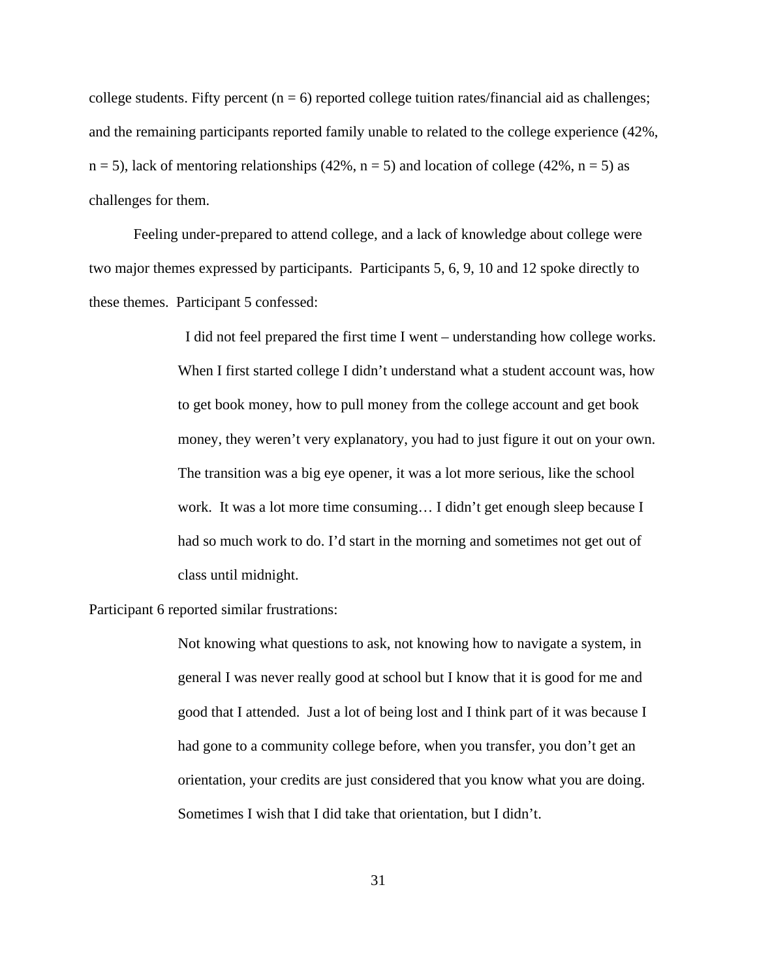college students. Fifty percent  $(n = 6)$  reported college tuition rates/financial aid as challenges; and the remaining participants reported family unable to related to the college experience (42%,  $n = 5$ ), lack of mentoring relationships (42%,  $n = 5$ ) and location of college (42%,  $n = 5$ ) as challenges for them.

 Feeling under-prepared to attend college, and a lack of knowledge about college were two major themes expressed by participants. Participants 5, 6, 9, 10 and 12 spoke directly to these themes. Participant 5 confessed:

> I did not feel prepared the first time I went – understanding how college works. When I first started college I didn't understand what a student account was, how to get book money, how to pull money from the college account and get book money, they weren't very explanatory, you had to just figure it out on your own. The transition was a big eye opener, it was a lot more serious, like the school work. It was a lot more time consuming… I didn't get enough sleep because I had so much work to do. I'd start in the morning and sometimes not get out of class until midnight.

Participant 6 reported similar frustrations:

Not knowing what questions to ask, not knowing how to navigate a system, in general I was never really good at school but I know that it is good for me and good that I attended. Just a lot of being lost and I think part of it was because I had gone to a community college before, when you transfer, you don't get an orientation, your credits are just considered that you know what you are doing. Sometimes I wish that I did take that orientation, but I didn't.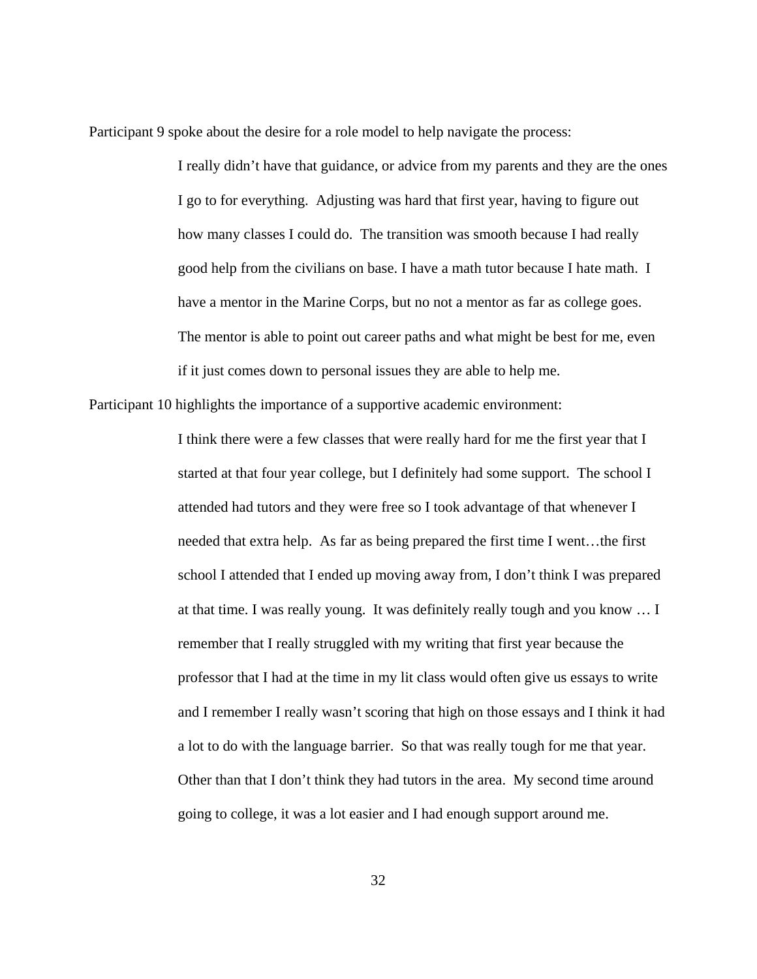Participant 9 spoke about the desire for a role model to help navigate the process:

I really didn't have that guidance, or advice from my parents and they are the ones I go to for everything. Adjusting was hard that first year, having to figure out how many classes I could do. The transition was smooth because I had really good help from the civilians on base. I have a math tutor because I hate math. I have a mentor in the Marine Corps, but no not a mentor as far as college goes. The mentor is able to point out career paths and what might be best for me, even if it just comes down to personal issues they are able to help me.

Participant 10 highlights the importance of a supportive academic environment:

I think there were a few classes that were really hard for me the first year that I started at that four year college, but I definitely had some support. The school I attended had tutors and they were free so I took advantage of that whenever I needed that extra help. As far as being prepared the first time I went…the first school I attended that I ended up moving away from, I don't think I was prepared at that time. I was really young. It was definitely really tough and you know … I remember that I really struggled with my writing that first year because the professor that I had at the time in my lit class would often give us essays to write and I remember I really wasn't scoring that high on those essays and I think it had a lot to do with the language barrier. So that was really tough for me that year. Other than that I don't think they had tutors in the area. My second time around going to college, it was a lot easier and I had enough support around me.

32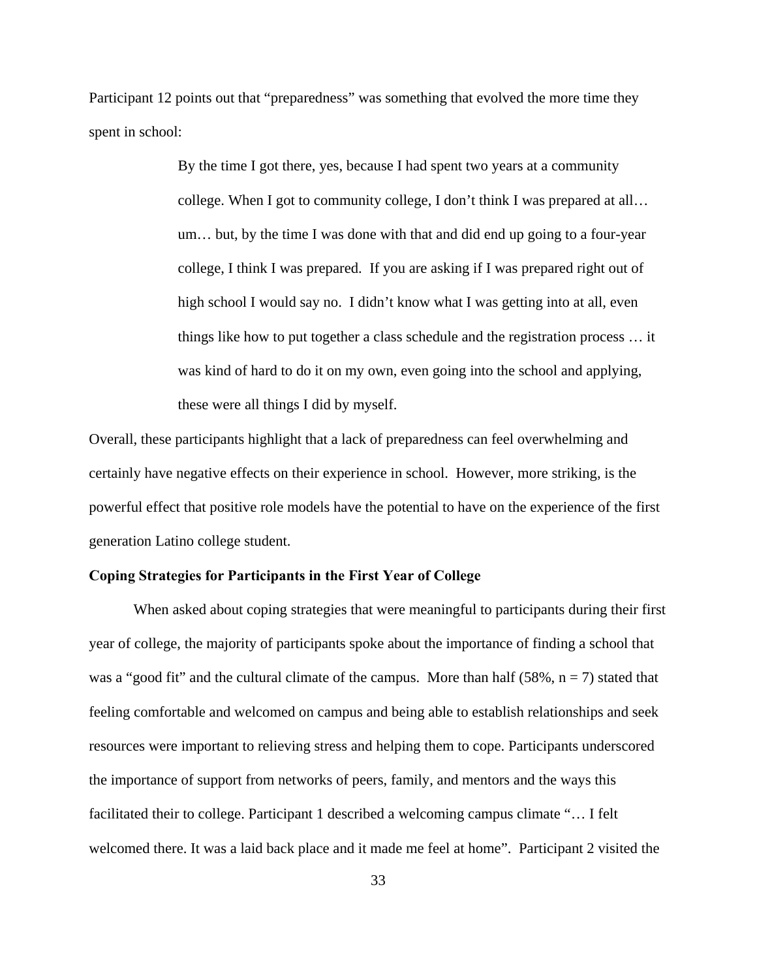Participant 12 points out that "preparedness" was something that evolved the more time they spent in school:

> By the time I got there, yes, because I had spent two years at a community college. When I got to community college, I don't think I was prepared at all… um… but, by the time I was done with that and did end up going to a four-year college, I think I was prepared. If you are asking if I was prepared right out of high school I would say no. I didn't know what I was getting into at all, even things like how to put together a class schedule and the registration process … it was kind of hard to do it on my own, even going into the school and applying, these were all things I did by myself.

Overall, these participants highlight that a lack of preparedness can feel overwhelming and certainly have negative effects on their experience in school. However, more striking, is the powerful effect that positive role models have the potential to have on the experience of the first generation Latino college student.

## **Coping Strategies for Participants in the First Year of College**

 When asked about coping strategies that were meaningful to participants during their first year of college, the majority of participants spoke about the importance of finding a school that was a "good fit" and the cultural climate of the campus. More than half (58%,  $n = 7$ ) stated that feeling comfortable and welcomed on campus and being able to establish relationships and seek resources were important to relieving stress and helping them to cope. Participants underscored the importance of support from networks of peers, family, and mentors and the ways this facilitated their to college. Participant 1 described a welcoming campus climate "… I felt welcomed there. It was a laid back place and it made me feel at home". Participant 2 visited the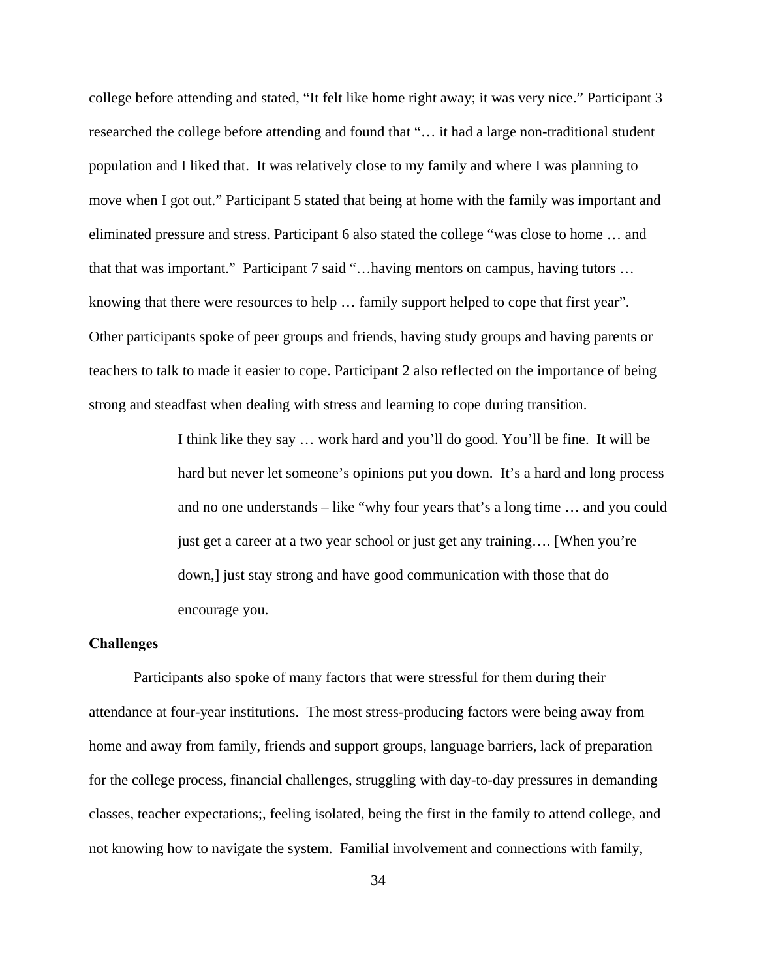college before attending and stated, "It felt like home right away; it was very nice." Participant 3 researched the college before attending and found that "… it had a large non-traditional student population and I liked that. It was relatively close to my family and where I was planning to move when I got out." Participant 5 stated that being at home with the family was important and eliminated pressure and stress. Participant 6 also stated the college "was close to home … and that that was important." Participant 7 said "…having mentors on campus, having tutors … knowing that there were resources to help … family support helped to cope that first year". Other participants spoke of peer groups and friends, having study groups and having parents or teachers to talk to made it easier to cope. Participant 2 also reflected on the importance of being strong and steadfast when dealing with stress and learning to cope during transition.

> I think like they say … work hard and you'll do good. You'll be fine. It will be hard but never let someone's opinions put you down. It's a hard and long process and no one understands – like "why four years that's a long time … and you could just get a career at a two year school or just get any training…. [When you're down,] just stay strong and have good communication with those that do encourage you.

#### **Challenges**

Participants also spoke of many factors that were stressful for them during their attendance at four-year institutions. The most stress-producing factors were being away from home and away from family, friends and support groups, language barriers, lack of preparation for the college process, financial challenges, struggling with day-to-day pressures in demanding classes, teacher expectations;, feeling isolated, being the first in the family to attend college, and not knowing how to navigate the system. Familial involvement and connections with family,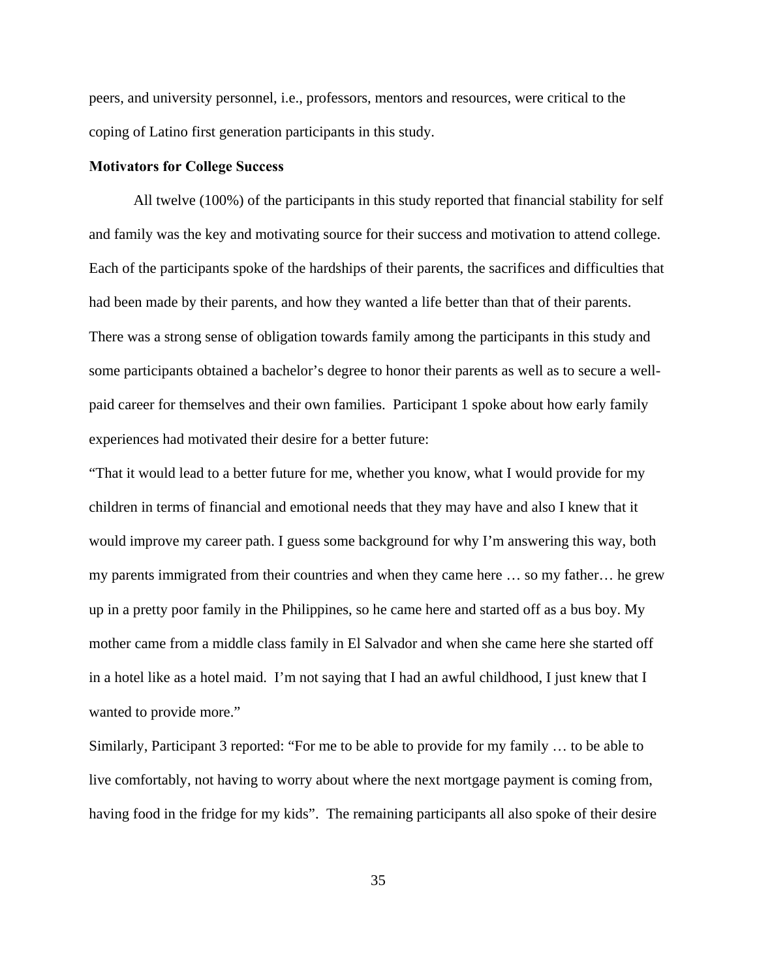peers, and university personnel, i.e., professors, mentors and resources, were critical to the coping of Latino first generation participants in this study.

#### **Motivators for College Success**

 All twelve (100%) of the participants in this study reported that financial stability for self and family was the key and motivating source for their success and motivation to attend college. Each of the participants spoke of the hardships of their parents, the sacrifices and difficulties that had been made by their parents, and how they wanted a life better than that of their parents. There was a strong sense of obligation towards family among the participants in this study and some participants obtained a bachelor's degree to honor their parents as well as to secure a wellpaid career for themselves and their own families. Participant 1 spoke about how early family experiences had motivated their desire for a better future:

"That it would lead to a better future for me, whether you know, what I would provide for my children in terms of financial and emotional needs that they may have and also I knew that it would improve my career path. I guess some background for why I'm answering this way, both my parents immigrated from their countries and when they came here … so my father… he grew up in a pretty poor family in the Philippines, so he came here and started off as a bus boy. My mother came from a middle class family in El Salvador and when she came here she started off in a hotel like as a hotel maid. I'm not saying that I had an awful childhood, I just knew that I wanted to provide more."

Similarly, Participant 3 reported: "For me to be able to provide for my family … to be able to live comfortably, not having to worry about where the next mortgage payment is coming from, having food in the fridge for my kids". The remaining participants all also spoke of their desire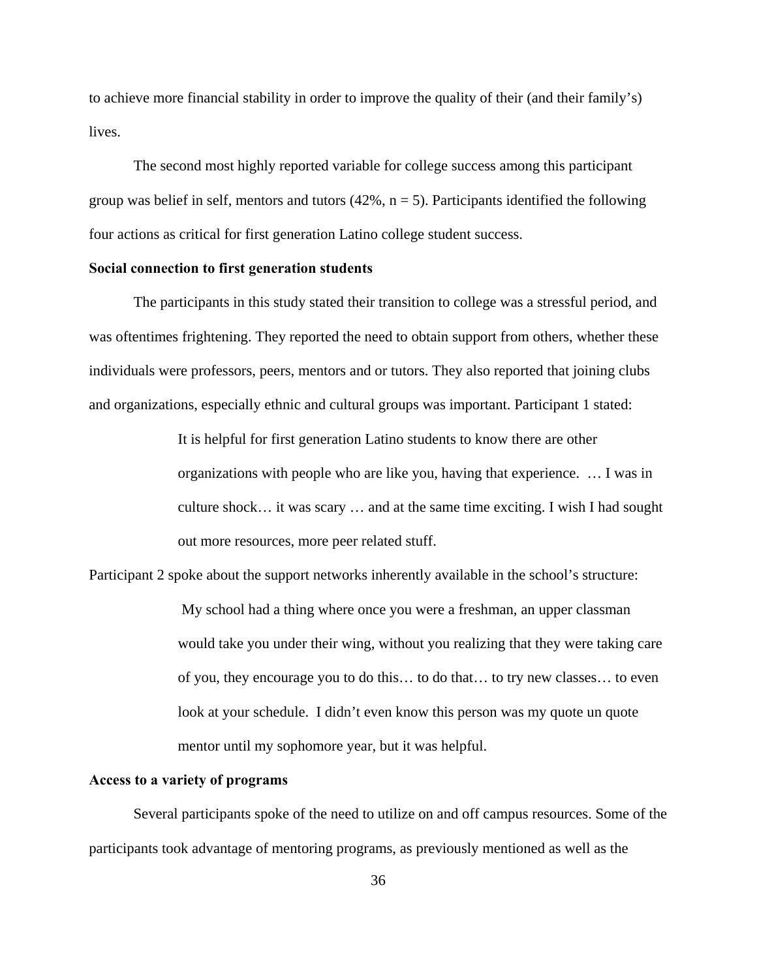to achieve more financial stability in order to improve the quality of their (and their family's) lives.

 The second most highly reported variable for college success among this participant group was belief in self, mentors and tutors  $(42\%, n = 5)$ . Participants identified the following four actions as critical for first generation Latino college student success.

## **Social connection to first generation students**

The participants in this study stated their transition to college was a stressful period, and was oftentimes frightening. They reported the need to obtain support from others, whether these individuals were professors, peers, mentors and or tutors. They also reported that joining clubs and organizations, especially ethnic and cultural groups was important. Participant 1 stated:

> It is helpful for first generation Latino students to know there are other organizations with people who are like you, having that experience. … I was in culture shock… it was scary … and at the same time exciting. I wish I had sought out more resources, more peer related stuff.

Participant 2 spoke about the support networks inherently available in the school's structure:

 My school had a thing where once you were a freshman, an upper classman would take you under their wing, without you realizing that they were taking care of you, they encourage you to do this… to do that… to try new classes… to even look at your schedule. I didn't even know this person was my quote un quote mentor until my sophomore year, but it was helpful.

#### **Access to a variety of programs**

Several participants spoke of the need to utilize on and off campus resources. Some of the participants took advantage of mentoring programs, as previously mentioned as well as the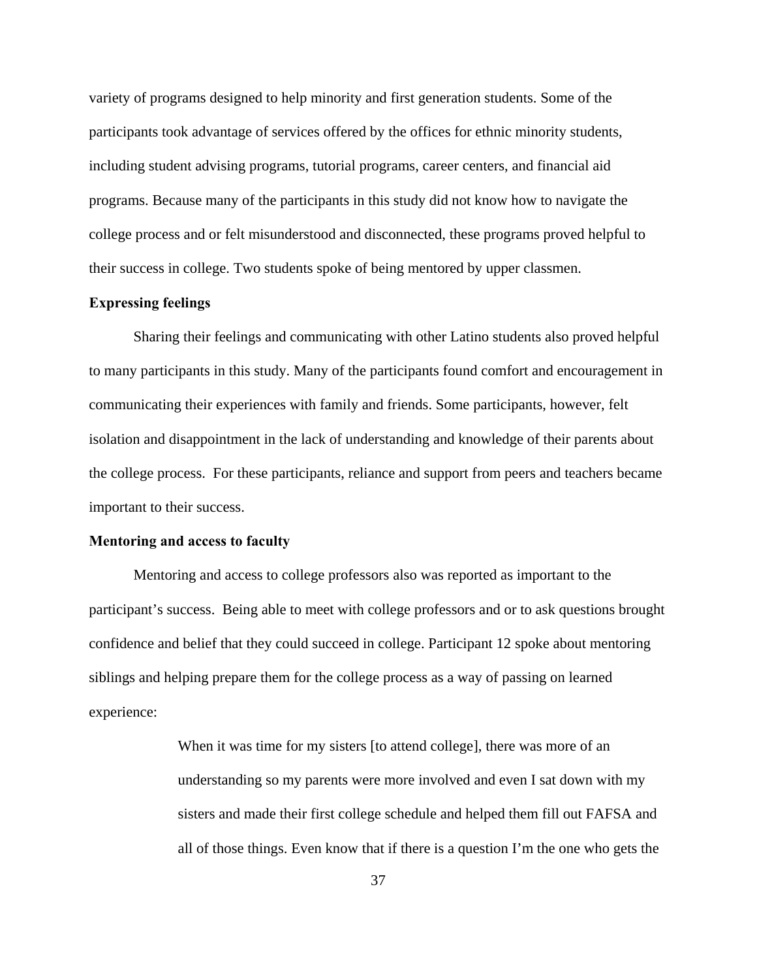variety of programs designed to help minority and first generation students. Some of the participants took advantage of services offered by the offices for ethnic minority students, including student advising programs, tutorial programs, career centers, and financial aid programs. Because many of the participants in this study did not know how to navigate the college process and or felt misunderstood and disconnected, these programs proved helpful to their success in college. Two students spoke of being mentored by upper classmen.

## **Expressing feelings**

Sharing their feelings and communicating with other Latino students also proved helpful to many participants in this study. Many of the participants found comfort and encouragement in communicating their experiences with family and friends. Some participants, however, felt isolation and disappointment in the lack of understanding and knowledge of their parents about the college process. For these participants, reliance and support from peers and teachers became important to their success.

#### **Mentoring and access to faculty**

Mentoring and access to college professors also was reported as important to the participant's success. Being able to meet with college professors and or to ask questions brought confidence and belief that they could succeed in college. Participant 12 spoke about mentoring siblings and helping prepare them for the college process as a way of passing on learned experience:

> When it was time for my sisters [to attend college], there was more of an understanding so my parents were more involved and even I sat down with my sisters and made their first college schedule and helped them fill out FAFSA and all of those things. Even know that if there is a question I'm the one who gets the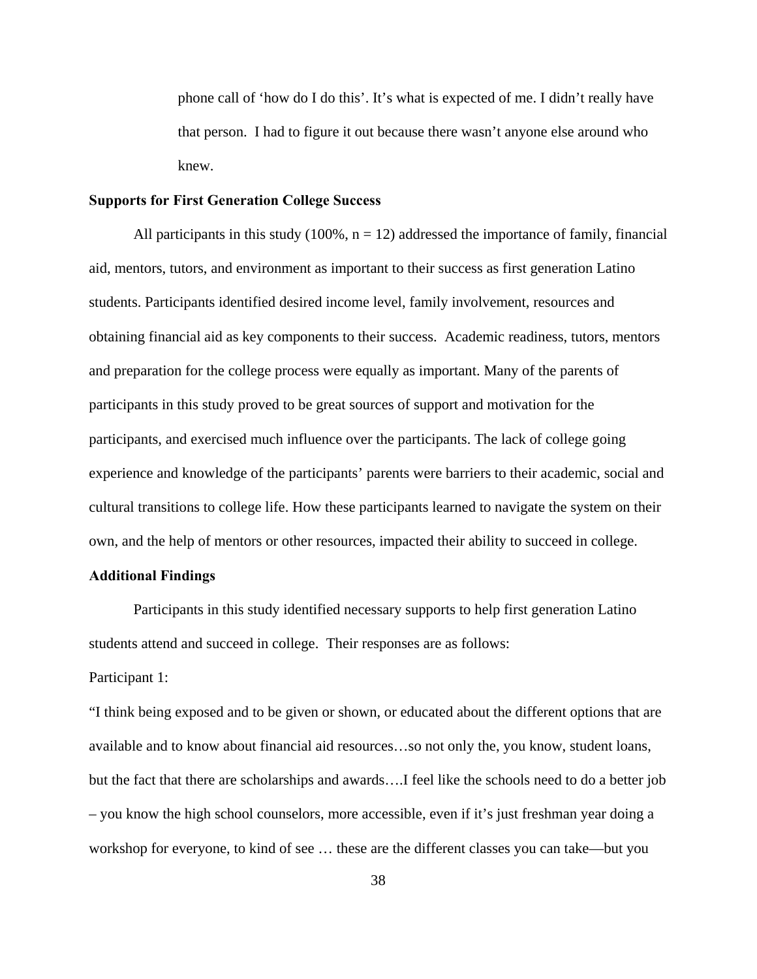phone call of 'how do I do this'. It's what is expected of me. I didn't really have that person. I had to figure it out because there wasn't anyone else around who knew.

### **Supports for First Generation College Success**

All participants in this study  $(100\%, n = 12)$  addressed the importance of family, financial aid, mentors, tutors, and environment as important to their success as first generation Latino students. Participants identified desired income level, family involvement, resources and obtaining financial aid as key components to their success. Academic readiness, tutors, mentors and preparation for the college process were equally as important. Many of the parents of participants in this study proved to be great sources of support and motivation for the participants, and exercised much influence over the participants. The lack of college going experience and knowledge of the participants' parents were barriers to their academic, social and cultural transitions to college life. How these participants learned to navigate the system on their own, and the help of mentors or other resources, impacted their ability to succeed in college.

## **Additional Findings**

 Participants in this study identified necessary supports to help first generation Latino students attend and succeed in college. Their responses are as follows:

Participant 1:

"I think being exposed and to be given or shown, or educated about the different options that are available and to know about financial aid resources…so not only the, you know, student loans, but the fact that there are scholarships and awards….I feel like the schools need to do a better job – you know the high school counselors, more accessible, even if it's just freshman year doing a workshop for everyone, to kind of see … these are the different classes you can take—but you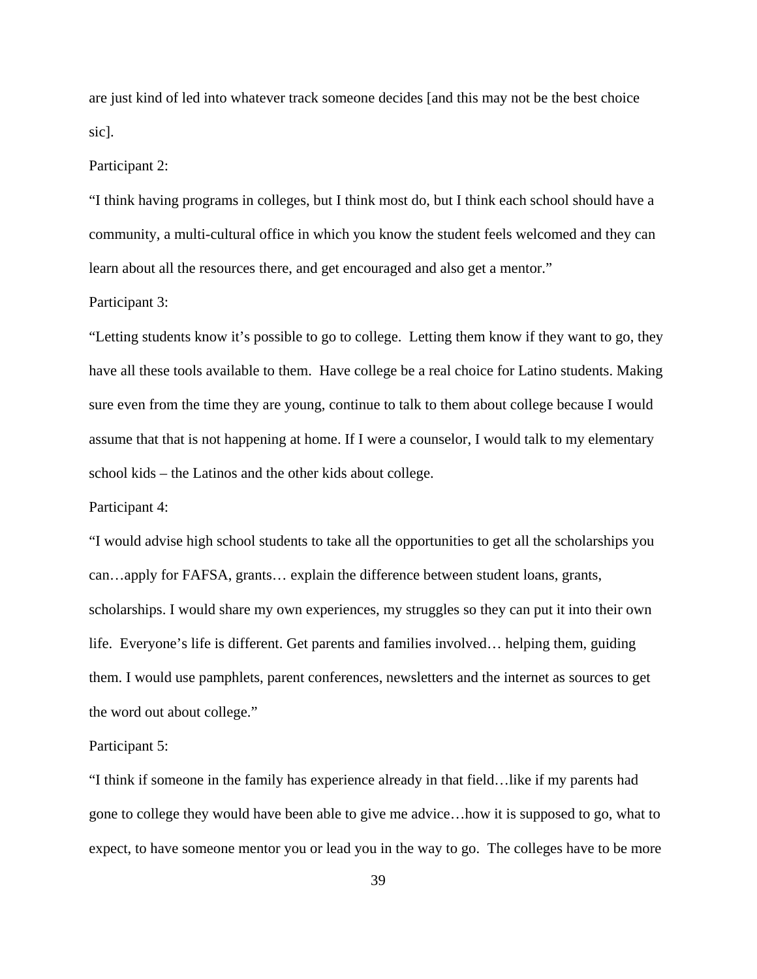are just kind of led into whatever track someone decides [and this may not be the best choice sic].

#### Participant 2:

"I think having programs in colleges, but I think most do, but I think each school should have a community, a multi-cultural office in which you know the student feels welcomed and they can learn about all the resources there, and get encouraged and also get a mentor."

#### Participant 3:

"Letting students know it's possible to go to college. Letting them know if they want to go, they have all these tools available to them. Have college be a real choice for Latino students. Making sure even from the time they are young, continue to talk to them about college because I would assume that that is not happening at home. If I were a counselor, I would talk to my elementary school kids – the Latinos and the other kids about college.

#### Participant 4:

"I would advise high school students to take all the opportunities to get all the scholarships you can…apply for FAFSA, grants… explain the difference between student loans, grants, scholarships. I would share my own experiences, my struggles so they can put it into their own life. Everyone's life is different. Get parents and families involved… helping them, guiding them. I would use pamphlets, parent conferences, newsletters and the internet as sources to get the word out about college."

#### Participant 5:

"I think if someone in the family has experience already in that field…like if my parents had gone to college they would have been able to give me advice…how it is supposed to go, what to expect, to have someone mentor you or lead you in the way to go. The colleges have to be more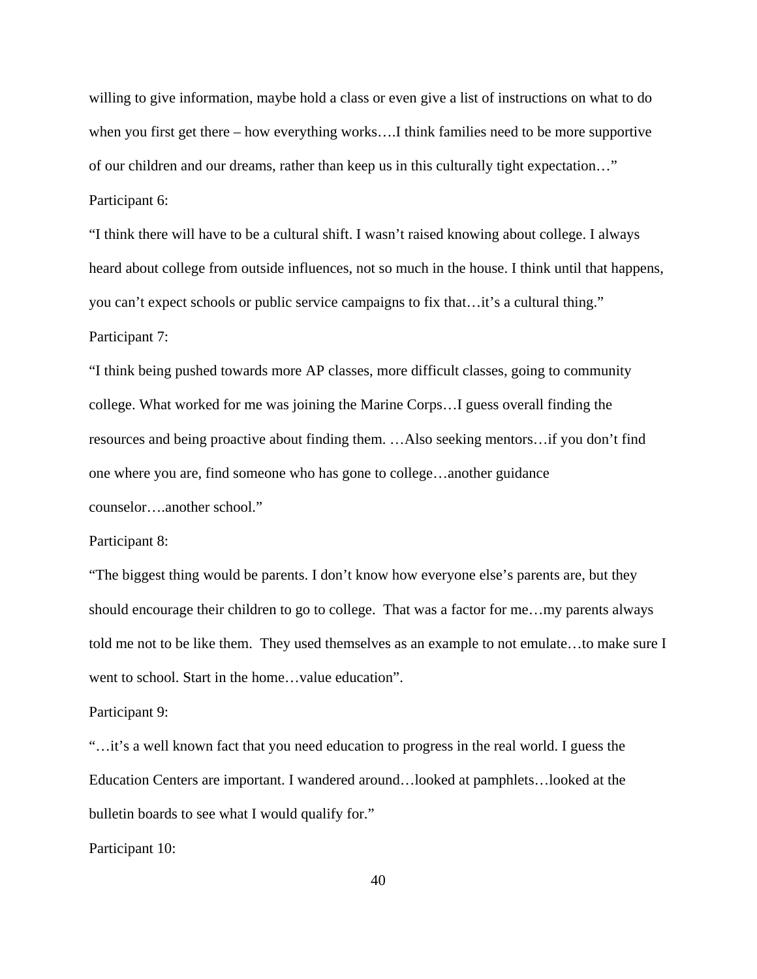willing to give information, maybe hold a class or even give a list of instructions on what to do when you first get there – how everything works….I think families need to be more supportive of our children and our dreams, rather than keep us in this culturally tight expectation…" Participant 6:

"I think there will have to be a cultural shift. I wasn't raised knowing about college. I always heard about college from outside influences, not so much in the house. I think until that happens, you can't expect schools or public service campaigns to fix that…it's a cultural thing." Participant 7:

"I think being pushed towards more AP classes, more difficult classes, going to community college. What worked for me was joining the Marine Corps…I guess overall finding the resources and being proactive about finding them. …Also seeking mentors…if you don't find one where you are, find someone who has gone to college…another guidance counselor….another school."

#### Participant 8:

"The biggest thing would be parents. I don't know how everyone else's parents are, but they should encourage their children to go to college. That was a factor for me…my parents always told me not to be like them. They used themselves as an example to not emulate…to make sure I went to school. Start in the home…value education".

#### Participant 9:

"…it's a well known fact that you need education to progress in the real world. I guess the Education Centers are important. I wandered around…looked at pamphlets…looked at the bulletin boards to see what I would qualify for."

Participant 10: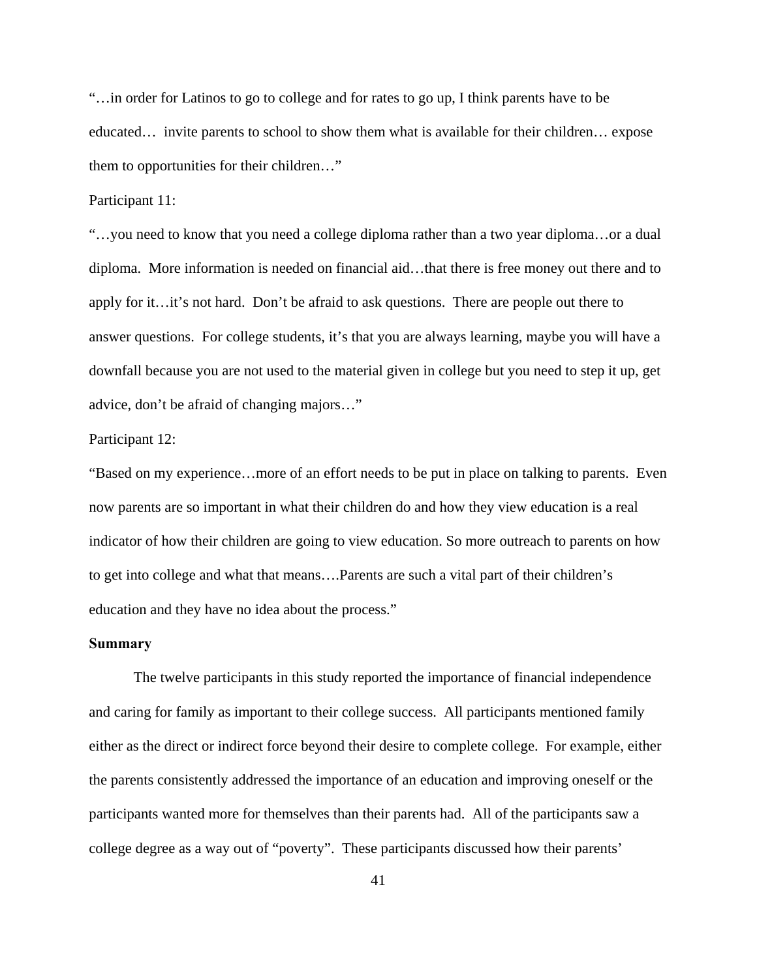"…in order for Latinos to go to college and for rates to go up, I think parents have to be educated… invite parents to school to show them what is available for their children… expose them to opportunities for their children…"

Participant 11:

"…you need to know that you need a college diploma rather than a two year diploma…or a dual diploma. More information is needed on financial aid…that there is free money out there and to apply for it…it's not hard. Don't be afraid to ask questions. There are people out there to answer questions. For college students, it's that you are always learning, maybe you will have a downfall because you are not used to the material given in college but you need to step it up, get advice, don't be afraid of changing majors…"

#### Participant 12:

"Based on my experience…more of an effort needs to be put in place on talking to parents. Even now parents are so important in what their children do and how they view education is a real indicator of how their children are going to view education. So more outreach to parents on how to get into college and what that means….Parents are such a vital part of their children's education and they have no idea about the process."

#### **Summary**

 The twelve participants in this study reported the importance of financial independence and caring for family as important to their college success. All participants mentioned family either as the direct or indirect force beyond their desire to complete college. For example, either the parents consistently addressed the importance of an education and improving oneself or the participants wanted more for themselves than their parents had. All of the participants saw a college degree as a way out of "poverty". These participants discussed how their parents'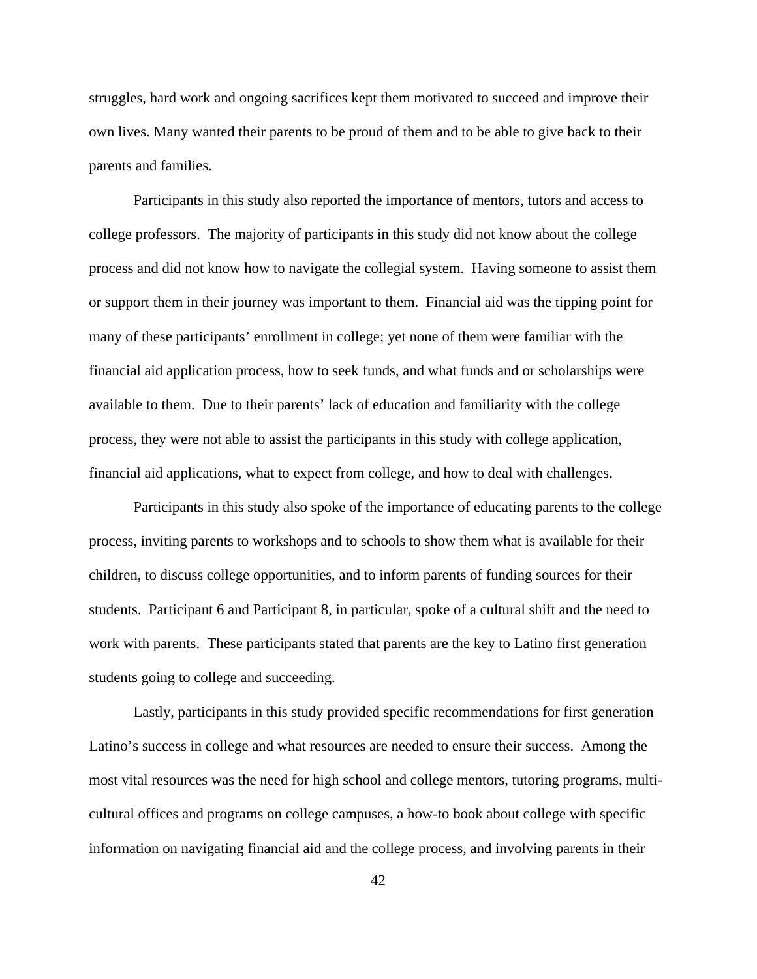struggles, hard work and ongoing sacrifices kept them motivated to succeed and improve their own lives. Many wanted their parents to be proud of them and to be able to give back to their parents and families.

 Participants in this study also reported the importance of mentors, tutors and access to college professors. The majority of participants in this study did not know about the college process and did not know how to navigate the collegial system. Having someone to assist them or support them in their journey was important to them. Financial aid was the tipping point for many of these participants' enrollment in college; yet none of them were familiar with the financial aid application process, how to seek funds, and what funds and or scholarships were available to them. Due to their parents' lack of education and familiarity with the college process, they were not able to assist the participants in this study with college application, financial aid applications, what to expect from college, and how to deal with challenges.

 Participants in this study also spoke of the importance of educating parents to the college process, inviting parents to workshops and to schools to show them what is available for their children, to discuss college opportunities, and to inform parents of funding sources for their students. Participant 6 and Participant 8, in particular, spoke of a cultural shift and the need to work with parents. These participants stated that parents are the key to Latino first generation students going to college and succeeding.

 Lastly, participants in this study provided specific recommendations for first generation Latino's success in college and what resources are needed to ensure their success. Among the most vital resources was the need for high school and college mentors, tutoring programs, multicultural offices and programs on college campuses, a how-to book about college with specific information on navigating financial aid and the college process, and involving parents in their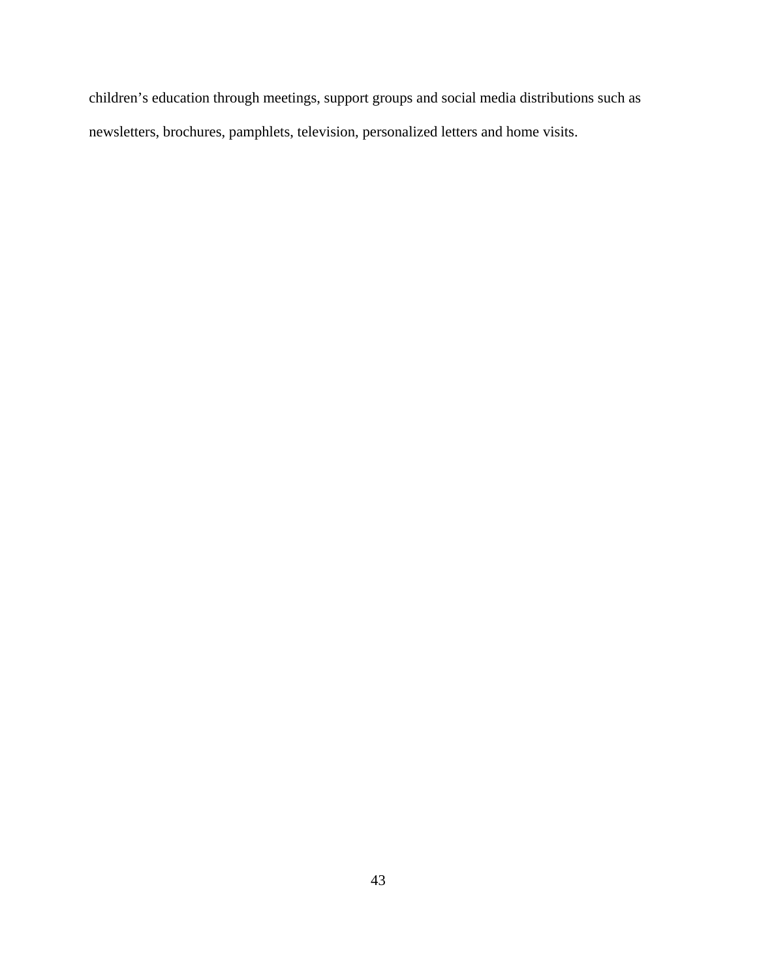children's education through meetings, support groups and social media distributions such as newsletters, brochures, pamphlets, television, personalized letters and home visits.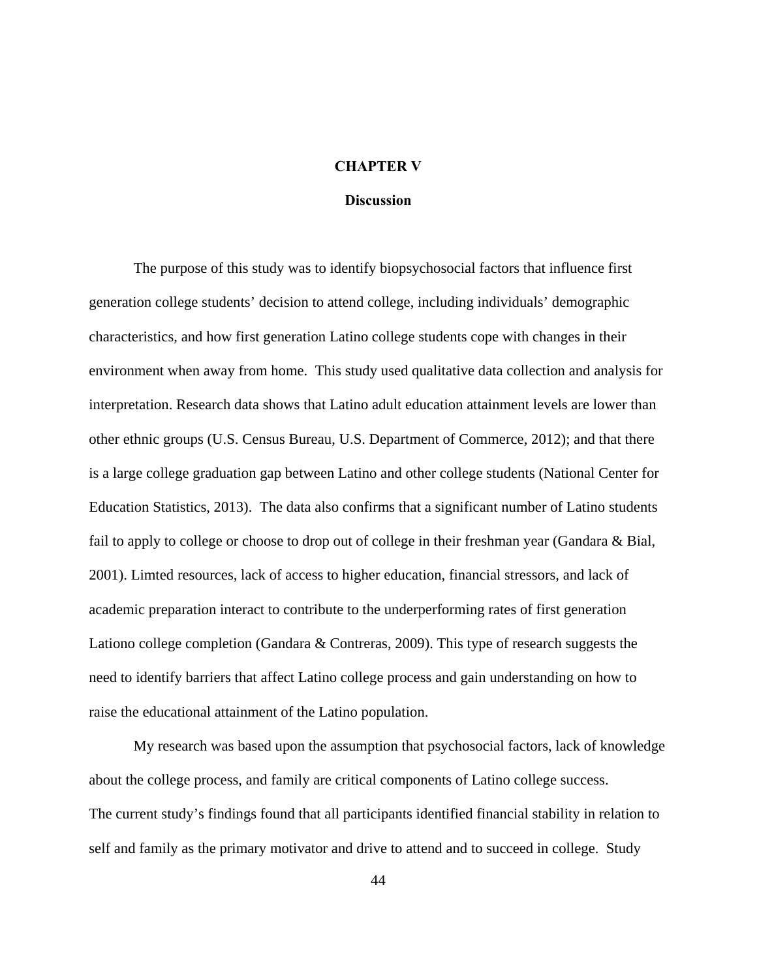## **CHAPTER V**

## **Discussion**

The purpose of this study was to identify biopsychosocial factors that influence first generation college students' decision to attend college, including individuals' demographic characteristics, and how first generation Latino college students cope with changes in their environment when away from home. This study used qualitative data collection and analysis for interpretation. Research data shows that Latino adult education attainment levels are lower than other ethnic groups (U.S. Census Bureau, U.S. Department of Commerce, 2012); and that there is a large college graduation gap between Latino and other college students (National Center for Education Statistics, 2013). The data also confirms that a significant number of Latino students fail to apply to college or choose to drop out of college in their freshman year (Gandara & Bial, 2001). Limted resources, lack of access to higher education, financial stressors, and lack of academic preparation interact to contribute to the underperforming rates of first generation Lationo college completion (Gandara & Contreras, 2009). This type of research suggests the need to identify barriers that affect Latino college process and gain understanding on how to raise the educational attainment of the Latino population.

My research was based upon the assumption that psychosocial factors, lack of knowledge about the college process, and family are critical components of Latino college success. The current study's findings found that all participants identified financial stability in relation to self and family as the primary motivator and drive to attend and to succeed in college. Study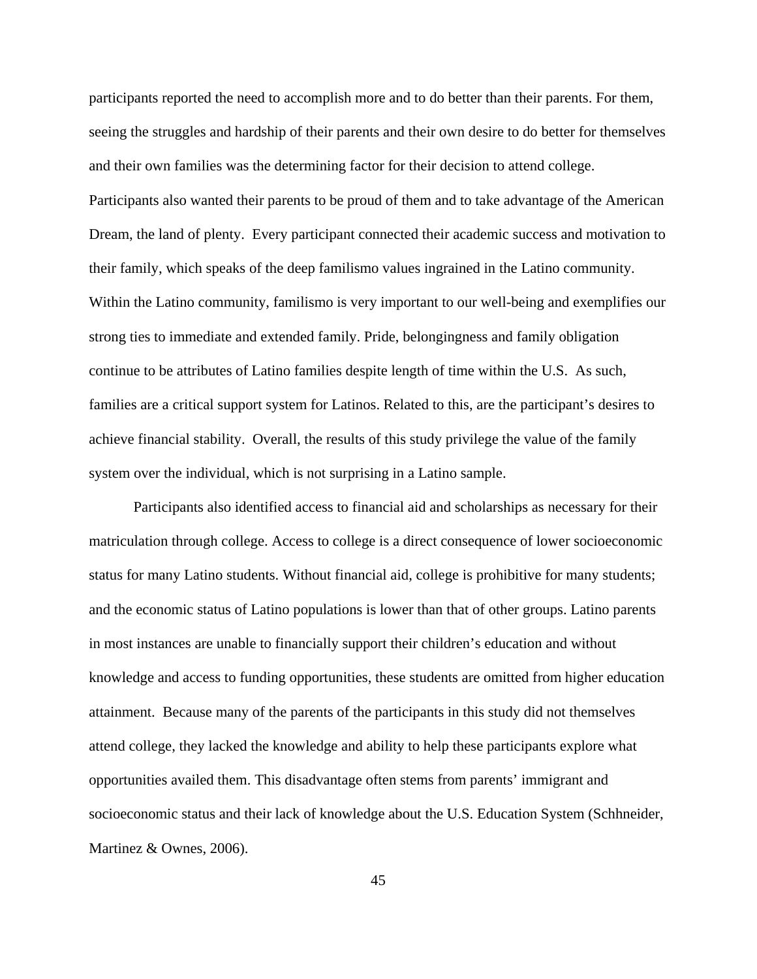participants reported the need to accomplish more and to do better than their parents. For them, seeing the struggles and hardship of their parents and their own desire to do better for themselves and their own families was the determining factor for their decision to attend college. Participants also wanted their parents to be proud of them and to take advantage of the American Dream, the land of plenty. Every participant connected their academic success and motivation to their family, which speaks of the deep familismo values ingrained in the Latino community. Within the Latino community, familismo is very important to our well-being and exemplifies our strong ties to immediate and extended family. Pride, belongingness and family obligation continue to be attributes of Latino families despite length of time within the U.S. As such, families are a critical support system for Latinos. Related to this, are the participant's desires to achieve financial stability. Overall, the results of this study privilege the value of the family system over the individual, which is not surprising in a Latino sample.

Participants also identified access to financial aid and scholarships as necessary for their matriculation through college. Access to college is a direct consequence of lower socioeconomic status for many Latino students. Without financial aid, college is prohibitive for many students; and the economic status of Latino populations is lower than that of other groups. Latino parents in most instances are unable to financially support their children's education and without knowledge and access to funding opportunities, these students are omitted from higher education attainment. Because many of the parents of the participants in this study did not themselves attend college, they lacked the knowledge and ability to help these participants explore what opportunities availed them. This disadvantage often stems from parents' immigrant and socioeconomic status and their lack of knowledge about the U.S. Education System (Schhneider, Martinez & Ownes, 2006).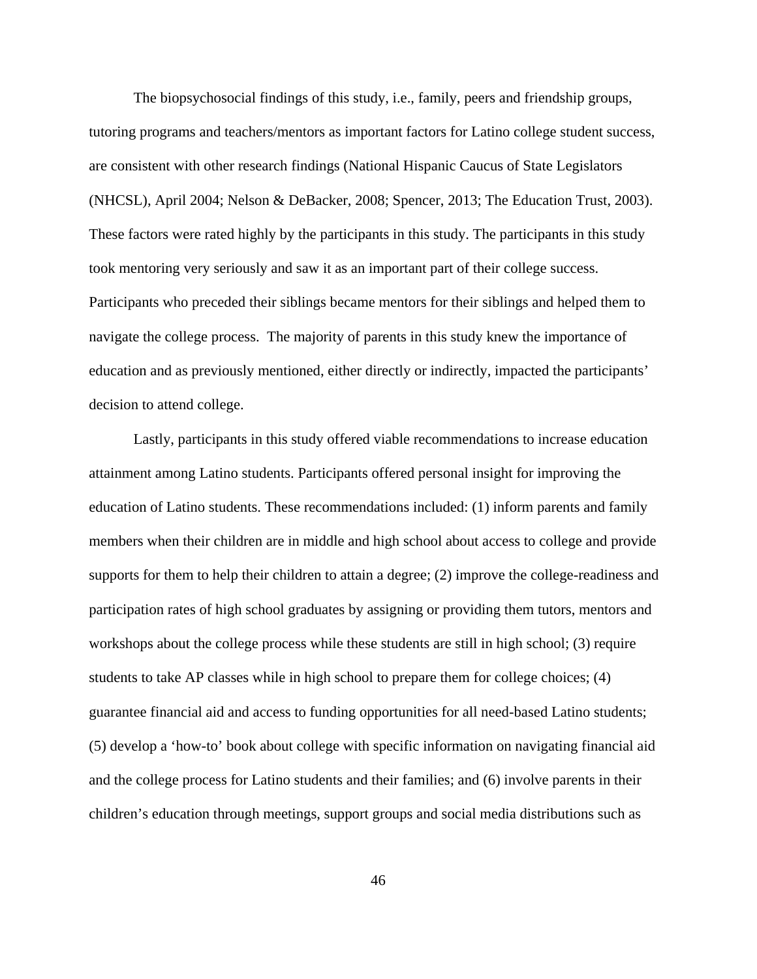The biopsychosocial findings of this study, i.e., family, peers and friendship groups, tutoring programs and teachers/mentors as important factors for Latino college student success, are consistent with other research findings (National Hispanic Caucus of State Legislators (NHCSL), April 2004; Nelson & DeBacker, 2008; Spencer, 2013; The Education Trust, 2003). These factors were rated highly by the participants in this study. The participants in this study took mentoring very seriously and saw it as an important part of their college success. Participants who preceded their siblings became mentors for their siblings and helped them to navigate the college process. The majority of parents in this study knew the importance of education and as previously mentioned, either directly or indirectly, impacted the participants' decision to attend college.

Lastly, participants in this study offered viable recommendations to increase education attainment among Latino students. Participants offered personal insight for improving the education of Latino students. These recommendations included: (1) inform parents and family members when their children are in middle and high school about access to college and provide supports for them to help their children to attain a degree; (2) improve the college-readiness and participation rates of high school graduates by assigning or providing them tutors, mentors and workshops about the college process while these students are still in high school; (3) require students to take AP classes while in high school to prepare them for college choices; (4) guarantee financial aid and access to funding opportunities for all need-based Latino students; (5) develop a 'how-to' book about college with specific information on navigating financial aid and the college process for Latino students and their families; and (6) involve parents in their children's education through meetings, support groups and social media distributions such as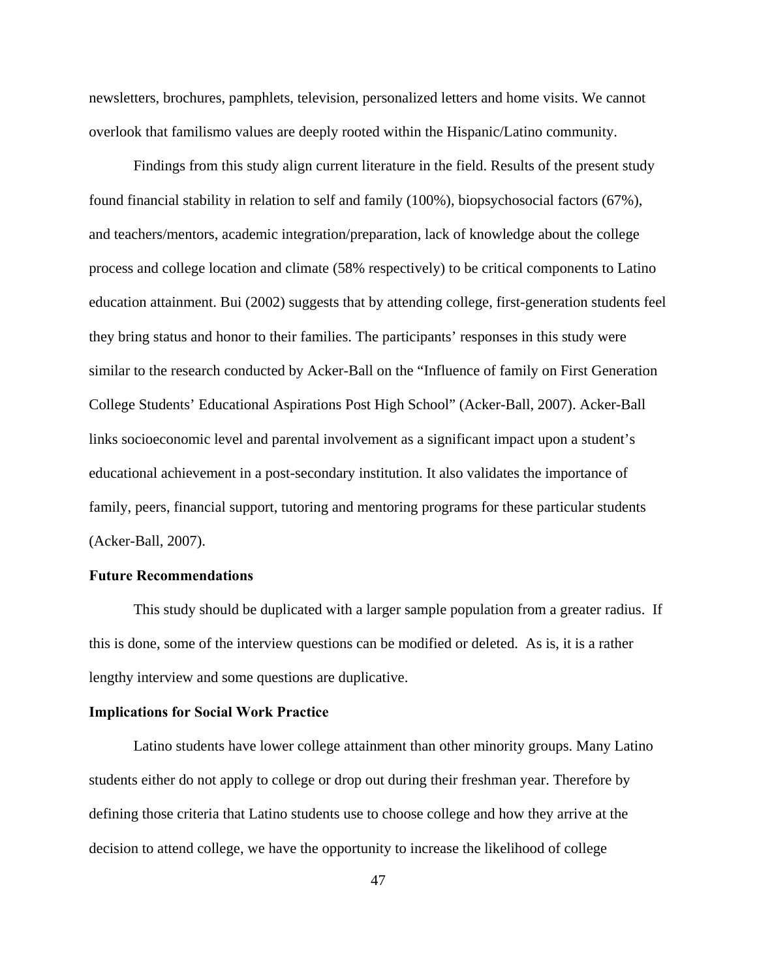newsletters, brochures, pamphlets, television, personalized letters and home visits. We cannot overlook that familismo values are deeply rooted within the Hispanic/Latino community.

 Findings from this study align current literature in the field. Results of the present study found financial stability in relation to self and family (100%), biopsychosocial factors (67%), and teachers/mentors, academic integration/preparation, lack of knowledge about the college process and college location and climate (58% respectively) to be critical components to Latino education attainment. Bui (2002) suggests that by attending college, first-generation students feel they bring status and honor to their families. The participants' responses in this study were similar to the research conducted by Acker-Ball on the "Influence of family on First Generation College Students' Educational Aspirations Post High School" (Acker-Ball, 2007). Acker-Ball links socioeconomic level and parental involvement as a significant impact upon a student's educational achievement in a post-secondary institution. It also validates the importance of family, peers, financial support, tutoring and mentoring programs for these particular students (Acker-Ball, 2007).

#### **Future Recommendations**

 This study should be duplicated with a larger sample population from a greater radius. If this is done, some of the interview questions can be modified or deleted. As is, it is a rather lengthy interview and some questions are duplicative.

#### **Implications for Social Work Practice**

 Latino students have lower college attainment than other minority groups. Many Latino students either do not apply to college or drop out during their freshman year. Therefore by defining those criteria that Latino students use to choose college and how they arrive at the decision to attend college, we have the opportunity to increase the likelihood of college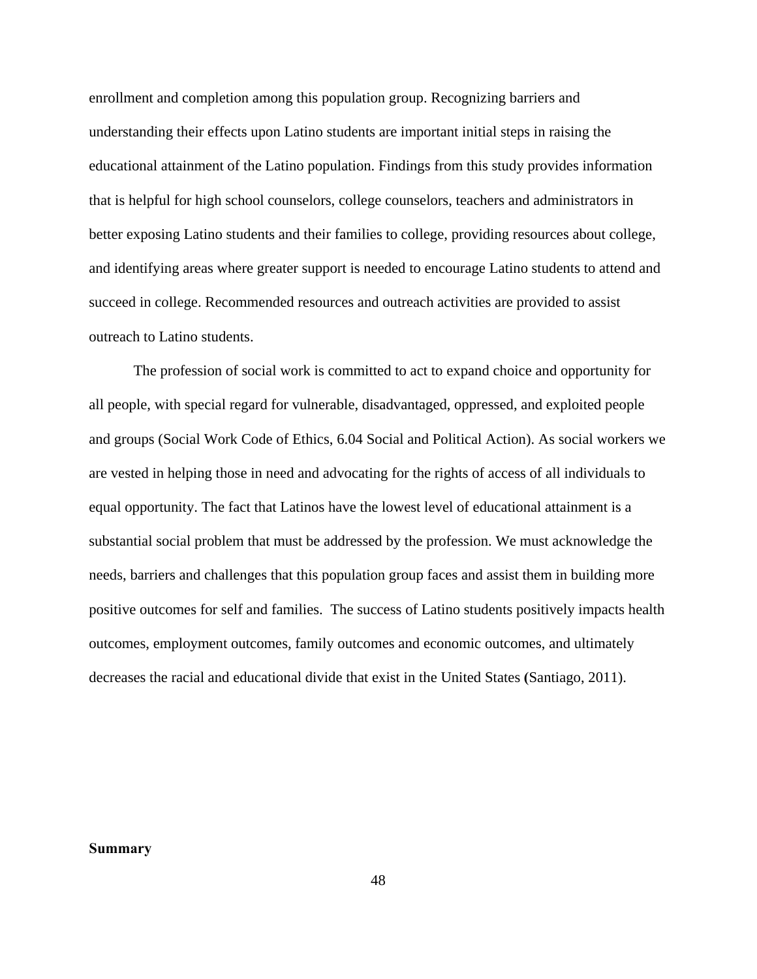enrollment and completion among this population group. Recognizing barriers and understanding their effects upon Latino students are important initial steps in raising the educational attainment of the Latino population. Findings from this study provides information that is helpful for high school counselors, college counselors, teachers and administrators in better exposing Latino students and their families to college, providing resources about college, and identifying areas where greater support is needed to encourage Latino students to attend and succeed in college. Recommended resources and outreach activities are provided to assist outreach to Latino students.

 The profession of social work is committed to act to expand choice and opportunity for all people, with special regard for vulnerable, disadvantaged, oppressed, and exploited people and groups (Social Work Code of Ethics, 6.04 Social and Political Action). As social workers we are vested in helping those in need and advocating for the rights of access of all individuals to equal opportunity. The fact that Latinos have the lowest level of educational attainment is a substantial social problem that must be addressed by the profession. We must acknowledge the needs, barriers and challenges that this population group faces and assist them in building more positive outcomes for self and families. The success of Latino students positively impacts health outcomes, employment outcomes, family outcomes and economic outcomes, and ultimately decreases the racial and educational divide that exist in the United States **(**Santiago, 2011).

#### **Summary**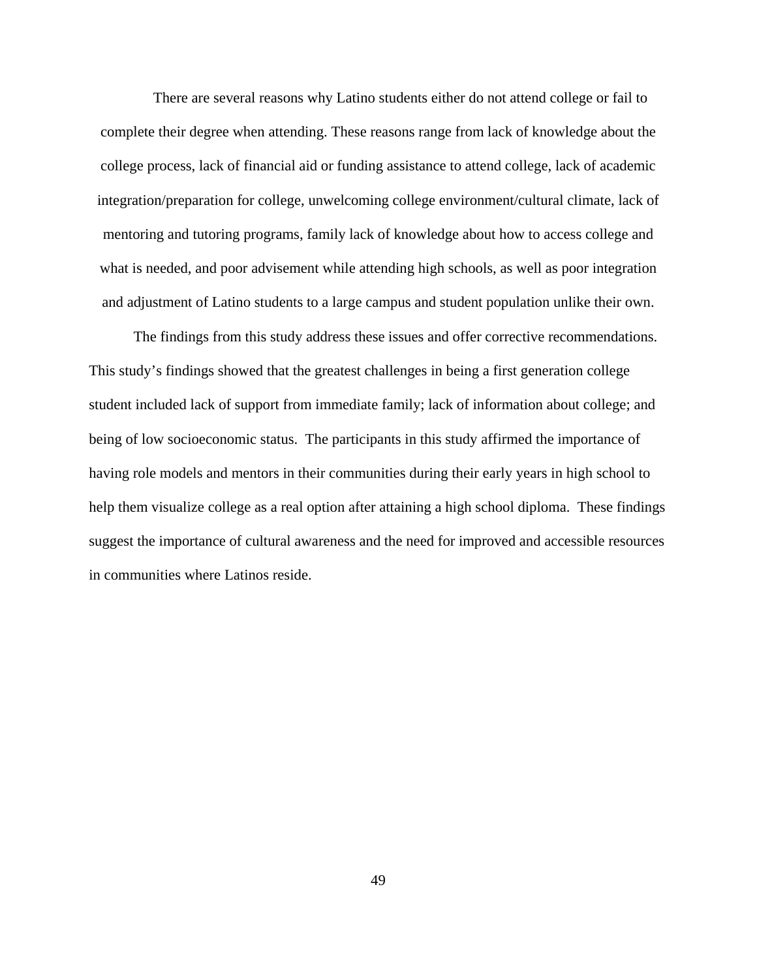There are several reasons why Latino students either do not attend college or fail to complete their degree when attending. These reasons range from lack of knowledge about the college process, lack of financial aid or funding assistance to attend college, lack of academic integration/preparation for college, unwelcoming college environment/cultural climate, lack of mentoring and tutoring programs, family lack of knowledge about how to access college and what is needed, and poor advisement while attending high schools, as well as poor integration and adjustment of Latino students to a large campus and student population unlike their own.

 The findings from this study address these issues and offer corrective recommendations. This study's findings showed that the greatest challenges in being a first generation college student included lack of support from immediate family; lack of information about college; and being of low socioeconomic status. The participants in this study affirmed the importance of having role models and mentors in their communities during their early years in high school to help them visualize college as a real option after attaining a high school diploma. These findings suggest the importance of cultural awareness and the need for improved and accessible resources in communities where Latinos reside.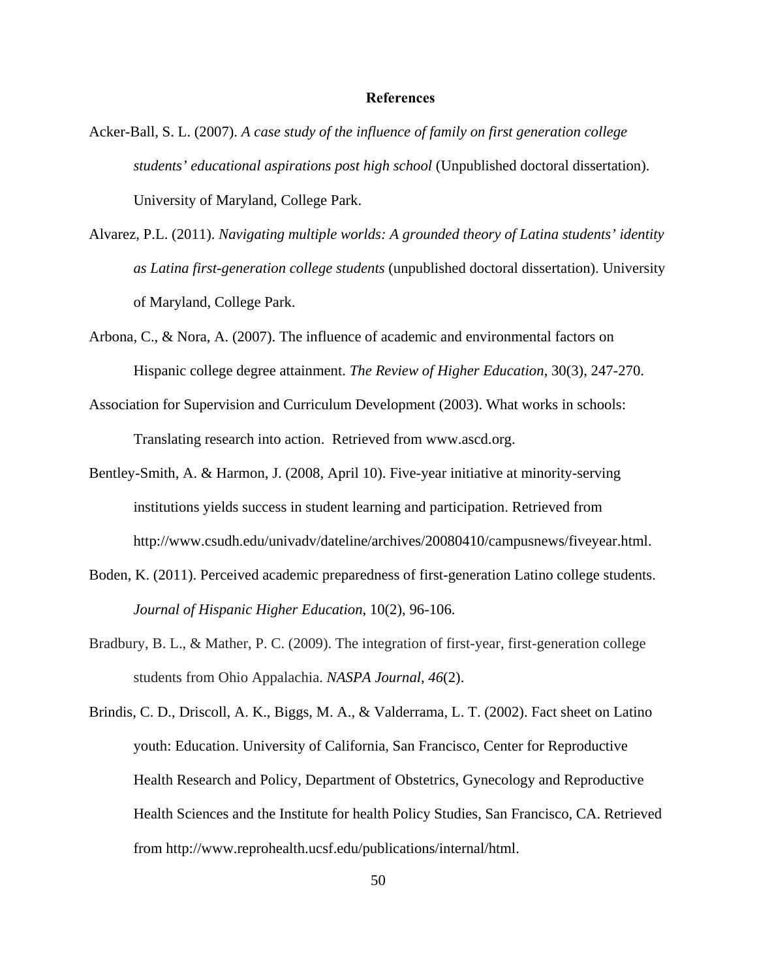## **References**

- Acker-Ball, S. L. (2007). *A case study of the influence of family on first generation college students' educational aspirations post high school* (Unpublished doctoral dissertation). University of Maryland, College Park.
- Alvarez, P.L. (2011). *Navigating multiple worlds: A grounded theory of Latina students' identity as Latina first-generation college students* (unpublished doctoral dissertation). University of Maryland, College Park.
- Arbona, C., & Nora, A. (2007). The influence of academic and environmental factors on Hispanic college degree attainment. *The Review of Higher Education*, 30(3), 247-270.
- Association for Supervision and Curriculum Development (2003). What works in schools: Translating research into action. Retrieved from www.ascd.org.
- Bentley-Smith, A. & Harmon, J. (2008, April 10). Five-year initiative at minority-serving institutions yields success in student learning and participation. Retrieved from http://www.csudh.edu/univadv/dateline/archives/20080410/campusnews/fiveyear.html.
- Boden, K. (2011). Perceived academic preparedness of first-generation Latino college students. *Journal of Hispanic Higher Education*, 10(2), 96-106.
- Bradbury, B. L., & Mather, P. C. (2009). The integration of first-year, first-generation college students from Ohio Appalachia. *NASPA Journal*, *46*(2).
- Brindis, C. D., Driscoll, A. K., Biggs, M. A., & Valderrama, L. T. (2002). Fact sheet on Latino youth: Education. University of California, San Francisco, Center for Reproductive Health Research and Policy, Department of Obstetrics, Gynecology and Reproductive Health Sciences and the Institute for health Policy Studies, San Francisco, CA. Retrieved from http://www.reprohealth.ucsf.edu/publications/internal/html.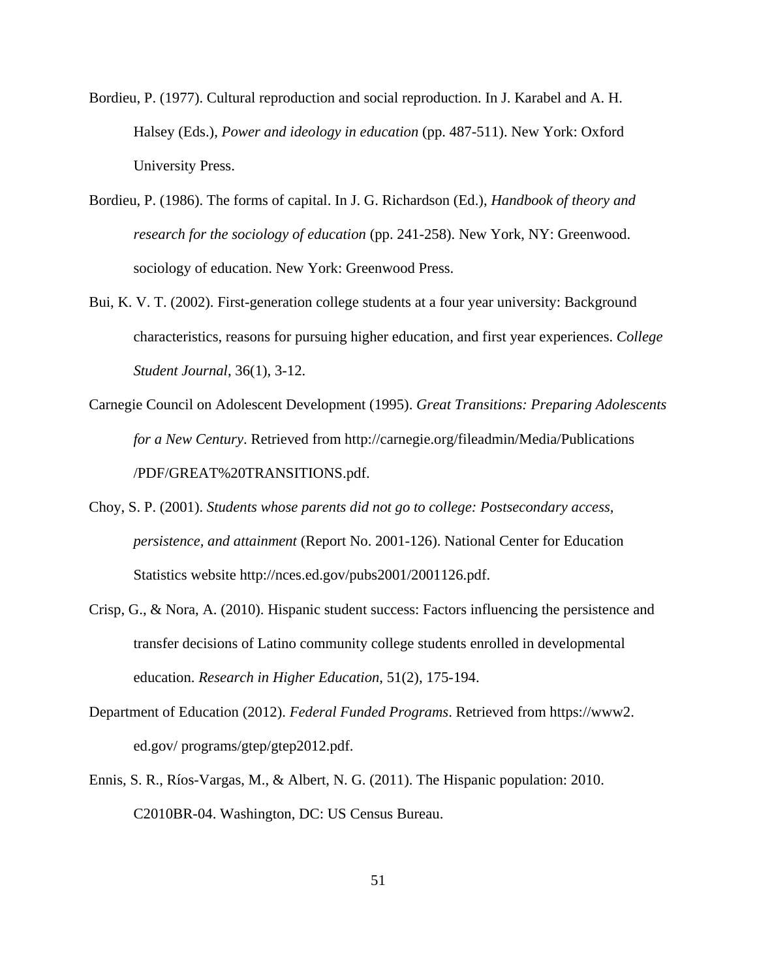- Bordieu, P. (1977). Cultural reproduction and social reproduction. In J. Karabel and A. H. Halsey (Eds.), *Power and ideology in education* (pp. 487-511). New York: Oxford University Press.
- Bordieu, P. (1986). The forms of capital. In J. G. Richardson (Ed.), *Handbook of theory and research for the sociology of education* (pp. 241-258). New York, NY: Greenwood. sociology of education. New York: Greenwood Press.
- Bui, K. V. T. (2002). First-generation college students at a four year university: Background characteristics, reasons for pursuing higher education, and first year experiences. *College Student Journal*, 36(1), 3-12.
- Carnegie Council on Adolescent Development (1995). *Great Transitions: Preparing Adolescents for a New Century*. Retrieved from http://carnegie.org/fileadmin/Media/Publications /PDF/GREAT%20TRANSITIONS.pdf.
- Choy, S. P. (2001). *Students whose parents did not go to college: Postsecondary access, persistence, and attainment* (Report No. 2001-126). National Center for Education Statistics website http://nces.ed.gov/pubs2001/2001126.pdf.
- Crisp, G., & Nora, A. (2010). Hispanic student success: Factors influencing the persistence and transfer decisions of Latino community college students enrolled in developmental education. *Research in Higher Education*, 51(2), 175-194.
- Department of Education (2012). *Federal Funded Programs*. Retrieved from https://www2. ed.gov/ programs/gtep/gtep2012.pdf.
- Ennis, S. R., Ríos-Vargas, M., & Albert, N. G. (2011). The Hispanic population: 2010. C2010BR-04. Washington, DC: US Census Bureau.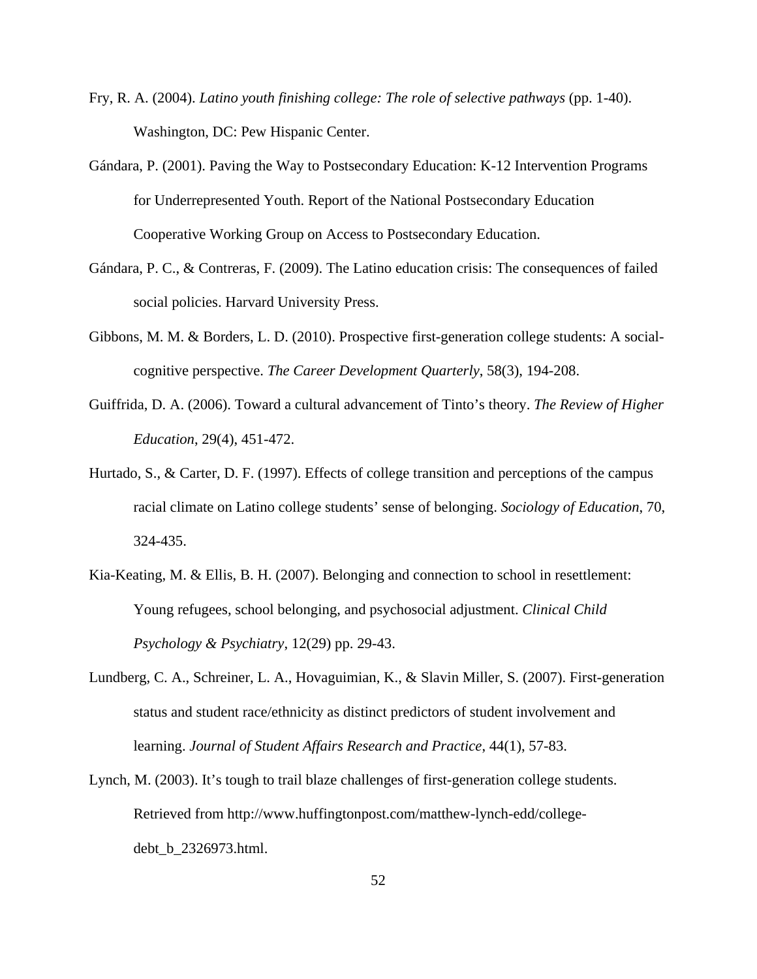- Fry, R. A. (2004). *Latino youth finishing college: The role of selective pathways* (pp. 1-40). Washington, DC: Pew Hispanic Center.
- Gándara, P. (2001). Paving the Way to Postsecondary Education: K-12 Intervention Programs for Underrepresented Youth. Report of the National Postsecondary Education Cooperative Working Group on Access to Postsecondary Education.
- Gándara, P. C., & Contreras, F. (2009). The Latino education crisis: The consequences of failed social policies. Harvard University Press.
- Gibbons, M. M. & Borders, L. D. (2010). Prospective first-generation college students: A socialcognitive perspective. *The Career Development Quarterly*, 58(3), 194-208.
- Guiffrida, D. A. (2006). Toward a cultural advancement of Tinto's theory. *The Review of Higher Education*, 29(4), 451-472.
- Hurtado, S., & Carter, D. F. (1997). Effects of college transition and perceptions of the campus racial climate on Latino college students' sense of belonging. *Sociology of Education*, 70, 324-435.
- Kia-Keating, M. & Ellis, B. H. (2007). Belonging and connection to school in resettlement: Young refugees, school belonging, and psychosocial adjustment. *Clinical Child Psychology & Psychiatry*, 12(29) pp. 29-43.
- Lundberg, C. A., Schreiner, L. A., Hovaguimian, K., & Slavin Miller, S. (2007). First-generation status and student race/ethnicity as distinct predictors of student involvement and learning. *Journal of Student Affairs Research and Practice*, 44(1), 57-83.
- Lynch, M. (2003). It's tough to trail blaze challenges of first-generation college students. Retrieved from http://www.huffingtonpost.com/matthew-lynch-edd/collegedebt\_b\_2326973.html.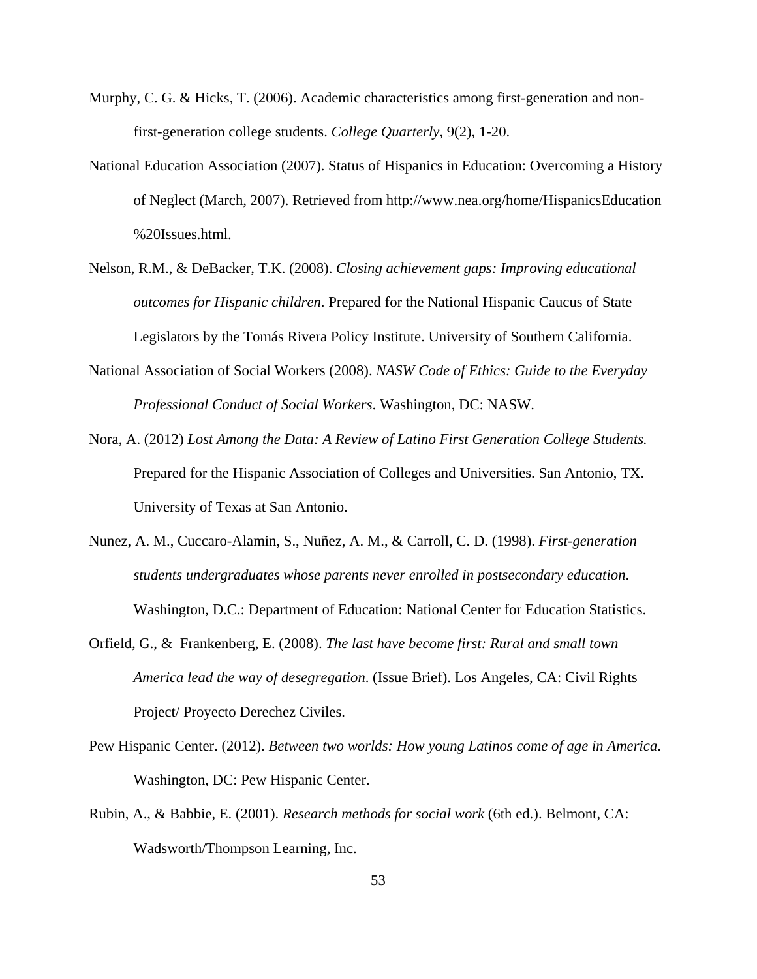- Murphy, C. G. & Hicks, T. (2006). Academic characteristics among first-generation and nonfirst-generation college students. *College Quarterly*, 9(2), 1-20.
- National Education Association (2007). Status of Hispanics in Education: Overcoming a History of Neglect (March, 2007). Retrieved from http://www.nea.org/home/HispanicsEducation %20Issues.html.
- Nelson, R.M., & DeBacker, T.K. (2008). *Closing achievement gaps: Improving educational outcomes for Hispanic children*. Prepared for the National Hispanic Caucus of State Legislators by the Tomás Rivera Policy Institute. University of Southern California.
- National Association of Social Workers (2008). *NASW Code of Ethics: Guide to the Everyday Professional Conduct of Social Workers*. Washington, DC: NASW.
- Nora, A. (2012) *Lost Among the Data: A Review of Latino First Generation College Students.* Prepared for the Hispanic Association of Colleges and Universities. San Antonio, TX. University of Texas at San Antonio.
- Nunez, A. M., Cuccaro-Alamin, S., Nuñez, A. M., & Carroll, C. D. (1998). *First-generation students undergraduates whose parents never enrolled in postsecondary education*. Washington, D.C.: Department of Education: National Center for Education Statistics.
- Orfield, G., & Frankenberg, E. (2008). *The last have become first: Rural and small town America lead the way of desegregation*. (Issue Brief). Los Angeles, CA: Civil Rights Project/ Proyecto Derechez Civiles.
- Pew Hispanic Center. (2012). *Between two worlds: How young Latinos come of age in America*. Washington, DC: Pew Hispanic Center.
- Rubin, A., & Babbie, E. (2001). *Research methods for social work* (6th ed.). Belmont, CA: Wadsworth/Thompson Learning, Inc.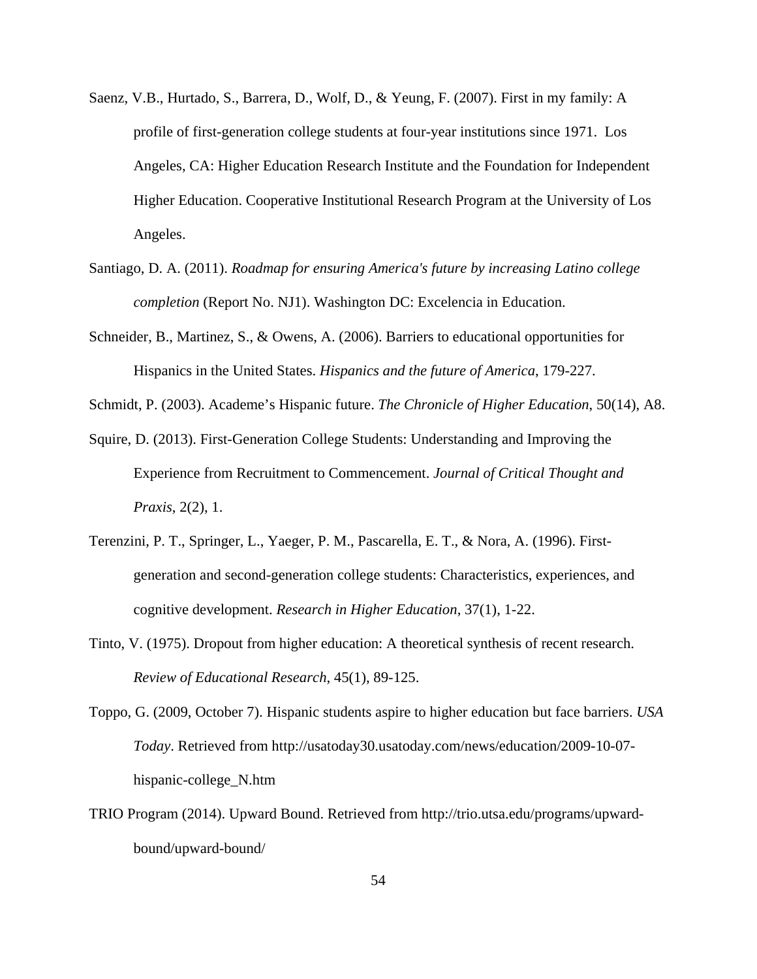- Saenz, V.B., Hurtado, S., Barrera, D., Wolf, D., & Yeung, F. (2007). First in my family: A profile of first-generation college students at four-year institutions since 1971. Los Angeles, CA: Higher Education Research Institute and the Foundation for Independent Higher Education. Cooperative Institutional Research Program at the University of Los Angeles.
- Santiago, D. A. (2011). *Roadmap for ensuring America's future by increasing Latino college completion* (Report No. NJ1). Washington DC: Excelencia in Education.
- Schneider, B., Martinez, S., & Owens, A. (2006). Barriers to educational opportunities for Hispanics in the United States. *Hispanics and the future of America*, 179-227.
- Schmidt, P. (2003). Academe's Hispanic future. *The Chronicle of Higher Education*, 50(14), A8.
- Squire, D. (2013). First-Generation College Students: Understanding and Improving the Experience from Recruitment to Commencement. *Journal of Critical Thought and Praxis*, 2(2), 1.
- Terenzini, P. T., Springer, L., Yaeger, P. M., Pascarella, E. T., & Nora, A. (1996). Firstgeneration and second-generation college students: Characteristics, experiences, and cognitive development. *Research in Higher Education*, 37(1), 1-22.
- Tinto, V. (1975). Dropout from higher education: A theoretical synthesis of recent research. *Review of Educational Research*, 45(1), 89-125.
- Toppo, G. (2009, October 7). Hispanic students aspire to higher education but face barriers. *USA Today*. Retrieved from http://usatoday30.usatoday.com/news/education/2009-10-07 hispanic-college\_N.htm
- TRIO Program (2014). Upward Bound. Retrieved from http://trio.utsa.edu/programs/upwardbound/upward-bound/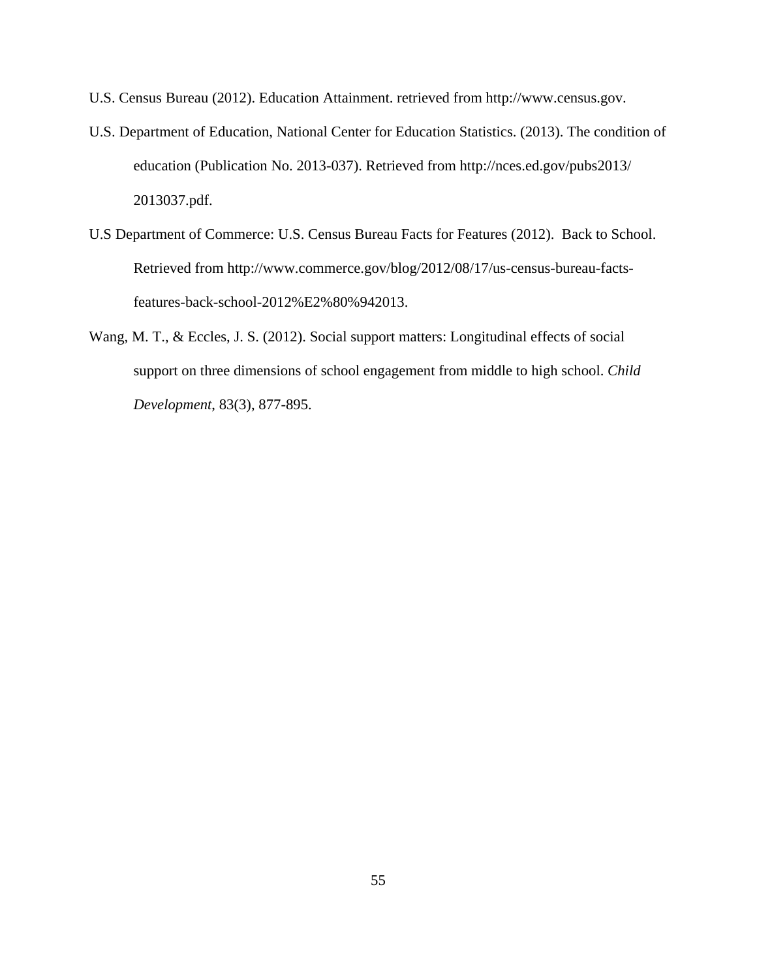- U.S. Census Bureau (2012). Education Attainment. retrieved from http://www.census.gov.
- U.S. Department of Education, National Center for Education Statistics. (2013). The condition of education (Publication No. 2013-037). Retrieved from http://nces.ed.gov/pubs2013/ 2013037.pdf.
- U.S Department of Commerce: U.S. Census Bureau Facts for Features (2012). Back to School. Retrieved from http://www.commerce.gov/blog/2012/08/17/us-census-bureau-factsfeatures-back-school-2012%E2%80%942013.
- Wang, M. T., & Eccles, J. S. (2012). Social support matters: Longitudinal effects of social support on three dimensions of school engagement from middle to high school. *Child Development*, 83(3), 877-895.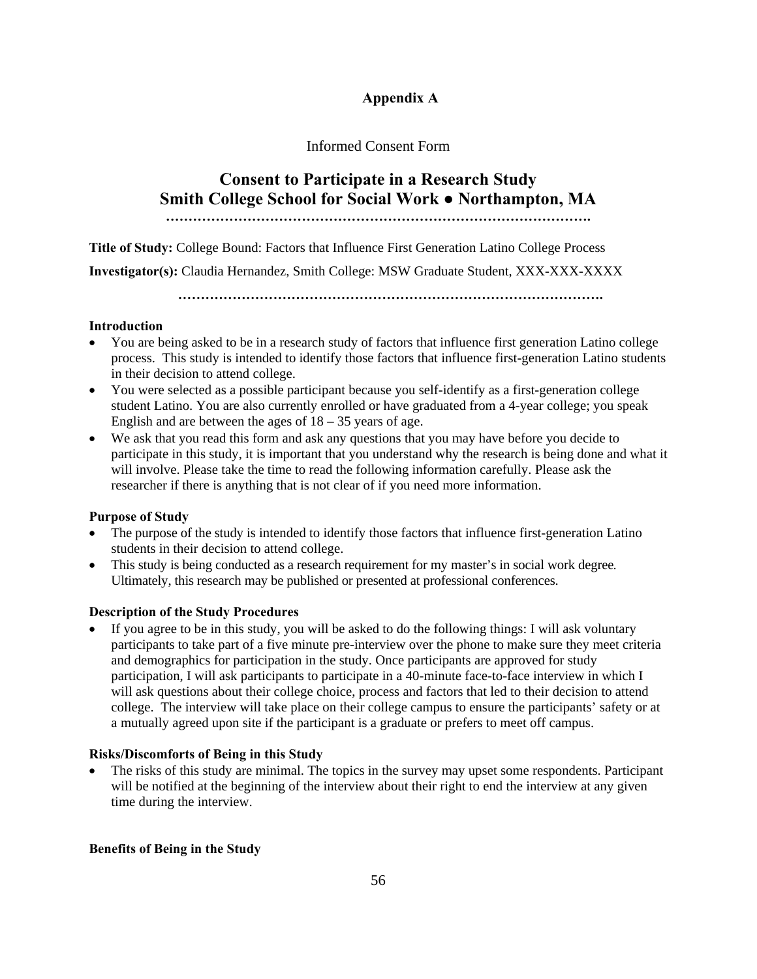## **Appendix A**

## Informed Consent Form

# **Consent to Participate in a Research Study Smith College School for Social Work ● Northampton, MA ………………………………………………………………………………….**

**Title of Study:** College Bound: Factors that Influence First Generation Latino College Process

**Investigator(s):** Claudia Hernandez, Smith College: MSW Graduate Student, XXX-XXX-XXXX

**………………………………………………………………………………….** 

## **Introduction**

- You are being asked to be in a research study of factors that influence first generation Latino college process. This study is intended to identify those factors that influence first-generation Latino students in their decision to attend college.
- You were selected as a possible participant because you self-identify as a first-generation college student Latino. You are also currently enrolled or have graduated from a 4-year college; you speak English and are between the ages of  $18 - 35$  years of age.
- We ask that you read this form and ask any questions that you may have before you decide to participate in this study, it is important that you understand why the research is being done and what it will involve. Please take the time to read the following information carefully. Please ask the researcher if there is anything that is not clear of if you need more information.

## **Purpose of Study**

- The purpose of the study is intended to identify those factors that influence first-generation Latino students in their decision to attend college.
- This study is being conducted as a research requirement for my master's in social work degree*.*  Ultimately, this research may be published or presented at professional conferences.

## **Description of the Study Procedures**

 If you agree to be in this study, you will be asked to do the following things: I will ask voluntary participants to take part of a five minute pre-interview over the phone to make sure they meet criteria and demographics for participation in the study. Once participants are approved for study participation, I will ask participants to participate in a 40-minute face-to-face interview in which I will ask questions about their college choice, process and factors that led to their decision to attend college. The interview will take place on their college campus to ensure the participants' safety or at a mutually agreed upon site if the participant is a graduate or prefers to meet off campus.

## **Risks/Discomforts of Being in this Study**

 The risks of this study are minimal. The topics in the survey may upset some respondents. Participant will be notified at the beginning of the interview about their right to end the interview at any given time during the interview.

## **Benefits of Being in the Study**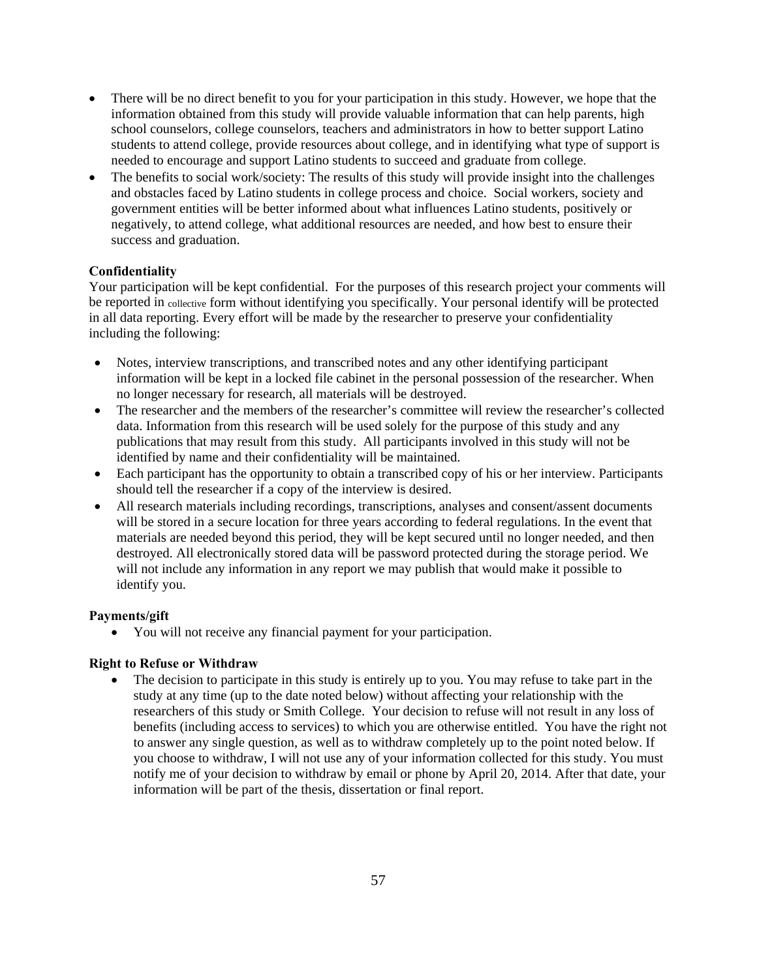- There will be no direct benefit to you for your participation in this study. However, we hope that the information obtained from this study will provide valuable information that can help parents, high school counselors, college counselors, teachers and administrators in how to better support Latino students to attend college, provide resources about college, and in identifying what type of support is needed to encourage and support Latino students to succeed and graduate from college.
- The benefits to social work/society: The results of this study will provide insight into the challenges and obstacles faced by Latino students in college process and choice. Social workers, society and government entities will be better informed about what influences Latino students, positively or negatively, to attend college, what additional resources are needed, and how best to ensure their success and graduation.

## **Confidentiality**

Your participation will be kept confidential. For the purposes of this research project your comments will be reported in collective form without identifying you specifically. Your personal identify will be protected in all data reporting. Every effort will be made by the researcher to preserve your confidentiality including the following:

- Notes, interview transcriptions, and transcribed notes and any other identifying participant information will be kept in a locked file cabinet in the personal possession of the researcher. When no longer necessary for research, all materials will be destroyed.
- The researcher and the members of the researcher's committee will review the researcher's collected data. Information from this research will be used solely for the purpose of this study and any publications that may result from this study. All participants involved in this study will not be identified by name and their confidentiality will be maintained.
- Each participant has the opportunity to obtain a transcribed copy of his or her interview. Participants should tell the researcher if a copy of the interview is desired.
- All research materials including recordings, transcriptions, analyses and consent/assent documents will be stored in a secure location for three years according to federal regulations. In the event that materials are needed beyond this period, they will be kept secured until no longer needed, and then destroyed. All electronically stored data will be password protected during the storage period. We will not include any information in any report we may publish that would make it possible to identify you.

## **Payments/gift**

You will not receive any financial payment for your participation.

## **Right to Refuse or Withdraw**

 The decision to participate in this study is entirely up to you. You may refuse to take part in the study at any time (up to the date noted below) without affecting your relationship with the researchers of this study or Smith College. Your decision to refuse will not result in any loss of benefits (including access to services) to which you are otherwise entitled. You have the right not to answer any single question, as well as to withdraw completely up to the point noted below. If you choose to withdraw, I will not use any of your information collected for this study. You must notify me of your decision to withdraw by email or phone by April 20, 2014. After that date, your information will be part of the thesis, dissertation or final report.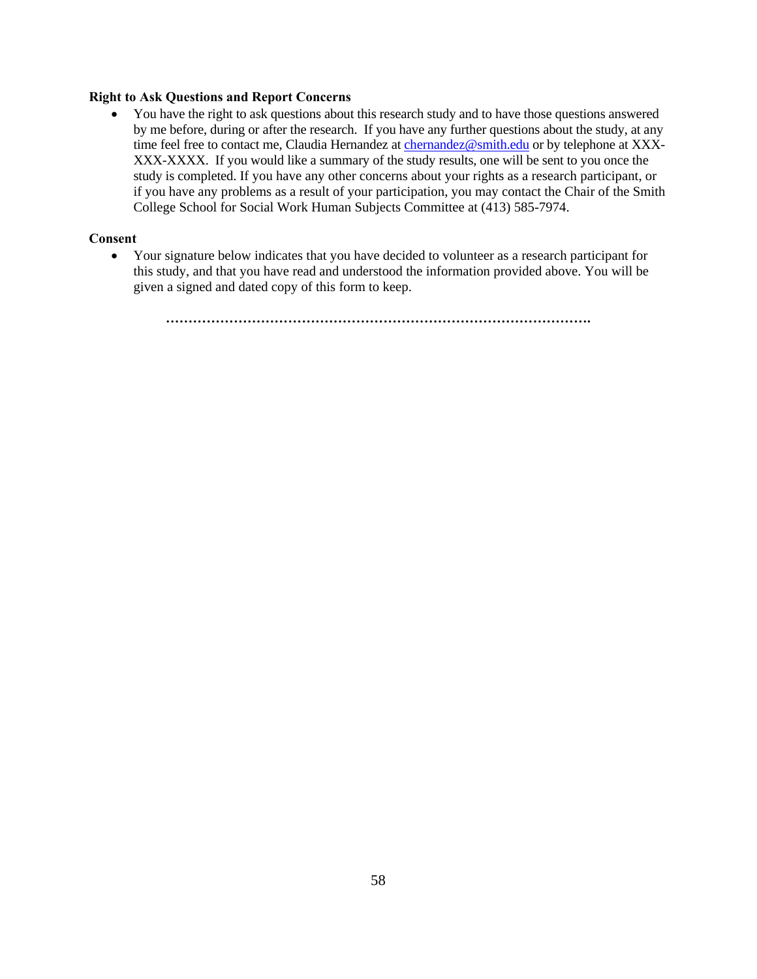#### **Right to Ask Questions and Report Concerns**

• You have the right to ask questions about this research study and to have those questions answered by me before, during or after the research. If you have any further questions about the study, at any time feel free to contact me, Claudia Hernandez at chernandez@smith.edu or by telephone at XXX-XXX-XXXX. If you would like a summary of the study results, one will be sent to you once the study is completed. If you have any other concerns about your rights as a research participant, or if you have any problems as a result of your participation, you may contact the Chair of the Smith College School for Social Work Human Subjects Committee at (413) 585-7974.

## **Consent**

 Your signature below indicates that you have decided to volunteer as a research participant for this study, and that you have read and understood the information provided above. You will be given a signed and dated copy of this form to keep.

**………………………………………………………………………………….**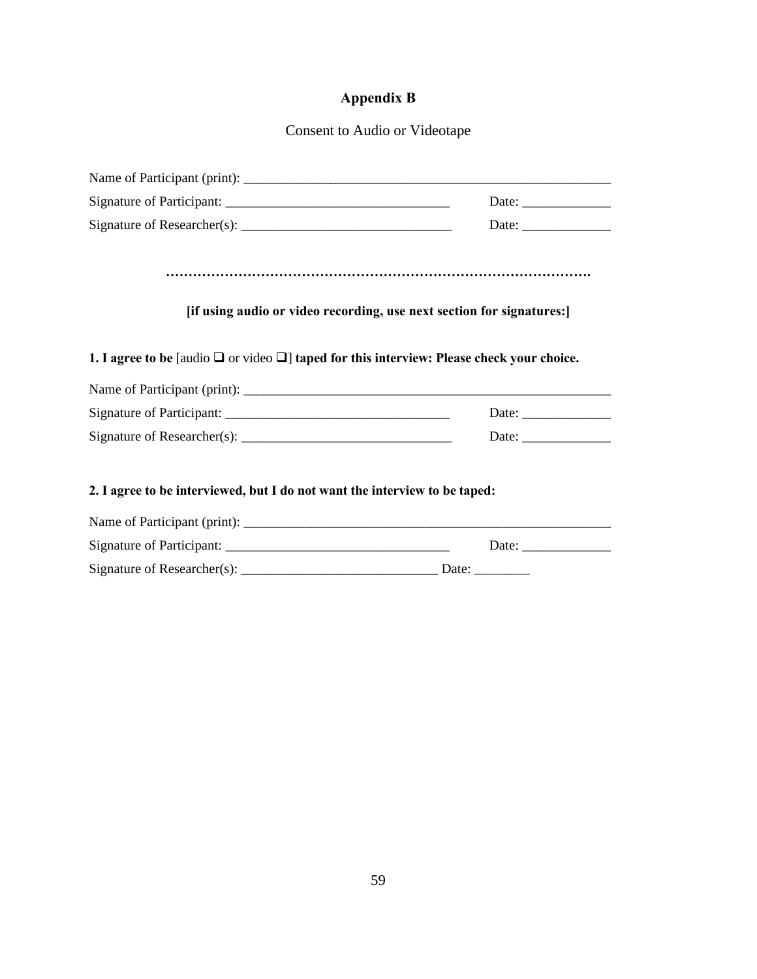## **Appendix B**

Consent to Audio or Videotape

|                                                                                                      | [if using audio or video recording, use next section for signatures:] |
|------------------------------------------------------------------------------------------------------|-----------------------------------------------------------------------|
|                                                                                                      |                                                                       |
| 1. I agree to be [audio $\Box$ or video $\Box$ ] taped for this interview: Please check your choice. |                                                                       |
|                                                                                                      |                                                                       |
|                                                                                                      |                                                                       |
|                                                                                                      | Date: $\frac{1}{\sqrt{1-\frac{1}{2}}\cdot\frac{1}{2}}$                |
|                                                                                                      |                                                                       |
| 2. I agree to be interviewed, but I do not want the interview to be taped:                           |                                                                       |
|                                                                                                      |                                                                       |
|                                                                                                      |                                                                       |
|                                                                                                      |                                                                       |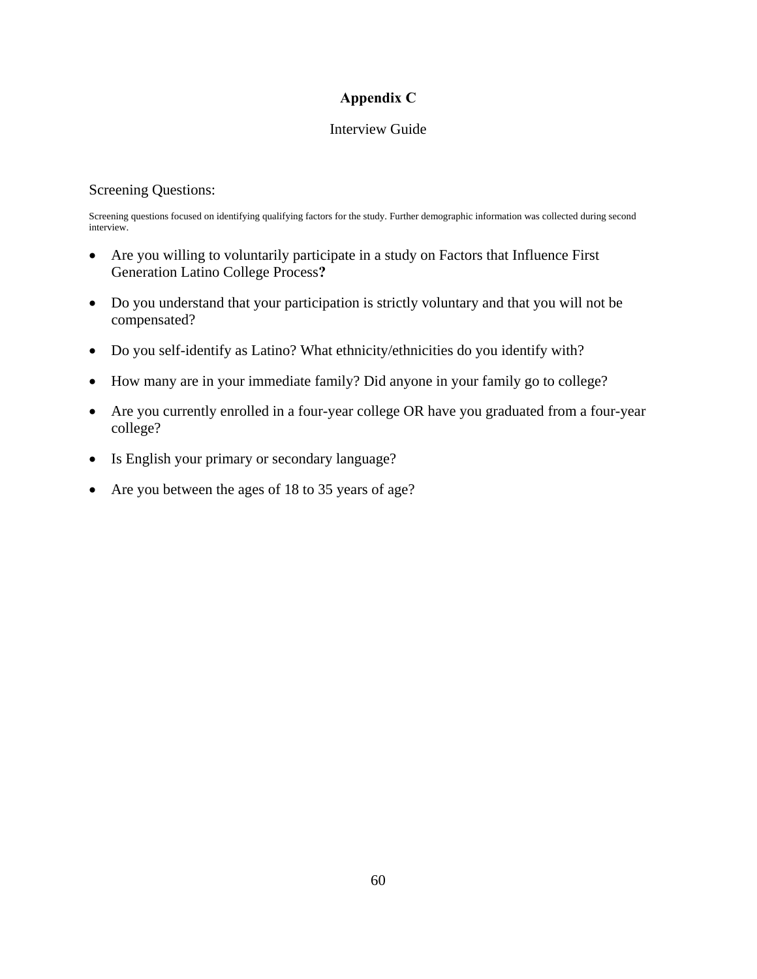## **Appendix C**

## Interview Guide

## Screening Questions:

Screening questions focused on identifying qualifying factors for the study. Further demographic information was collected during second interview.

- Are you willing to voluntarily participate in a study on Factors that Influence First Generation Latino College Process**?**
- Do you understand that your participation is strictly voluntary and that you will not be compensated?
- Do you self-identify as Latino? What ethnicity/ethnicities do you identify with?
- How many are in your immediate family? Did anyone in your family go to college?
- Are you currently enrolled in a four-year college OR have you graduated from a four-year college?
- Is English your primary or secondary language?
- Are you between the ages of 18 to 35 years of age?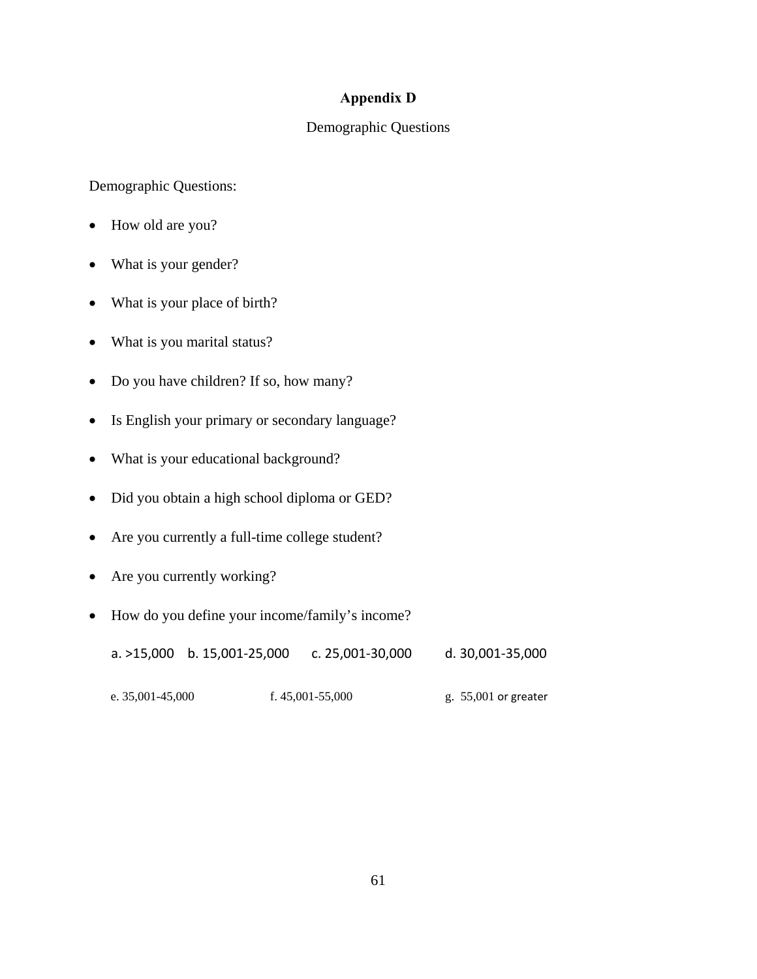## **Appendix D**

## Demographic Questions

Demographic Questions:

- How old are you?
- What is your gender?
- What is your place of birth?
- What is you marital status?
- Do you have children? If so, how many?
- Is English your primary or secondary language?
- What is your educational background?
- Did you obtain a high school diploma or GED?
- Are you currently a full-time college student?
- Are you currently working?
- How do you define your income/family's income?

a. >15,000 b. 15,001‐25,000 c. 25,001‐30,000 d. 30,001‐35,000

e. 35,001-45,000 f. 45,001-55,000 g. 55,001 or greater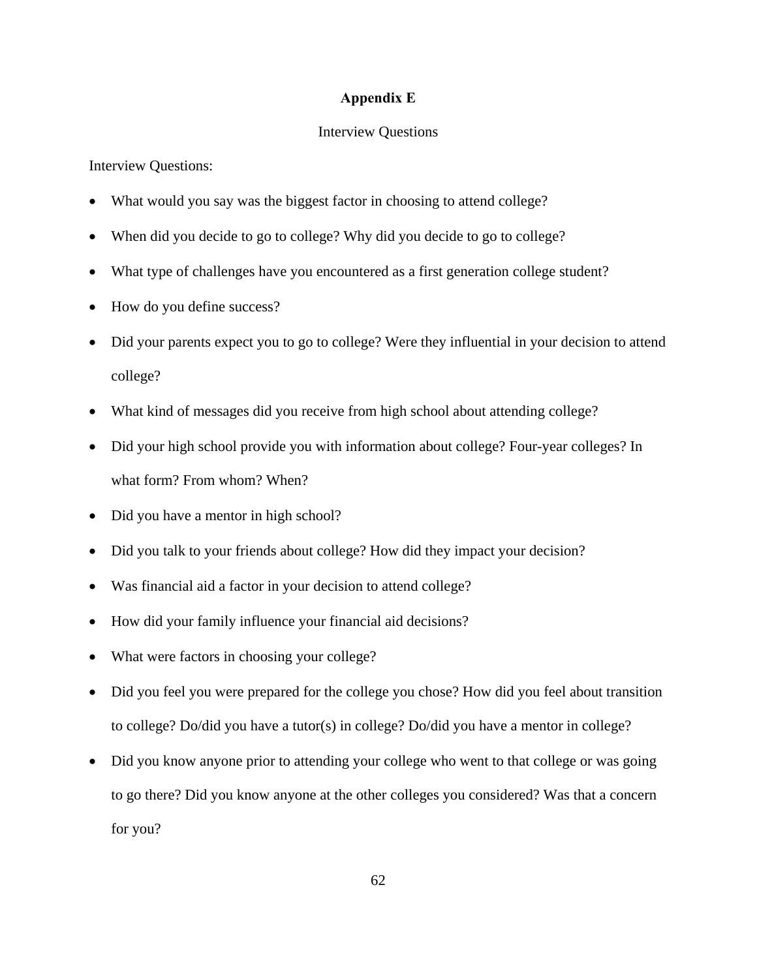## **Appendix E**

#### Interview Questions

Interview Questions:

- What would you say was the biggest factor in choosing to attend college?
- When did you decide to go to college? Why did you decide to go to college?
- What type of challenges have you encountered as a first generation college student?
- How do you define success?
- Did your parents expect you to go to college? Were they influential in your decision to attend college?
- What kind of messages did you receive from high school about attending college?
- Did your high school provide you with information about college? Four-year colleges? In what form? From whom? When?
- Did you have a mentor in high school?
- Did you talk to your friends about college? How did they impact your decision?
- Was financial aid a factor in your decision to attend college?
- How did your family influence your financial aid decisions?
- What were factors in choosing your college?
- Did you feel you were prepared for the college you chose? How did you feel about transition to college? Do/did you have a tutor(s) in college? Do/did you have a mentor in college?
- Did you know anyone prior to attending your college who went to that college or was going to go there? Did you know anyone at the other colleges you considered? Was that a concern for you?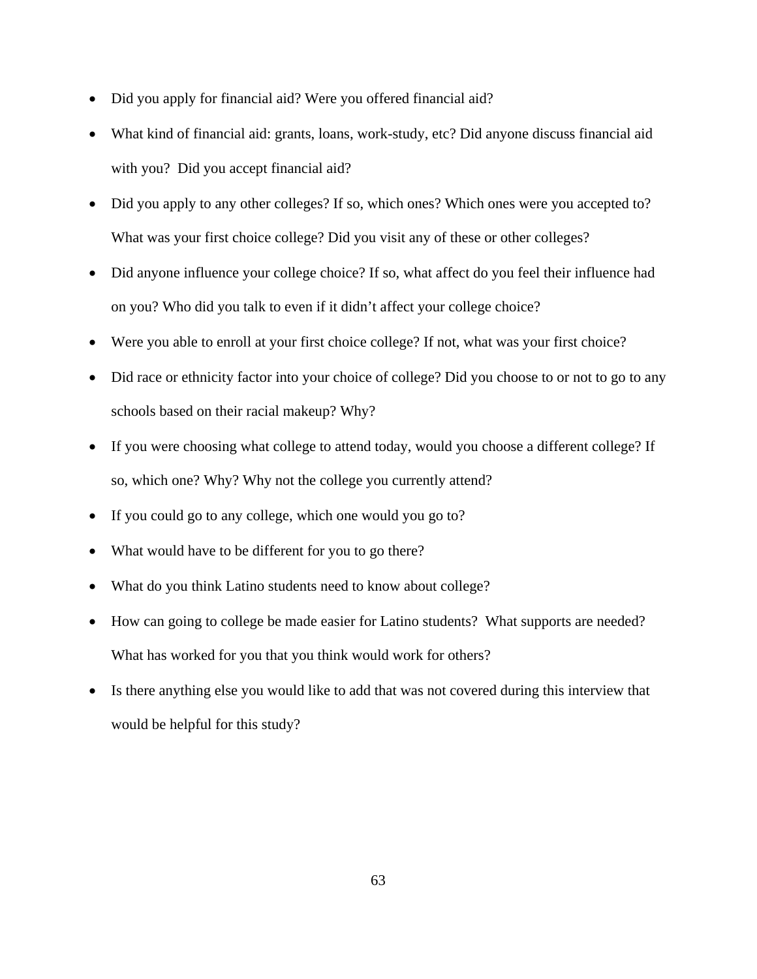- Did you apply for financial aid? Were you offered financial aid?
- What kind of financial aid: grants, loans, work-study, etc? Did anyone discuss financial aid with you? Did you accept financial aid?
- Did you apply to any other colleges? If so, which ones? Which ones were you accepted to? What was your first choice college? Did you visit any of these or other colleges?
- Did anyone influence your college choice? If so, what affect do you feel their influence had on you? Who did you talk to even if it didn't affect your college choice?
- Were you able to enroll at your first choice college? If not, what was your first choice?
- Did race or ethnicity factor into your choice of college? Did you choose to or not to go to any schools based on their racial makeup? Why?
- If you were choosing what college to attend today, would you choose a different college? If so, which one? Why? Why not the college you currently attend?
- If you could go to any college, which one would you go to?
- What would have to be different for you to go there?
- What do you think Latino students need to know about college?
- How can going to college be made easier for Latino students? What supports are needed? What has worked for you that you think would work for others?
- Is there anything else you would like to add that was not covered during this interview that would be helpful for this study?